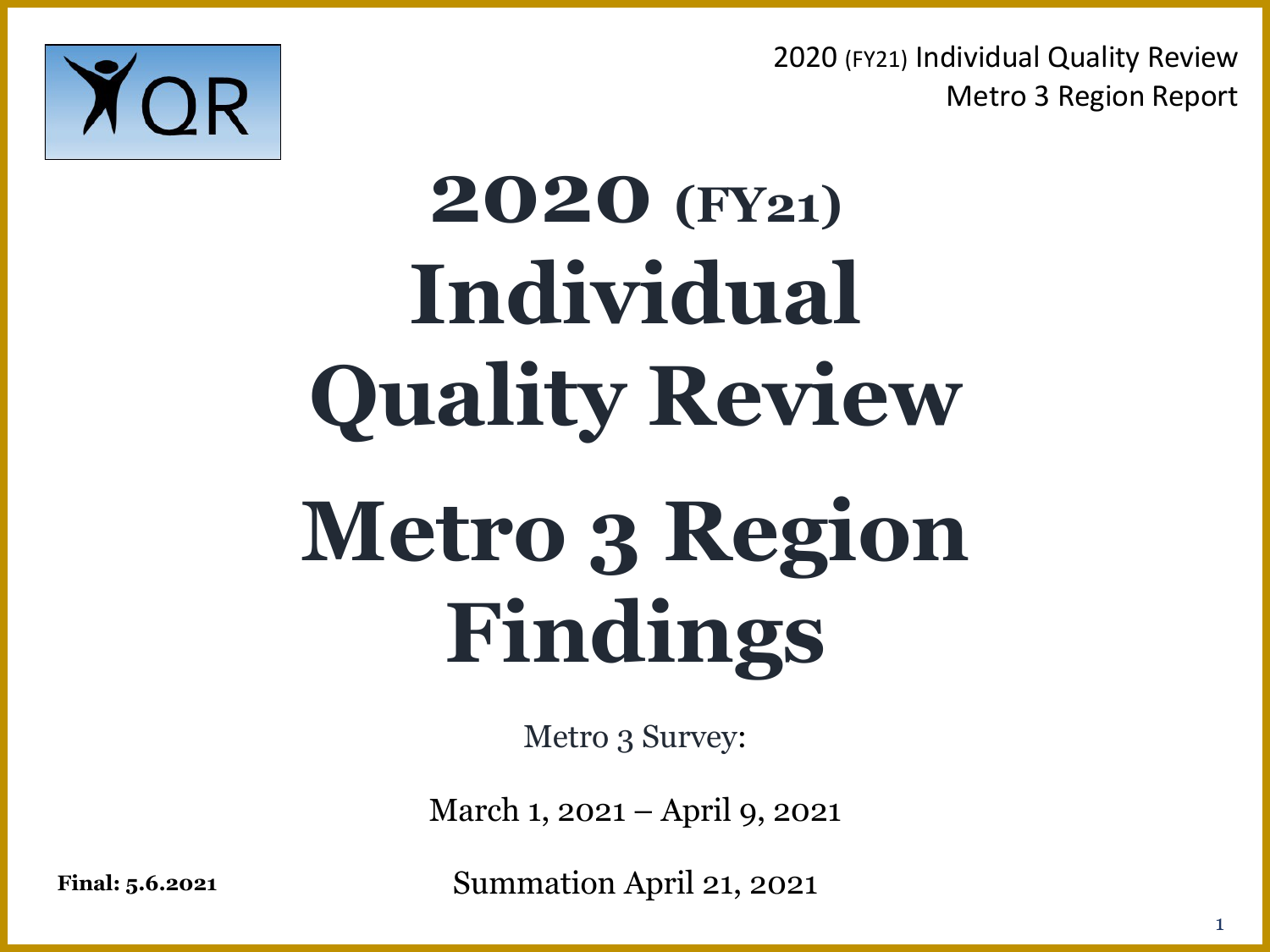

## **2020 (FY21) Individual Quality Review Metro 3 Region Findings**

Metro 3 Survey:

March 1, 2021 – April 9, 2021

**Final: 5.6.2021** Summation April 21, 2021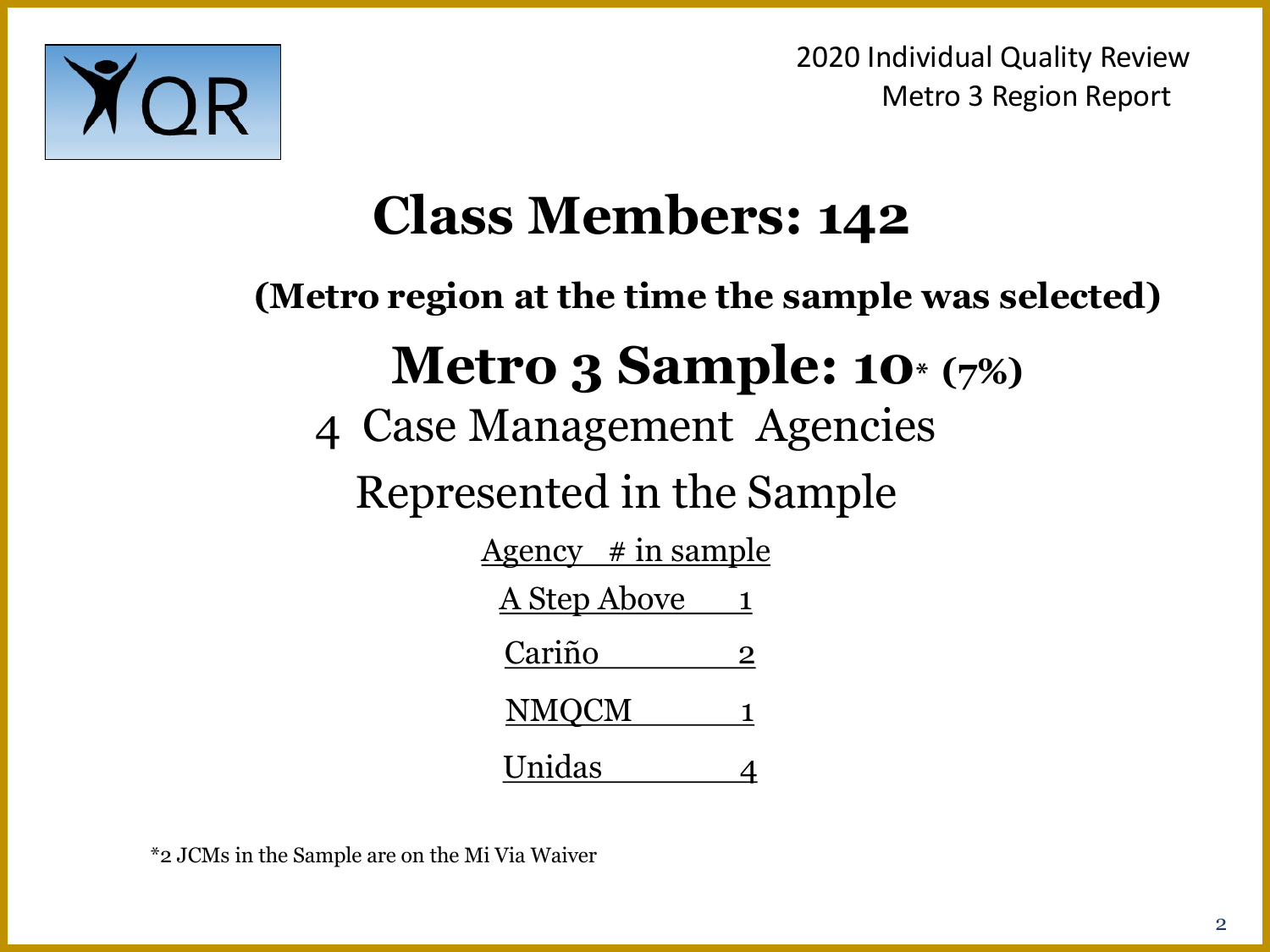

## **Class Members: 142**

**(Metro region at the time the sample was selected)**

## **Metro 3 Sample: 10\* (7%)**

4 Case Management Agencies

Represented in the Sample

| <u>Agency # in sample</u> |   |
|---------------------------|---|
| <u>A Step Above</u>       |   |
| Cariño                    | 2 |
| <b>NMQCM</b>              | 1 |
| Unidas                    |   |

\*2 JCMs in the Sample are on the Mi Via Waiver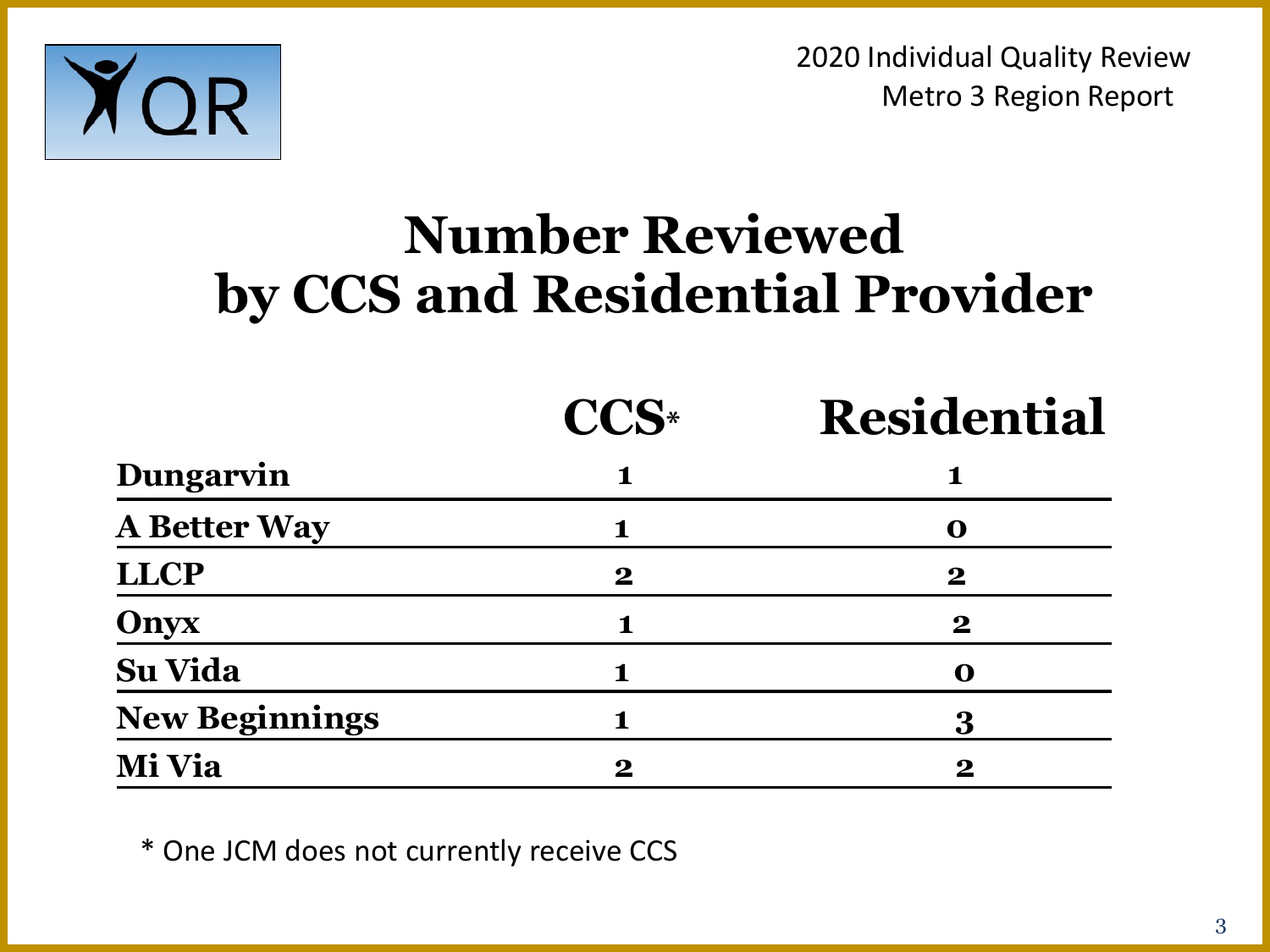

## **Number Reviewed by CCS and Residential Provider**

|                       | CCS <sup>*</sup> | <b>Residential</b> |
|-----------------------|------------------|--------------------|
| <b>Dungarvin</b>      |                  | 1                  |
| <b>A Better Way</b>   |                  | O                  |
| LLCP                  | $\bf{2}$         | $\bf{2}$           |
| Onyx                  | 1                | $\boldsymbol{2}$   |
| Su Vida               |                  | O                  |
| <b>New Beginnings</b> |                  | 3                  |
| Mi Via                | $\bf{2}$         | $\bf{2}$           |

\* One JCM does not currently receive CCS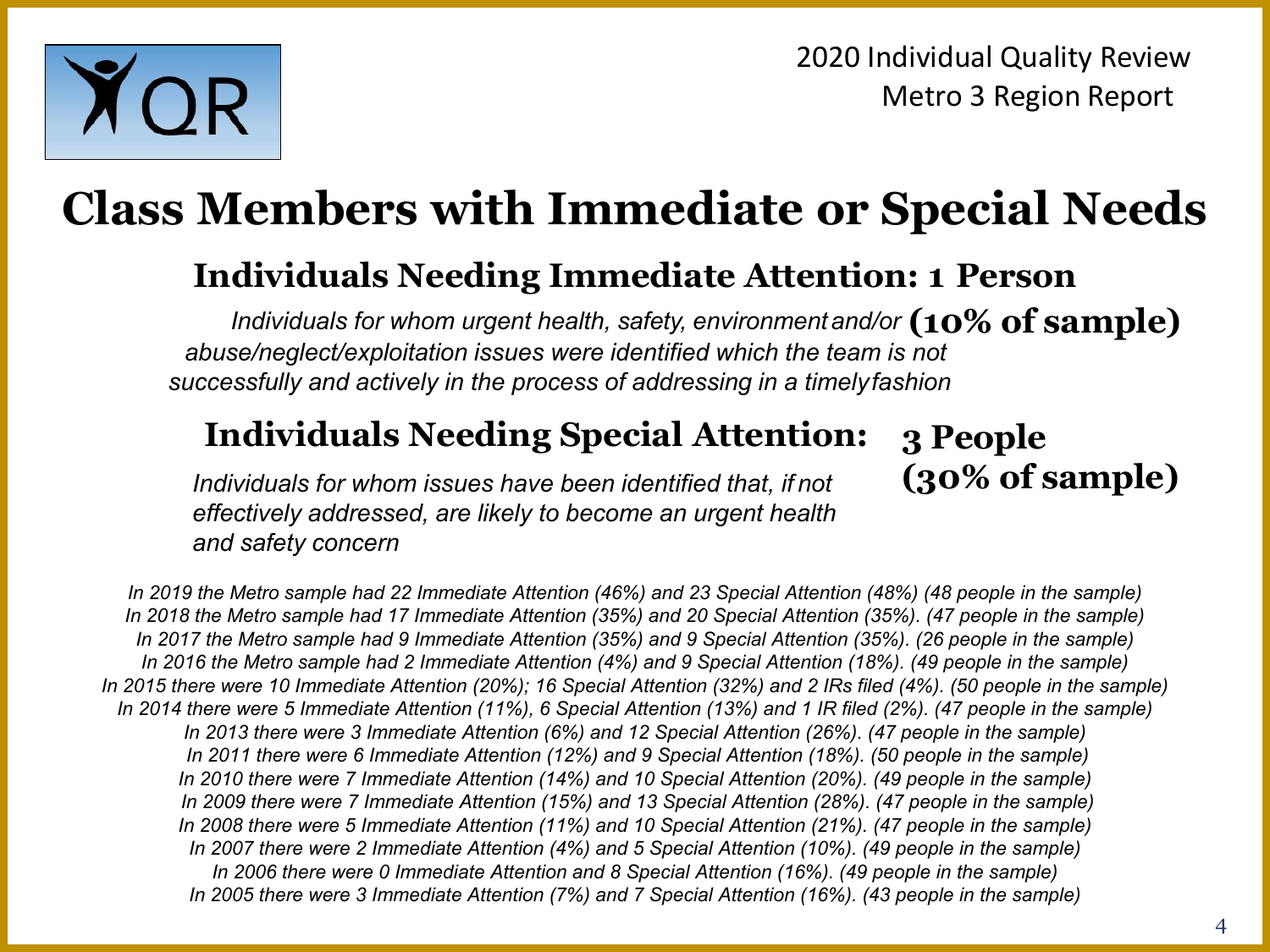

## **Class Members with Immediate or Special Needs**

#### **Individuals Needing Immediate Attention: 1 Person**

Individuals for whom urgent health, safety, environment and/or  $({\bf 10\%~of~sample})$ *abuse/neglect/exploitation issues were identified which the team is not successfully and actively in the process of addressing in a timelyfashion*

#### **Individuals Needing Special Attention:**

*Individuals for whom issues have been identified that, if not effectively addressed, are likely to become an urgent health and safety concern*

**3 People (30% of sample)**

*In 2019 the Metro sample had 22 Immediate Attention (46%) and 23 Special Attention (48%) (48 people in the sample) In 2018 the Metro sample had 17 Immediate Attention (35%) and 20 Special Attention (35%). (47 people in the sample) In 2017 the Metro sample had 9 Immediate Attention (35%) and 9 Special Attention (35%). (26 people in the sample) In 2016 the Metro sample had 2 Immediate Attention (4%) and 9 Special Attention (18%). (49 people in the sample) In 2015 there were 10 Immediate Attention (20%); 16 Special Attention (32%) and 2 IRs filed (4%). (50 people in the sample) In 2014 there were 5 Immediate Attention (11%), 6 Special Attention (13%) and 1 IR filed (2%). (47 people in the sample) In 2013 there were 3 Immediate Attention (6%) and 12 Special Attention (26%). (47 people in the sample) In 2011 there were 6 Immediate Attention (12%) and 9 Special Attention (18%). (50 people in the sample) In 2010 there were 7 Immediate Attention (14%) and 10 Special Attention (20%). (49 people in the sample) In 2009 there were 7 Immediate Attention (15%) and 13 Special Attention (28%). (47 people in the sample) In 2008 there were 5 Immediate Attention (11%) and 10 Special Attention (21%). (47 people in the sample) In 2007 there were 2 Immediate Attention (4%) and 5 Special Attention (10%). (49 people in the sample) In 2006 there were 0 Immediate Attention and 8 Special Attention (16%). (49 people in the sample) In 2005 there were 3 Immediate Attention (7%) and 7 Special Attention (16%). (43 people in the sample)*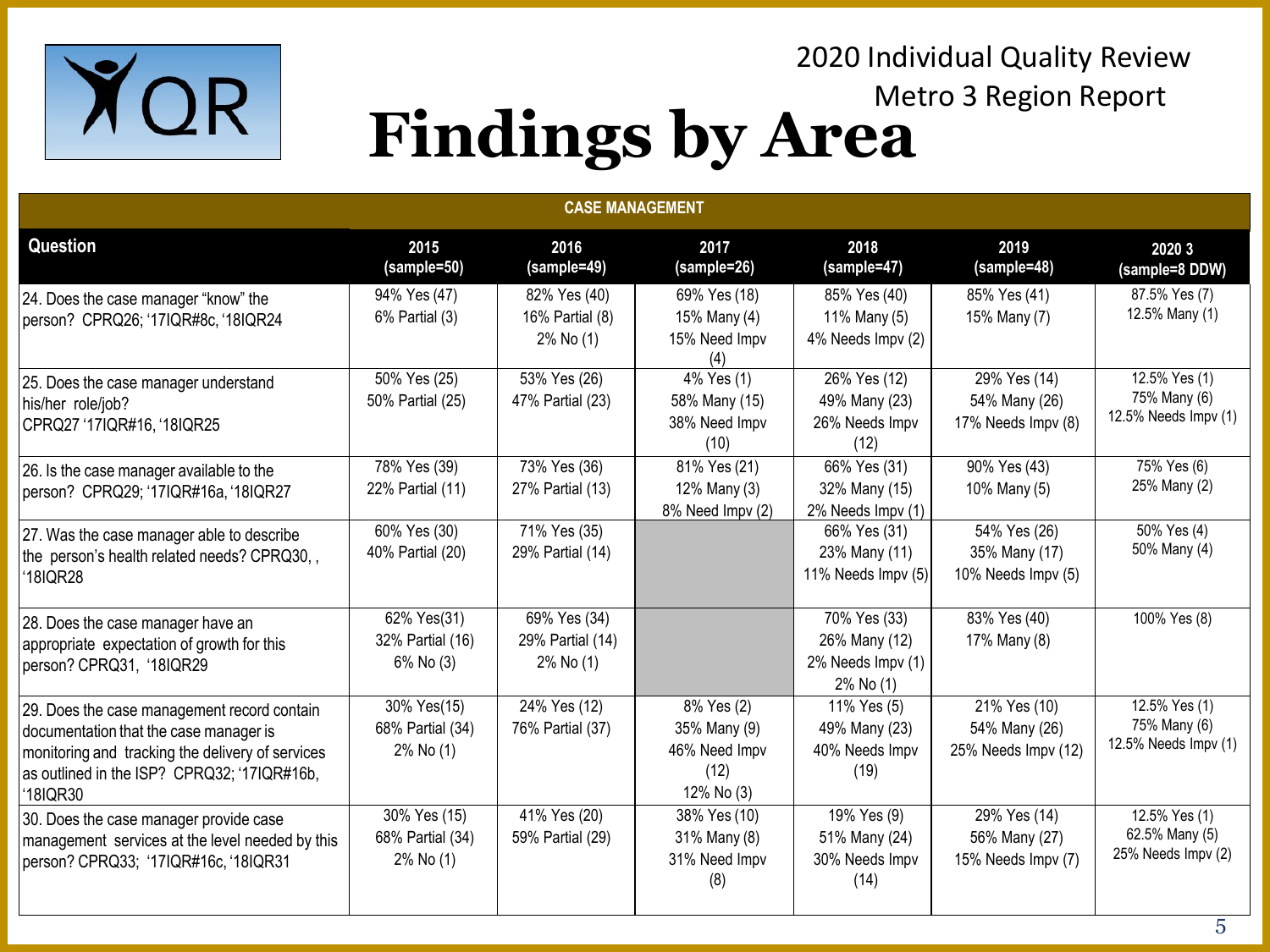

### Metro 3 Region Report **Findings by Area**

2020 Individual Quality Review

| <b>CASE MANAGEMENT</b>                                                                                                                                                                               |                                                   |                                               |                                                                   |                                                                 |                                                      |                                                       |  |  |
|------------------------------------------------------------------------------------------------------------------------------------------------------------------------------------------------------|---------------------------------------------------|-----------------------------------------------|-------------------------------------------------------------------|-----------------------------------------------------------------|------------------------------------------------------|-------------------------------------------------------|--|--|
| Question                                                                                                                                                                                             | 2015<br>(sample=50)                               | 2016<br>(sample=49)                           | 2017<br>(sample=26)                                               | 2018<br>(sample=47)                                             | 2019<br>(sample=48)                                  | 2020 3<br>(sample=8 DDW)                              |  |  |
| 24. Does the case manager "know" the<br>person? CPRQ26; '17IQR#8c, '18IQR24                                                                                                                          | 94% Yes (47)<br>6% Partial (3)                    | 82% Yes (40)<br>16% Partial (8)<br>2% No (1)  | 69% Yes (18)<br>15% Many (4)<br>15% Need Impv<br>(4)              | 85% Yes (40)<br>11% Many (5)<br>4% Needs Impv (2)               | 85% Yes (41)<br>15% Many (7)                         | 87.5% Yes (7)<br>12.5% Many (1)                       |  |  |
| 25. Does the case manager understand<br>his/her role/job?<br>CPRQ27 '17IQR#16, '18IQR25                                                                                                              | 50% Yes (25)<br>50% Partial (25)                  | 53% Yes (26)<br>47% Partial (23)              | 4% Yes (1)<br>58% Many (15)<br>38% Need Impv<br>(10)              | 26% Yes (12)<br>49% Many (23)<br>26% Needs Impv<br>(12)         | 29% Yes (14)<br>54% Many (26)<br>17% Needs Impv (8)  | 12.5% Yes (1)<br>75% Many (6)<br>12.5% Needs Impv (1) |  |  |
| 26. Is the case manager available to the<br>person? CPRQ29; '17IQR#16a, '18IQR27                                                                                                                     | 78% Yes (39)<br>22% Partial (11)                  | 73% Yes (36)<br>27% Partial (13)              | 81% Yes (21)<br>12% Many (3)<br>8% Need Impv (2)                  | 66% Yes (31)<br>32% Many (15)<br>2% Needs Impv (1)              | 90% Yes (43)<br>10% Many (5)                         | 75% Yes (6)<br>25% Many (2)                           |  |  |
| 27. Was the case manager able to describe<br>the person's health related needs? CPRQ30,,<br>'18IQR28                                                                                                 | 60% Yes (30)<br>40% Partial (20)                  | 71% Yes (35)<br>29% Partial (14)              |                                                                   | 66% Yes (31)<br>23% Many (11)<br>11% Needs Impv (5)             | 54% Yes (26)<br>35% Many (17)<br>10% Needs Impv (5)  | 50% Yes (4)<br>50% Many (4)                           |  |  |
| 28. Does the case manager have an<br>appropriate expectation of growth for this<br>person? CPRQ31, '18IQR29                                                                                          | 62% Yes(31)<br>32% Partial (16)<br>6% No (3)      | 69% Yes (34)<br>29% Partial (14)<br>2% No (1) |                                                                   | 70% Yes (33)<br>26% Many (12)<br>2% Needs Impv (1)<br>2% No (1) | 83% Yes (40)<br>17% Many (8)                         | 100% Yes (8)                                          |  |  |
| 29. Does the case management record contain<br>documentation that the case manager is<br>monitoring and tracking the delivery of services<br>as outlined in the ISP? CPRQ32; '17IQR#16b,<br>'18IQR30 | 30% Yes(15)<br>68% Partial (34)<br>$2\%$ No $(1)$ | 24% Yes (12)<br>76% Partial (37)              | 8% Yes (2)<br>35% Many (9)<br>46% Need Impv<br>(12)<br>12% No (3) | 11% Yes (5)<br>49% Many (23)<br>40% Needs Impv<br>(19)          | 21% Yes (10)<br>54% Many (26)<br>25% Needs Impv (12) | 12.5% Yes (1)<br>75% Many (6)<br>12.5% Needs Impv (1) |  |  |
| 30. Does the case manager provide case<br>management services at the level needed by this<br>person? CPRQ33; '17IQR#16c, '18IQR31                                                                    | 30% Yes (15)<br>68% Partial (34)<br>2% No (1)     | 41% Yes (20)<br>59% Partial (29)              | 38% Yes (10)<br>31% Many (8)<br>31% Need Impv<br>(8)              | 19% Yes (9)<br>51% Many (24)<br>30% Needs Impv<br>(14)          | 29% Yes (14)<br>56% Many (27)<br>15% Needs Impv (7)  | 12.5% Yes (1)<br>62.5% Many (5)<br>25% Needs Impv (2) |  |  |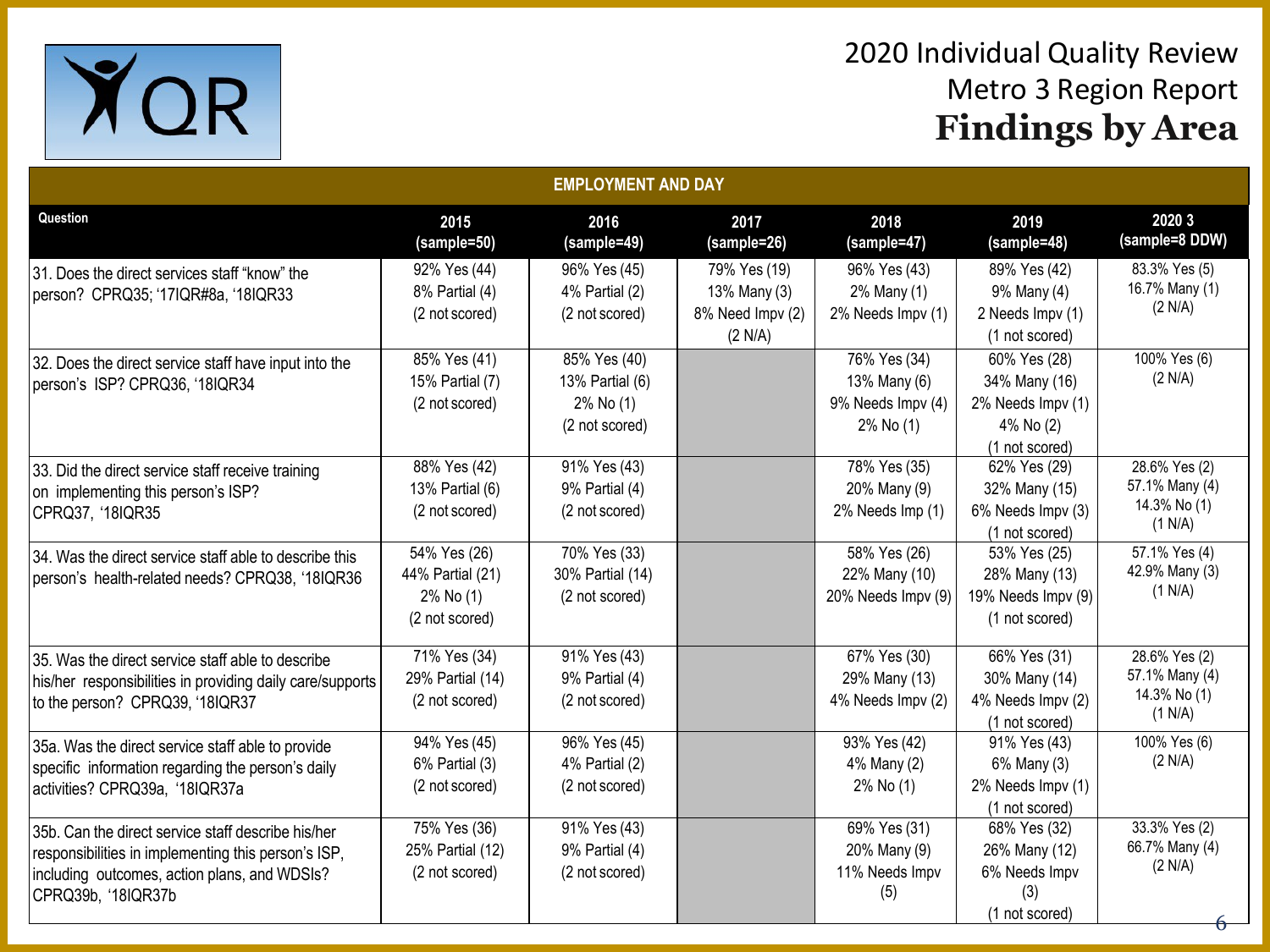

| <b>EMPLOYMENT AND DAY</b>                                                                                                                                                       |                                                                 |                                                                |                                                             |                                                                |                                                                                   |                                                            |  |  |
|---------------------------------------------------------------------------------------------------------------------------------------------------------------------------------|-----------------------------------------------------------------|----------------------------------------------------------------|-------------------------------------------------------------|----------------------------------------------------------------|-----------------------------------------------------------------------------------|------------------------------------------------------------|--|--|
| Question                                                                                                                                                                        | 2015<br>(sample=50)                                             | 2016<br>(sample=49)                                            | 2017<br>(sample=26)                                         | 2018<br>(sample=47)                                            | 2019<br>(sample=48)                                                               | 2020 3<br>(sample=8 DDW)                                   |  |  |
| 31. Does the direct services staff "know" the<br>person? CPRQ35; '17IQR#8a, '18IQR33                                                                                            | 92% Yes (44)<br>8% Partial (4)<br>(2 not scored)                | 96% Yes (45)<br>4% Partial (2)<br>(2 not scored)               | 79% Yes (19)<br>13% Many (3)<br>8% Need Impv (2)<br>(2 N/A) | 96% Yes (43)<br>2% Many (1)<br>2% Needs Impv (1)               | 89% Yes (42)<br>9% Many (4)<br>2 Needs Impv (1)<br>(1 not scored)                 | 83.3% Yes (5)<br>16.7% Many (1)<br>(2 N/A)                 |  |  |
| 32. Does the direct service staff have input into the<br>person's ISP? CPRQ36, '18IQR34                                                                                         | 85% Yes (41)<br>15% Partial (7)<br>(2 not scored)               | 85% Yes (40)<br>13% Partial (6)<br>2% No (1)<br>(2 not scored) |                                                             | 76% Yes (34)<br>13% Many (6)<br>9% Needs Impv (4)<br>2% No (1) | 60% Yes (28)<br>34% Many (16)<br>2% Needs Impv (1)<br>4% No (2)<br>(1 not scored) | 100% Yes (6)<br>(2 N/A)                                    |  |  |
| 33. Did the direct service staff receive training<br>on implementing this person's ISP?<br>CPRQ37, '18IQR35                                                                     | 88% Yes (42)<br>13% Partial (6)<br>(2 not scored)               | 91% Yes (43)<br>9% Partial (4)<br>(2 not scored)               |                                                             | 78% Yes (35)<br>20% Many (9)<br>2% Needs Imp (1)               | 62% Yes (29)<br>32% Many (15)<br>6% Needs Impv (3)<br>(1 not scored)              | 28.6% Yes (2)<br>57.1% Many (4)<br>14.3% No (1)<br>(1 N/A) |  |  |
| 34. Was the direct service staff able to describe this<br>person's health-related needs? CPRQ38, '18IQR36                                                                       | 54% Yes (26)<br>44% Partial (21)<br>2% No (1)<br>(2 not scored) | 70% Yes (33)<br>30% Partial (14)<br>(2 not scored)             |                                                             | 58% Yes (26)<br>22% Many (10)<br>20% Needs Impv (9)            | 53% Yes (25)<br>28% Many (13)<br>19% Needs Impv (9)<br>(1 not scored)             | 57.1% Yes (4)<br>42.9% Many (3)<br>(1 N/A)                 |  |  |
| 35. Was the direct service staff able to describe<br>his/her responsibilities in providing daily care/supports<br>to the person? CPRQ39, '18IQR37                               | 71% Yes (34)<br>29% Partial (14)<br>(2 not scored)              | 91% Yes (43)<br>9% Partial (4)<br>(2 not scored)               |                                                             | 67% Yes (30)<br>29% Many (13)<br>4% Needs Impv (2)             | 66% Yes (31)<br>30% Many (14)<br>4% Needs Impv (2)<br>(1 not scored)              | 28.6% Yes (2)<br>57.1% Many (4)<br>14.3% No (1)<br>(1 N/A) |  |  |
| 35a. Was the direct service staff able to provide<br>specific information regarding the person's daily<br>activities? CPRQ39a, '18IQR37a                                        | 94% Yes (45)<br>6% Partial (3)<br>(2 not scored)                | 96% Yes (45)<br>4% Partial (2)<br>(2 not scored)               |                                                             | 93% Yes (42)<br>4% Many (2)<br>2% No (1)                       | 91% Yes (43)<br>6% Many (3)<br>2% Needs Impv (1)<br>(1 not scored)                | 100% Yes (6)<br>(2 N/A)                                    |  |  |
| 35b. Can the direct service staff describe his/her<br>responsibilities in implementing this person's ISP,<br>including outcomes, action plans, and WDSIs?<br>CPRQ39b, '18IQR37b | 75% Yes (36)<br>25% Partial (12)<br>(2 not scored)              | 91% Yes (43)<br>9% Partial (4)<br>(2 not scored)               |                                                             | 69% Yes (31)<br>20% Many (9)<br>11% Needs Impv<br>(5)          | 68% Yes (32)<br>26% Many (12)<br>6% Needs Impv<br>(3)<br>(1 not scored)           | 33.3% Yes (2)<br>66.7% Many (4)<br>(2 N/A)                 |  |  |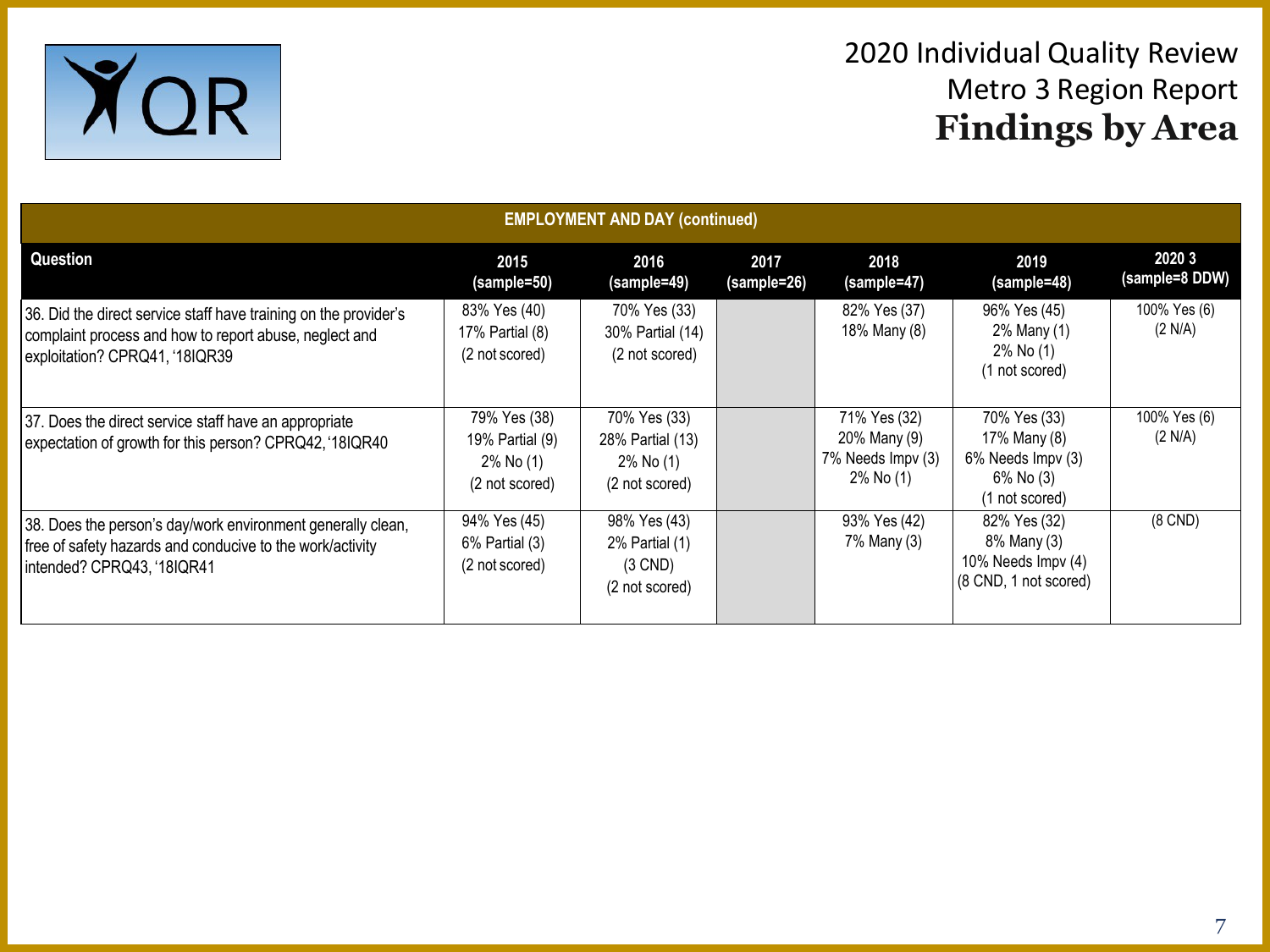

| <b>EMPLOYMENT AND DAY (continued)</b>                                                                                                                        |                                                                |                                                                    |                     |                                                                |                                                                                  |                          |  |  |  |
|--------------------------------------------------------------------------------------------------------------------------------------------------------------|----------------------------------------------------------------|--------------------------------------------------------------------|---------------------|----------------------------------------------------------------|----------------------------------------------------------------------------------|--------------------------|--|--|--|
| Question                                                                                                                                                     | 2015<br>(sample=50)                                            | 2016<br>(sample=49)                                                | 2017<br>(sample=26) | 2018<br>(sample=47)                                            | 2019<br>(sample=48)                                                              | 2020 3<br>(sample=8 DDW) |  |  |  |
| 36. Did the direct service staff have training on the provider's<br>complaint process and how to report abuse, neglect and<br>exploitation? CPRQ41, '18IQR39 | 83% Yes (40)<br>17% Partial (8)<br>(2 not scored)              | 70% Yes (33)<br>30% Partial (14)<br>(2 not scored)                 |                     | 82% Yes (37)<br>18% Many (8)                                   | 96% Yes (45)<br>2% Many (1)<br>2% No (1)<br>(1 not scored)                       | 100% Yes (6)<br>(2 N/A)  |  |  |  |
| 37. Does the direct service staff have an appropriate<br>expectation of growth for this person? CPRQ42, '18IQR40                                             | 79% Yes (38)<br>19% Partial (9)<br>2% No (1)<br>(2 not scored) | 70% Yes (33)<br>28% Partial (13)<br>2% No (1)<br>(2 not scored)    |                     | 71% Yes (32)<br>20% Many (9)<br>7% Needs Impv (3)<br>2% No (1) | 70% Yes (33)<br>17% Many (8)<br>6% Needs Impv (3)<br>6% No (3)<br>(1 not scored) | 100% Yes (6)<br>(2 N/A)  |  |  |  |
| 38. Does the person's day/work environment generally clean,<br>free of safety hazards and conducive to the work/activity<br>intended? CPRQ43, '18IQR41       | 94% Yes (45)<br>$6\%$ Partial $(3)$<br>(2 not scored)          | 98% Yes (43)<br>$2\%$ Partial $(1)$<br>$(3$ CND)<br>(2 not scored) |                     | 93% Yes (42)<br>7% Many (3)                                    | 82% Yes (32)<br>8% Many (3)<br>10% Needs Impv (4)<br>(8 CND, 1 not scored)       | $(8$ CND $)$             |  |  |  |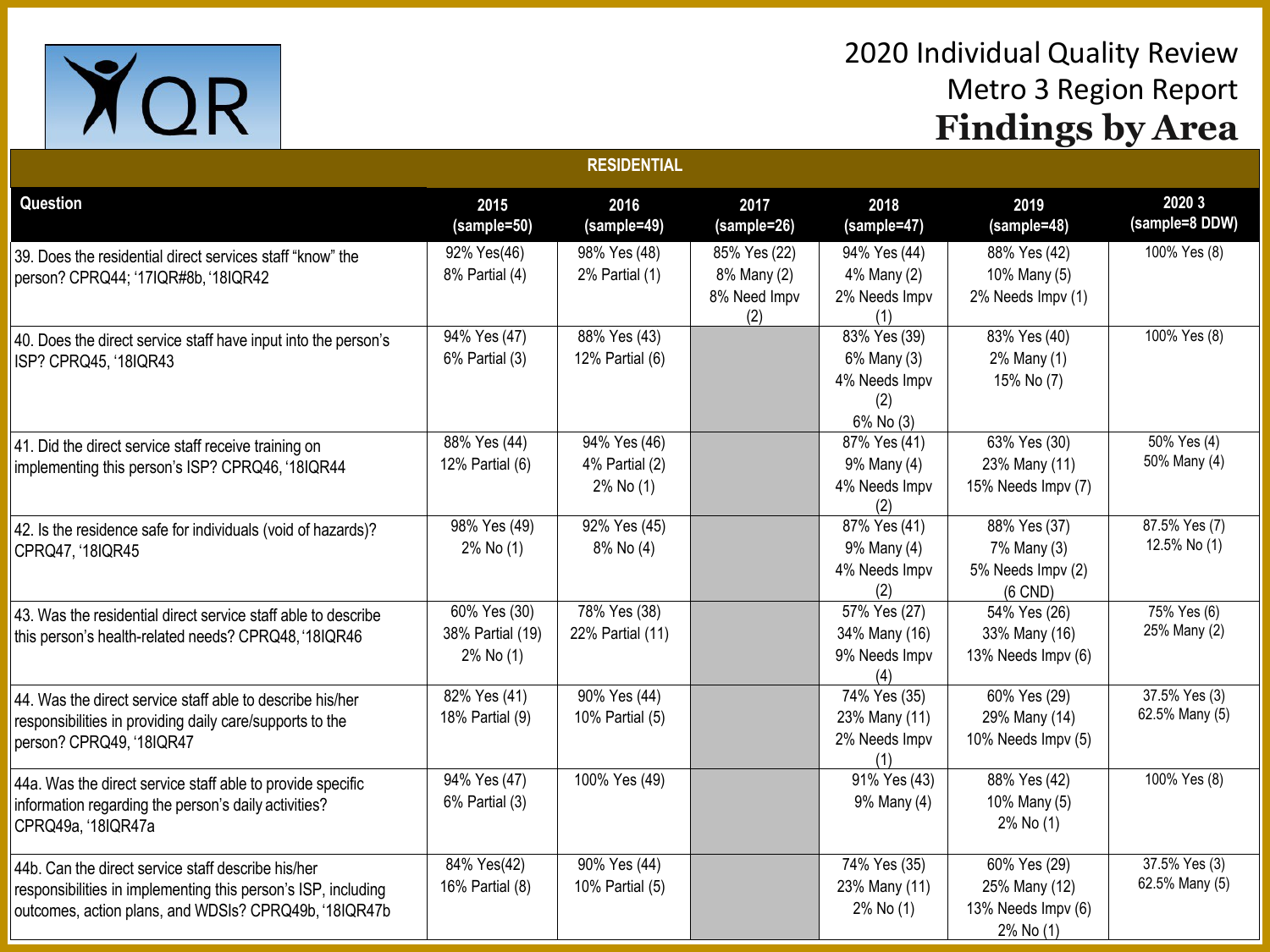

| <b>RESIDENTIAL</b>                                                                                                                                                           |                                               |                                             |                                                    |                                                                  |                                                                  |                                 |  |  |
|------------------------------------------------------------------------------------------------------------------------------------------------------------------------------|-----------------------------------------------|---------------------------------------------|----------------------------------------------------|------------------------------------------------------------------|------------------------------------------------------------------|---------------------------------|--|--|
| Question                                                                                                                                                                     | 2015<br>(sample=50)                           | 2016<br>(sample=49)                         | 2017<br>$(sample=26)$                              | 2018<br>(sample=47)                                              | 2019<br>(sample=48)                                              | 2020 3<br>(sample=8 DDW)        |  |  |
| 39. Does the residential direct services staff "know" the<br>person? CPRQ44; '17IQR#8b, '18IQR42                                                                             | 92% Yes(46)<br>8% Partial (4)                 | 98% Yes (48)<br>2% Partial (1)              | 85% Yes (22)<br>8% Many (2)<br>8% Need Impv<br>(2) | 94% Yes (44)<br>4% Many (2)<br>2% Needs Impv<br>(1)              | 88% Yes (42)<br>10% Many (5)<br>2% Needs Impv (1)                | 100% Yes (8)                    |  |  |
| 40. Does the direct service staff have input into the person's<br>ISP? CPRQ45, '18IQR43                                                                                      | 94% Yes (47)<br>6% Partial (3)                | 88% Yes (43)<br>12% Partial (6)             |                                                    | 83% Yes (39)<br>6% Many (3)<br>4% Needs Impv<br>(2)<br>6% No (3) | 83% Yes (40)<br>2% Many (1)<br>15% No (7)                        | 100% Yes (8)                    |  |  |
| 41. Did the direct service staff receive training on<br>implementing this person's ISP? CPRQ46, '18IQR44                                                                     | 88% Yes (44)<br>12% Partial (6)               | 94% Yes (46)<br>4% Partial (2)<br>2% No (1) |                                                    | 87% Yes (41)<br>9% Many (4)<br>4% Needs Impv<br>(2)              | 63% Yes (30)<br>23% Many (11)<br>15% Needs Impv (7)              | 50% Yes (4)<br>50% Many (4)     |  |  |
| 42. Is the residence safe for individuals (void of hazards)?<br>CPRQ47, '18IQR45                                                                                             | 98% Yes (49)<br>$2\%$ No $(1)$                | 92% Yes (45)<br>8% No (4)                   |                                                    | 87% Yes (41)<br>9% Many (4)<br>4% Needs Impv<br>(2)              | 88% Yes (37)<br>7% Many (3)<br>5% Needs Impv (2)<br>$(6$ CND)    | 87.5% Yes (7)<br>12.5% No (1)   |  |  |
| 43. Was the residential direct service staff able to describe<br>this person's health-related needs? CPRQ48, '18IQR46                                                        | 60% Yes (30)<br>38% Partial (19)<br>2% No (1) | 78% Yes (38)<br>22% Partial (11)            |                                                    | 57% Yes (27)<br>34% Many (16)<br>9% Needs Impv<br>(4)            | 54% Yes (26)<br>33% Many (16)<br>13% Needs Impv (6)              | 75% Yes (6)<br>25% Many (2)     |  |  |
| 44. Was the direct service staff able to describe his/her<br>responsibilities in providing daily care/supports to the<br>person? CPRQ49, '18IQR47                            | 82% Yes (41)<br>18% Partial (9)               | 90% Yes (44)<br>10% Partial (5)             |                                                    | 74% Yes (35)<br>23% Many (11)<br>2% Needs Impv<br>(1)            | 60% Yes (29)<br>29% Many (14)<br>10% Needs Impv (5)              | 37.5% Yes (3)<br>62.5% Many (5) |  |  |
| 44a. Was the direct service staff able to provide specific<br>information regarding the person's daily activities?<br>CPRQ49a, '18IQR47a                                     | 94% Yes (47)<br>6% Partial (3)                | 100% Yes (49)                               |                                                    | 91% Yes (43)<br>9% Many (4)                                      | 88% Yes (42)<br>10% Many (5)<br>2% No (1)                        | 100% Yes (8)                    |  |  |
| 44b. Can the direct service staff describe his/her<br>responsibilities in implementing this person's ISP, including<br>outcomes, action plans, and WDSIs? CPRQ49b, '18IQR47b | 84% Yes(42)<br>16% Partial (8)                | 90% Yes (44)<br>10% Partial (5)             |                                                    | 74% Yes (35)<br>23% Many (11)<br>2% No (1)                       | 60% Yes (29)<br>25% Many (12)<br>13% Needs Impv (6)<br>2% No (1) | 37.5% Yes (3)<br>62.5% Many (5) |  |  |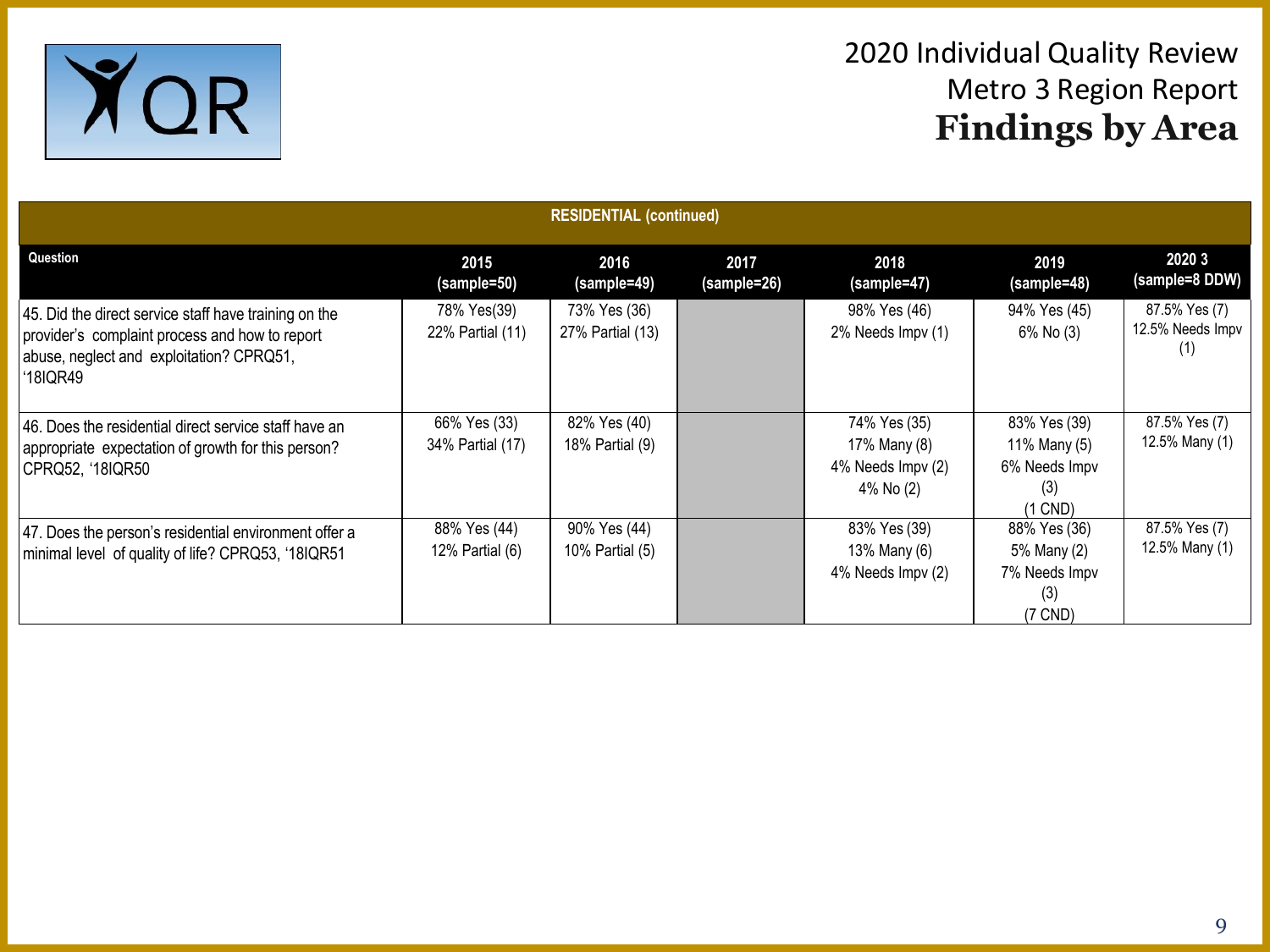

| <b>RESIDENTIAL (continued)</b>                                                                                                                                  |                                  |                                  |                     |                                                                |                                                                   |                                          |  |  |  |
|-----------------------------------------------------------------------------------------------------------------------------------------------------------------|----------------------------------|----------------------------------|---------------------|----------------------------------------------------------------|-------------------------------------------------------------------|------------------------------------------|--|--|--|
| Question                                                                                                                                                        | 2015<br>(sample=50)              | 2016<br>(sample=49)              | 2017<br>(sample=26) | 2018<br>(sample=47)                                            | 2019<br>(sample=48)                                               | 2020 3<br>(sample=8 DDW)                 |  |  |  |
| 45. Did the direct service staff have training on the<br>provider's complaint process and how to report<br>abuse, neglect and exploitation? CPRQ51,<br>'18IQR49 | 78% Yes(39)<br>22% Partial (11)  | 73% Yes (36)<br>27% Partial (13) |                     | 98% Yes (46)<br>2% Needs Impv (1)                              | 94% Yes (45)<br>6% No (3)                                         | 87.5% Yes (7)<br>12.5% Needs Impv<br>(1) |  |  |  |
| 46. Does the residential direct service staff have an<br>appropriate expectation of growth for this person?<br>CPRQ52, '18IQR50                                 | 66% Yes (33)<br>34% Partial (17) | 82% Yes (40)<br>18% Partial (9)  |                     | 74% Yes (35)<br>17% Many (8)<br>4% Needs Impv (2)<br>4% No (2) | 83% Yes (39)<br>11% Many (5)<br>6% Needs Impv<br>(3)<br>$(1$ CND) | 87.5% Yes (7)<br>12.5% Many (1)          |  |  |  |
| 47. Does the person's residential environment offer a<br>minimal level of quality of life? CPRQ53, '18IQR51                                                     | 88% Yes (44)<br>12% Partial (6)  | 90% Yes (44)<br>10% Partial (5)  |                     | 83% Yes (39)<br>13% Many (6)<br>4% Needs Impv (2)              | 88% Yes (36)<br>5% Many (2)<br>7% Needs Impv<br>(3)<br>$(7$ CND)  | 87.5% Yes (7)<br>12.5% Many (1)          |  |  |  |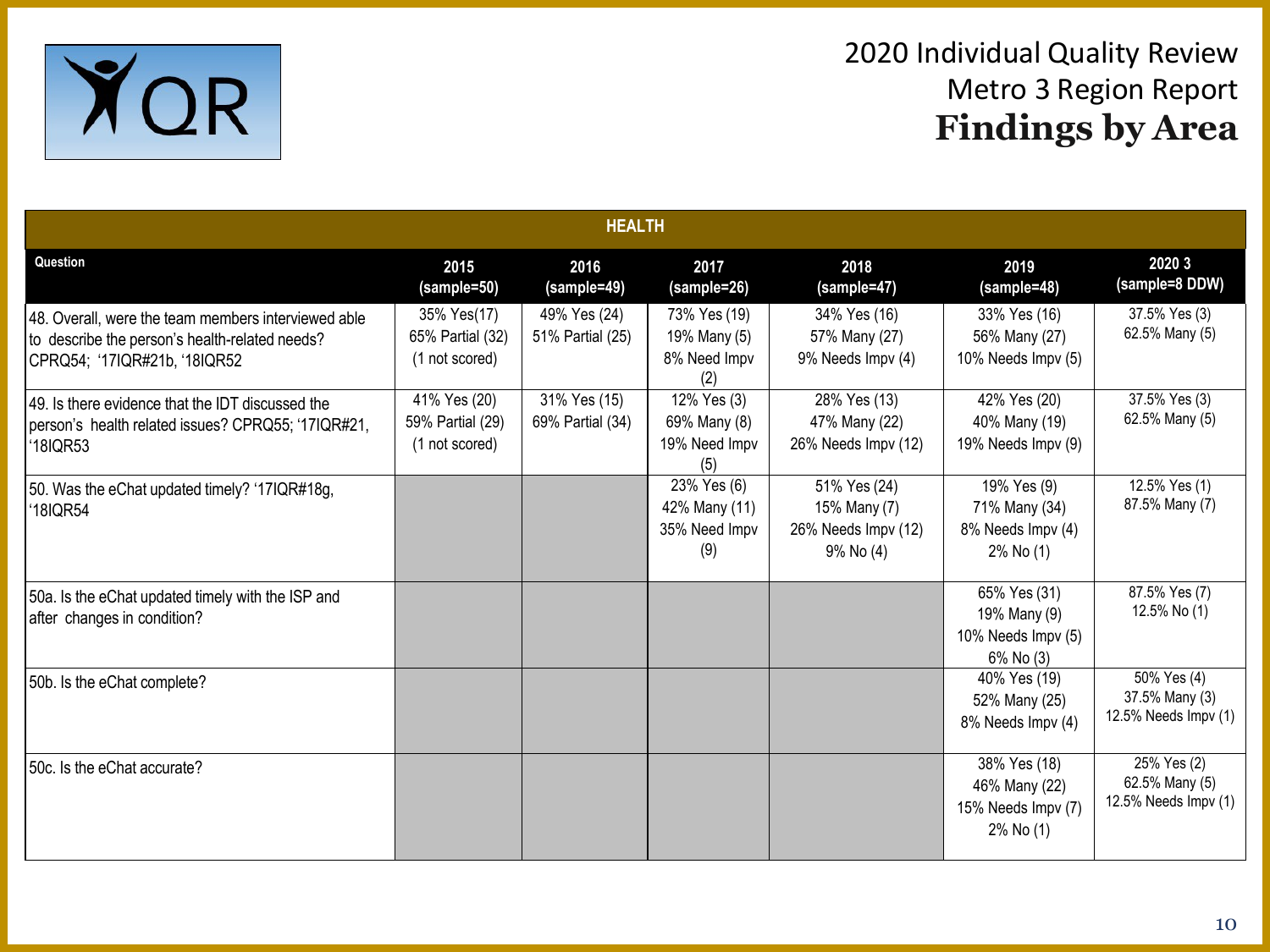

| <b>HEALTH</b>                                                                                                                         |                                                    |                                  |                                                      |                                                                  |                                                                  |                                                       |  |  |
|---------------------------------------------------------------------------------------------------------------------------------------|----------------------------------------------------|----------------------------------|------------------------------------------------------|------------------------------------------------------------------|------------------------------------------------------------------|-------------------------------------------------------|--|--|
| Question                                                                                                                              | 2015<br>(sample=50)                                | 2016<br>(sample=49)              | 2017<br>(sample=26)                                  | 2018<br>(sample=47)                                              | 2019<br>(sample=48)                                              | 2020 3<br>(sample=8 DDW)                              |  |  |
| 48. Overall, were the team members interviewed able<br>to describe the person's health-related needs?<br>CPRQ54; '17IQR#21b, '18IQR52 | 35% Yes(17)<br>65% Partial (32)<br>(1 not scored)  | 49% Yes (24)<br>51% Partial (25) | 73% Yes (19)<br>19% Many (5)<br>8% Need Impv<br>(2)  | 34% Yes (16)<br>57% Many (27)<br>9% Needs Impv (4)               | 33% Yes (16)<br>56% Many (27)<br>10% Needs Impv (5)              | 37.5% Yes (3)<br>62.5% Many (5)                       |  |  |
| 49. Is there evidence that the IDT discussed the<br>person's health related issues? CPRQ55; '17IQR#21,<br>'18IQR53                    | 41% Yes (20)<br>59% Partial (29)<br>(1 not scored) | 31% Yes (15)<br>69% Partial (34) | 12% Yes (3)<br>69% Many (8)<br>19% Need Impv<br>(5)  | 28% Yes (13)<br>47% Many (22)<br>26% Needs Impv (12)             | 42% Yes (20)<br>40% Many (19)<br>19% Needs Impv (9)              | 37.5% Yes (3)<br>62.5% Many (5)                       |  |  |
| 50. Was the eChat updated timely? '17IQR#18g,<br>'18IQR54                                                                             |                                                    |                                  | 23% Yes (6)<br>42% Many (11)<br>35% Need Impv<br>(9) | 51% Yes (24)<br>15% Many (7)<br>26% Needs Impv (12)<br>9% No (4) | 19% Yes (9)<br>71% Many (34)<br>8% Needs Impv (4)<br>2% No (1)   | 12.5% Yes (1)<br>87.5% Many (7)                       |  |  |
| 50a. Is the eChat updated timely with the ISP and<br>after changes in condition?                                                      |                                                    |                                  |                                                      |                                                                  | 65% Yes (31)<br>19% Many (9)<br>10% Needs Impv (5)<br>6% No (3)  | 87.5% Yes (7)<br>12.5% No (1)                         |  |  |
| 50b. Is the eChat complete?                                                                                                           |                                                    |                                  |                                                      |                                                                  | 40% Yes (19)<br>52% Many (25)<br>8% Needs Impv (4)               | 50% Yes (4)<br>37.5% Many (3)<br>12.5% Needs Impv (1) |  |  |
| 50c. Is the eChat accurate?                                                                                                           |                                                    |                                  |                                                      |                                                                  | 38% Yes (18)<br>46% Many (22)<br>15% Needs Impv (7)<br>2% No (1) | 25% Yes (2)<br>62.5% Many (5)<br>12.5% Needs Impv (1) |  |  |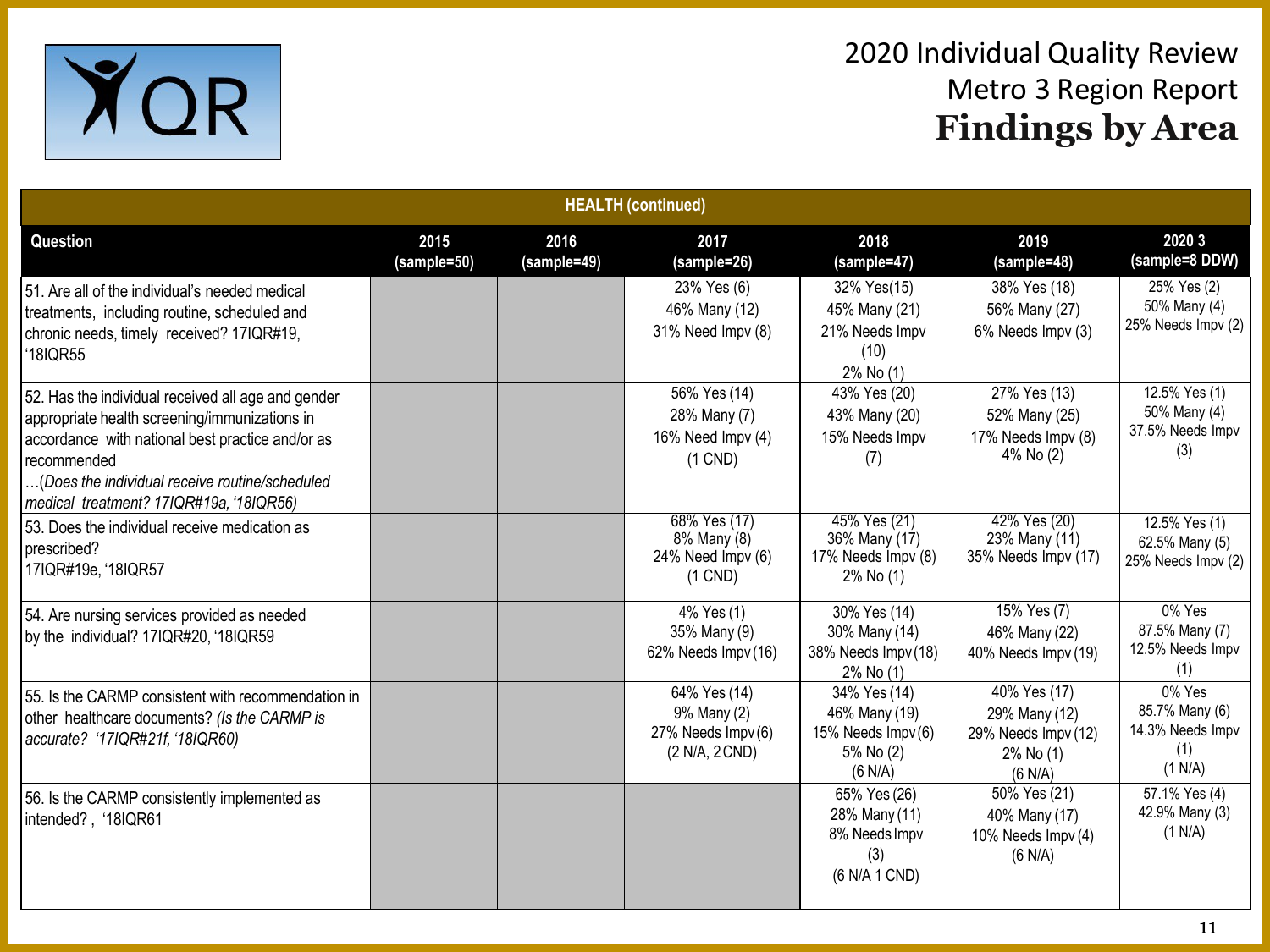

| <b>HEALTH (continued)</b>                                                                                                                                                                                                                                           |                     |                     |                                                                     |                                                                            |                                                                              |                                                                |  |  |  |  |
|---------------------------------------------------------------------------------------------------------------------------------------------------------------------------------------------------------------------------------------------------------------------|---------------------|---------------------|---------------------------------------------------------------------|----------------------------------------------------------------------------|------------------------------------------------------------------------------|----------------------------------------------------------------|--|--|--|--|
| Question                                                                                                                                                                                                                                                            | 2015<br>(sample=50) | 2016<br>(sample=49) | 2017<br>(sample=26)                                                 | 2018<br>(sample=47)                                                        | 2019<br>(sample=48)                                                          | 2020 3<br>(sample=8 DDW)                                       |  |  |  |  |
| 51. Are all of the individual's needed medical<br>treatments, including routine, scheduled and<br>chronic needs, timely received? 17IQR#19,<br>'18IQR55                                                                                                             |                     |                     | 23% Yes (6)<br>46% Many (12)<br>31% Need Impv (8)                   | 32% Yes(15)<br>45% Many (21)<br>21% Needs Impv<br>(10)<br>2% No (1)        | 38% Yes (18)<br>56% Many (27)<br>6% Needs Impv (3)                           | 25% Yes (2)<br>50% Many (4)<br>25% Needs Impv (2)              |  |  |  |  |
| 52. Has the individual received all age and gender<br>appropriate health screening/immunizations in<br>accordance with national best practice and/or as<br>recommended<br>(Does the individual receive routine/scheduled<br>medical treatment? 17IQR#19a, '18IQR56) |                     |                     | 56% Yes (14)<br>28% Many (7)<br>16% Need Impv (4)<br>$(1$ CND)      | 43% Yes (20)<br>43% Many (20)<br>15% Needs Impv<br>(7)                     | 27% Yes (13)<br>52% Many (25)<br>17% Needs Impv (8)<br>4% No (2)             | 12.5% Yes (1)<br>50% Many (4)<br>37.5% Needs Impv<br>(3)       |  |  |  |  |
| 53. Does the individual receive medication as<br>prescribed?<br>17IQR#19e, '18IQR57                                                                                                                                                                                 |                     |                     | 68% Yes (17)<br>8% Many (8)<br>24% Need Impv (6)<br>$(1$ CND)       | 45% Yes (21)<br>36% Many (17)<br>17% Needs Impv (8)<br>2% No (1)           | 42% Yes (20)<br>23% Many (11)<br>35% Needs Impv (17)                         | 12.5% Yes (1)<br>62.5% Many (5)<br>25% Needs Impv (2)          |  |  |  |  |
| 54. Are nursing services provided as needed<br>by the individual? 17IQR#20, '18IQR59                                                                                                                                                                                |                     |                     | 4% Yes (1)<br>35% Many (9)<br>62% Needs Impv (16)                   | 30% Yes (14)<br>30% Many (14)<br>38% Needs Impv (18)<br>2% No (1)          | 15% Yes (7)<br>46% Many (22)<br>40% Needs Impv (19)                          | 0% Yes<br>87.5% Many (7)<br>12.5% Needs Impv<br>(1)            |  |  |  |  |
| 55. Is the CARMP consistent with recommendation in<br>other healthcare documents? (Is the CARMP is<br>accurate? '17IQR#21f, '18IQR60)                                                                                                                               |                     |                     | 64% Yes (14)<br>9% Many (2)<br>27% Needs Impv (6)<br>(2 N/A, 2 CND) | 34% Yes (14)<br>46% Many (19)<br>15% Needs Impv(6)<br>5% No (2)<br>(6 N/A) | 40% Yes (17)<br>29% Many (12)<br>29% Needs Impv (12)<br>2% No (1)<br>(6 N/A) | 0% Yes<br>85.7% Many (6)<br>14.3% Needs Impv<br>(1)<br>(1 N/A) |  |  |  |  |
| 56. Is the CARMP consistently implemented as<br>intended?, '18IQR61                                                                                                                                                                                                 |                     |                     |                                                                     | 65% Yes (26)<br>28% Many (11)<br>8% Needs Impv<br>(3)<br>(6 N/A 1 CND)     | 50% Yes (21)<br>40% Many (17)<br>10% Needs Impv (4)<br>(6 N/A)               | 57.1% Yes (4)<br>42.9% Many (3)<br>(1 N/A)                     |  |  |  |  |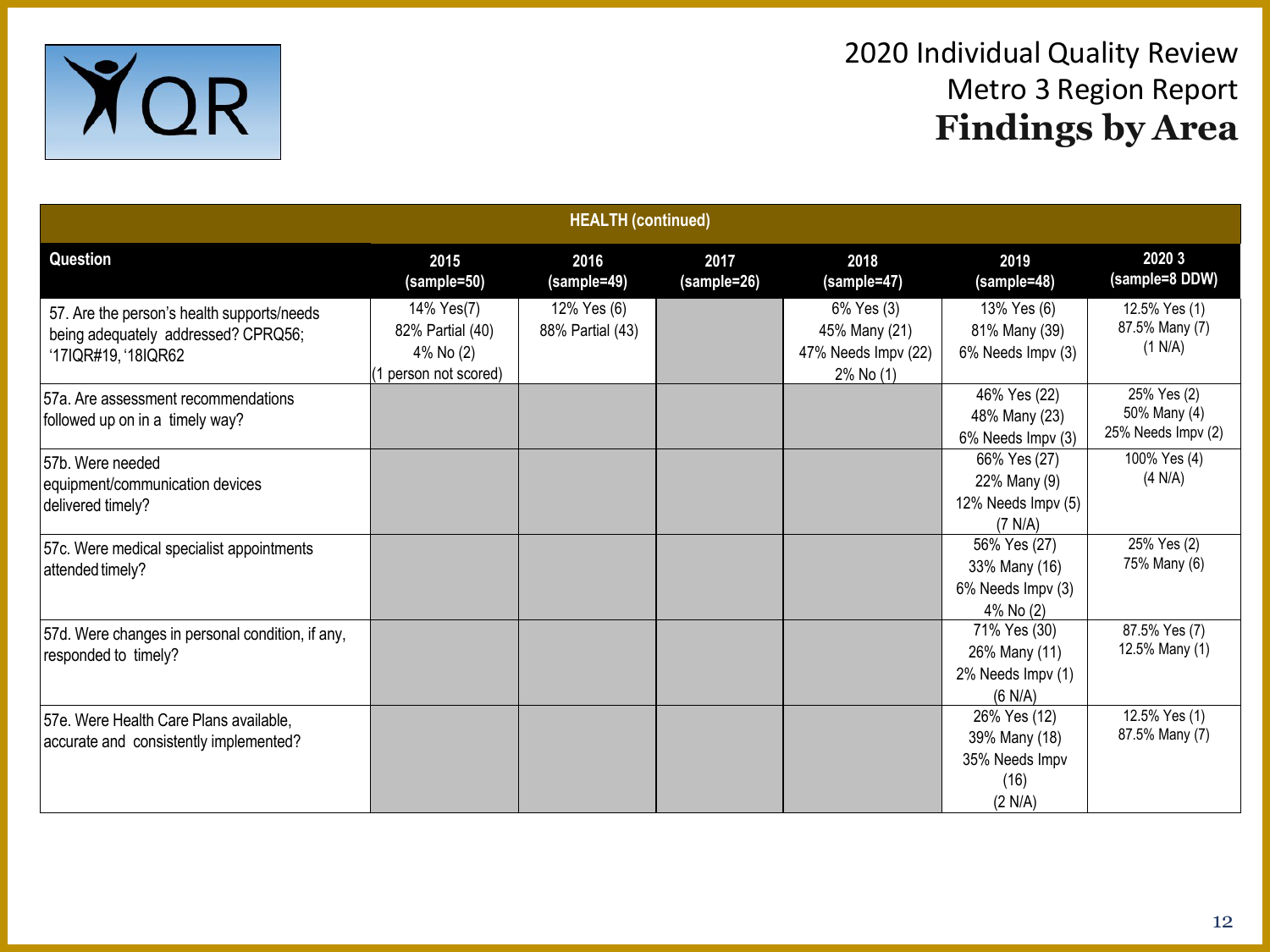

| <b>HEALTH</b> (continued)                                                                                |                                                                     |                                 |                     |                                                                 |                                                                    |                                                   |  |  |
|----------------------------------------------------------------------------------------------------------|---------------------------------------------------------------------|---------------------------------|---------------------|-----------------------------------------------------------------|--------------------------------------------------------------------|---------------------------------------------------|--|--|
| Question                                                                                                 | 2015<br>(sample=50)                                                 | 2016<br>(sample=49)             | 2017<br>(sample=26) | 2018<br>(sample=47)                                             | 2019<br>(sample=48)                                                | 2020 3<br>(sample=8 DDW)                          |  |  |
| 57. Are the person's health supports/needs<br>being adequately addressed? CPRQ56;<br>'17IQR#19, '18IQR62 | 14% Yes(7)<br>82% Partial (40)<br>4% No (2)<br>1 person not scored) | 12% Yes (6)<br>88% Partial (43) |                     | 6% Yes (3)<br>45% Many (21)<br>47% Needs Impv (22)<br>2% No (1) | 13% Yes (6)<br>81% Many (39)<br>6% Needs Impv (3)                  | 12.5% Yes (1)<br>87.5% Many (7)<br>(1 N/A)        |  |  |
| 57a. Are assessment recommendations<br>followed up on in a timely way?                                   |                                                                     |                                 |                     |                                                                 | 46% Yes (22)<br>48% Many (23)<br>6% Needs Impv (3)                 | 25% Yes (2)<br>50% Many (4)<br>25% Needs Impv (2) |  |  |
| 57b. Were needed<br>equipment/communication devices<br>delivered timely?                                 |                                                                     |                                 |                     |                                                                 | 66% Yes (27)<br>22% Many (9)<br>12% Needs Impv (5)<br>(7 N/A)      | 100% Yes (4)<br>(4 N/A)                           |  |  |
| 57c. Were medical specialist appointments<br>attended timely?                                            |                                                                     |                                 |                     |                                                                 | 56% Yes (27)<br>33% Many (16)<br>6% Needs Impv (3)<br>4% No (2)    | 25% Yes (2)<br>75% Many (6)                       |  |  |
| 57d. Were changes in personal condition, if any,<br>responded to timely?                                 |                                                                     |                                 |                     |                                                                 | 71% Yes (30)<br>26% Many (11)<br>2% Needs Impv (1)<br>(6 N/A)      | 87.5% Yes (7)<br>12.5% Many (1)                   |  |  |
| 57e. Were Health Care Plans available,<br>accurate and consistently implemented?                         |                                                                     |                                 |                     |                                                                 | 26% Yes (12)<br>39% Many (18)<br>35% Needs Impv<br>(16)<br>(2 N/A) | 12.5% Yes (1)<br>87.5% Many (7)                   |  |  |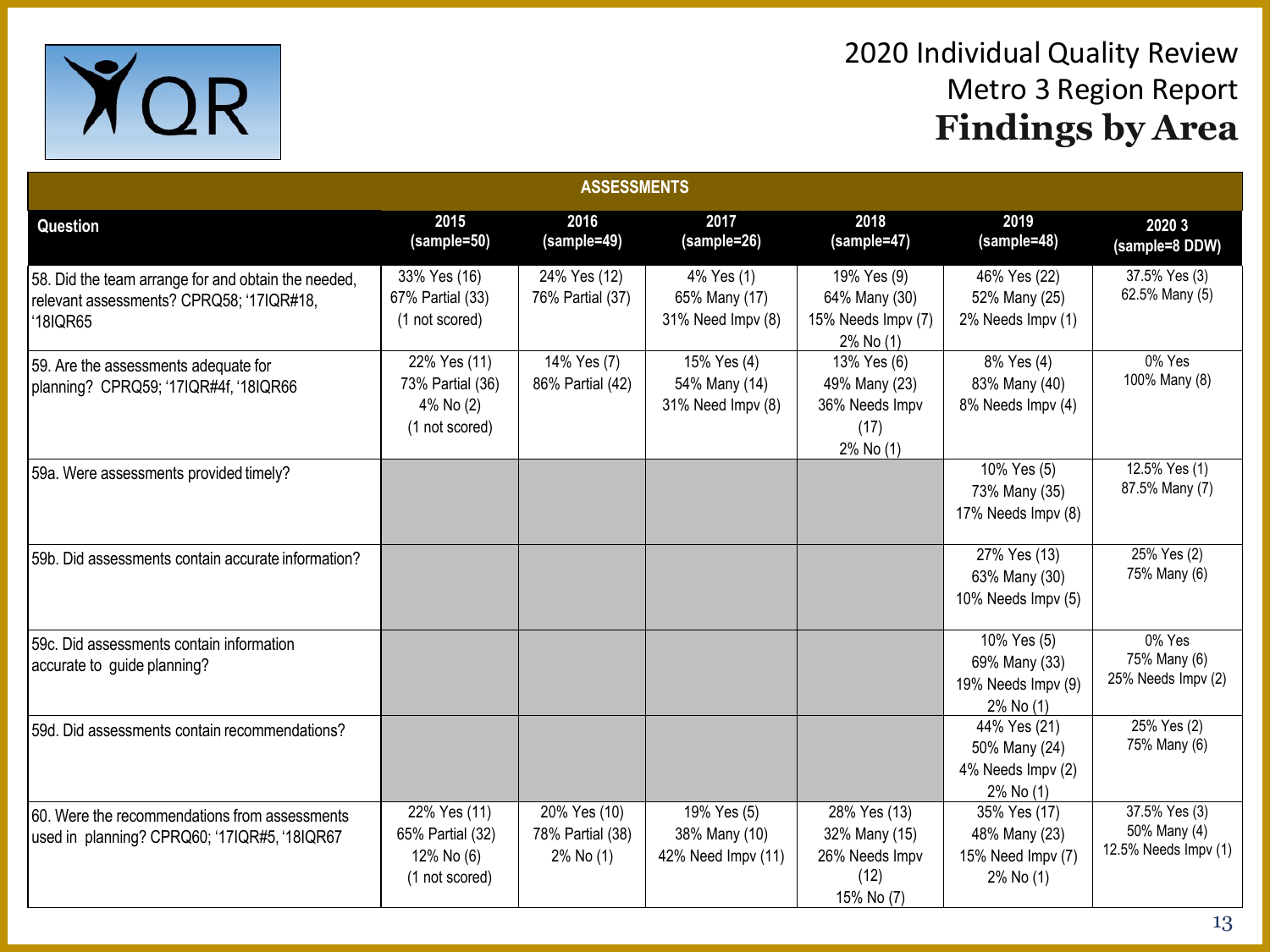

| <b>ASSESSMENTS</b>                                                                                          |                                                                  |                                               |                                                    |                                                                       |                                                                 |                                                       |  |  |
|-------------------------------------------------------------------------------------------------------------|------------------------------------------------------------------|-----------------------------------------------|----------------------------------------------------|-----------------------------------------------------------------------|-----------------------------------------------------------------|-------------------------------------------------------|--|--|
| Question                                                                                                    | 2015<br>(sample=50)                                              | 2016<br>(sample=49)                           | 2017<br>(sample=26)                                | 2018<br>(sample=47)                                                   | 2019<br>(sample=48)                                             | 2020 3<br>(sample=8 DDW)                              |  |  |
| 58. Did the team arrange for and obtain the needed,<br>relevant assessments? CPRQ58; '17IQR#18,<br>'18IQR65 | 33% Yes (16)<br>67% Partial (33)<br>(1 not scored)               | 24% Yes (12)<br>76% Partial (37)              | 4% Yes (1)<br>65% Many (17)<br>31% Need Impv (8)   | 19% Yes (9)<br>64% Many (30)<br>15% Needs Impv (7)<br>2% No (1)       | 46% Yes (22)<br>52% Many (25)<br>2% Needs Impv (1)              | 37.5% Yes (3)<br>62.5% Many (5)                       |  |  |
| 59. Are the assessments adequate for<br>planning? CPRQ59; '17IQR#4f, '18IQR66                               | 22% Yes (11)<br>73% Partial (36)<br>4% No (2)<br>(1 not scored)  | 14% Yes (7)<br>86% Partial (42)               | 15% Yes (4)<br>54% Many (14)<br>31% Need Impv (8)  | 13% Yes (6)<br>49% Many (23)<br>36% Needs Impv<br>(17)<br>2% No (1)   | 8% Yes (4)<br>83% Many (40)<br>8% Needs Impv (4)                | 0% Yes<br>100% Many (8)                               |  |  |
| 59a. Were assessments provided timely?                                                                      |                                                                  |                                               |                                                    |                                                                       | 10% Yes (5)<br>73% Many (35)<br>17% Needs Impv (8)              | 12.5% Yes (1)<br>87.5% Many (7)                       |  |  |
| 59b. Did assessments contain accurate information?                                                          |                                                                  |                                               |                                                    |                                                                       | 27% Yes (13)<br>63% Many (30)<br>10% Needs Impv (5)             | 25% Yes (2)<br>75% Many (6)                           |  |  |
| 59c. Did assessments contain information<br>accurate to guide planning?                                     |                                                                  |                                               |                                                    |                                                                       | 10% Yes (5)<br>69% Many (33)<br>19% Needs Impv (9)<br>2% No (1) | 0% Yes<br>75% Many (6)<br>25% Needs Impv (2)          |  |  |
| 59d. Did assessments contain recommendations?                                                               |                                                                  |                                               |                                                    |                                                                       | 44% Yes (21)<br>50% Many (24)<br>4% Needs Impv (2)<br>2% No (1) | $25%$ Yes $(2)$<br>75% Many (6)                       |  |  |
| 60. Were the recommendations from assessments<br>used in planning? CPRQ60; '17IQR#5, '18IQR67               | 22% Yes (11)<br>65% Partial (32)<br>12% No (6)<br>(1 not scored) | 20% Yes (10)<br>78% Partial (38)<br>2% No (1) | 19% Yes (5)<br>38% Many (10)<br>42% Need Impv (11) | 28% Yes (13)<br>32% Many (15)<br>26% Needs Impv<br>(12)<br>15% No (7) | 35% Yes (17)<br>48% Many (23)<br>15% Need Impv (7)<br>2% No (1) | 37.5% Yes (3)<br>50% Many (4)<br>12.5% Needs Impv (1) |  |  |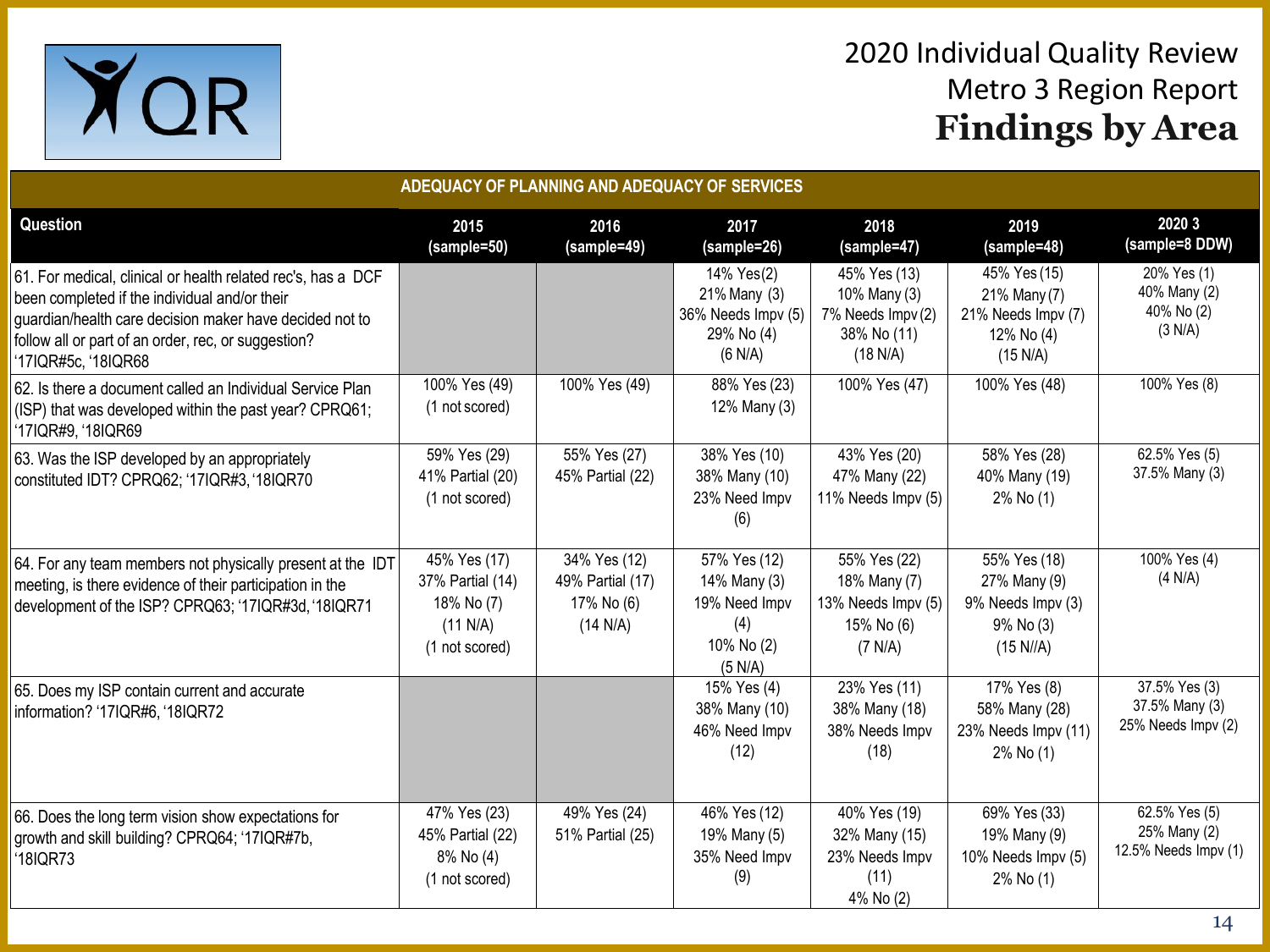

| ADEQUACY OF PLANNING AND ADEQUACY OF SERVICES                                                                                                                                                                                                          |                                                                              |                                                            |                                                                               |                                                                              |                                                                              |                                                       |  |  |
|--------------------------------------------------------------------------------------------------------------------------------------------------------------------------------------------------------------------------------------------------------|------------------------------------------------------------------------------|------------------------------------------------------------|-------------------------------------------------------------------------------|------------------------------------------------------------------------------|------------------------------------------------------------------------------|-------------------------------------------------------|--|--|
| Question                                                                                                                                                                                                                                               | 2015<br>(sample=50)                                                          | 2016<br>(sample=49)                                        | 2017<br>(sample=26)                                                           | 2018<br>(sample=47)                                                          | 2019<br>(sample=48)                                                          | 2020 3<br>(sample=8 DDW)                              |  |  |
| 61. For medical, clinical or health related rec's, has a DCF<br>been completed if the individual and/or their<br>guardian/health care decision maker have decided not to<br>follow all or part of an order, rec, or suggestion?<br>'17IQR#5c, '18IQR68 |                                                                              |                                                            | 14% Yes(2)<br>21% Many (3)<br>36% Needs Impv (5)<br>29% No (4)<br>(6 N/A)     | 45% Yes (13)<br>10% Many (3)<br>7% Needs Impv (2)<br>38% No (11)<br>(18 N/A) | 45% Yes (15)<br>21% Many (7)<br>21% Needs Impv (7)<br>12% No (4)<br>(15 N/A) | 20% Yes (1)<br>40% Many (2)<br>40% No (2)<br>(3 N/A)  |  |  |
| 62. Is there a document called an Individual Service Plan<br>(ISP) that was developed within the past year? CPRQ61;<br>'17IQR#9, '18IQR69                                                                                                              | 100% Yes (49)<br>(1 not scored)                                              | 100% Yes (49)                                              | 88% Yes (23)<br>12% Many (3)                                                  | 100% Yes (47)                                                                | 100% Yes (48)                                                                | 100% Yes (8)                                          |  |  |
| 63. Was the ISP developed by an appropriately<br>constituted IDT? CPRQ62; '17IQR#3, '18IQR70                                                                                                                                                           | 59% Yes (29)<br>41% Partial (20)<br>(1 not scored)                           | 55% Yes (27)<br>45% Partial (22)                           | 38% Yes (10)<br>38% Many (10)<br>23% Need Impv<br>(6)                         | 43% Yes (20)<br>47% Many (22)<br>11% Needs Impv (5)                          | 58% Yes (28)<br>40% Many (19)<br>2% No (1)                                   | 62.5% Yes (5)<br>37.5% Many (3)                       |  |  |
| 64. For any team members not physically present at the IDT<br>meeting, is there evidence of their participation in the<br>development of the ISP? CPRQ63; '17IQR#3d, '18IQR71                                                                          | 45% Yes (17)<br>37% Partial (14)<br>18% No (7)<br>(11 N/A)<br>(1 not scored) | 34% Yes (12)<br>49% Partial (17)<br>17% No (6)<br>(14 N/A) | 57% Yes (12)<br>14% Many (3)<br>19% Need Impv<br>(4)<br>10% No (2)<br>(5 N/A) | 55% Yes (22)<br>18% Many (7)<br>13% Needs Impv (5)<br>15% No (6)<br>(7 N/A)  | 55% Yes (18)<br>27% Many (9)<br>9% Needs Impv (3)<br>9% No (3)<br>(15 N//A)  | 100% Yes (4)<br>(4 N/A)                               |  |  |
| 65. Does my ISP contain current and accurate<br>information? '17IQR#6, '18IQR72                                                                                                                                                                        |                                                                              |                                                            | 15% Yes (4)<br>38% Many (10)<br>46% Need Impv<br>(12)                         | 23% Yes (11)<br>38% Many (18)<br>38% Needs Impv<br>(18)                      | 17% Yes (8)<br>58% Many (28)<br>23% Needs Impv (11)<br>2% No (1)             | 37.5% Yes (3)<br>37.5% Many (3)<br>25% Needs Impv (2) |  |  |
| 66. Does the long term vision show expectations for<br>growth and skill building? CPRQ64; '17IQR#7b,<br>'18IQR73                                                                                                                                       | 47% Yes (23)<br>45% Partial (22)<br>8% No (4)<br>(1 not scored)              | 49% Yes (24)<br>51% Partial (25)                           | 46% Yes (12)<br>19% Many (5)<br>35% Need Impv<br>(9)                          | 40% Yes (19)<br>32% Many (15)<br>23% Needs Impv<br>(11)<br>4% No (2)         | 69% Yes (33)<br>19% Many (9)<br>10% Needs Impv (5)<br>2% No (1)              | 62.5% Yes (5)<br>25% Many (2)<br>12.5% Needs Impv (1) |  |  |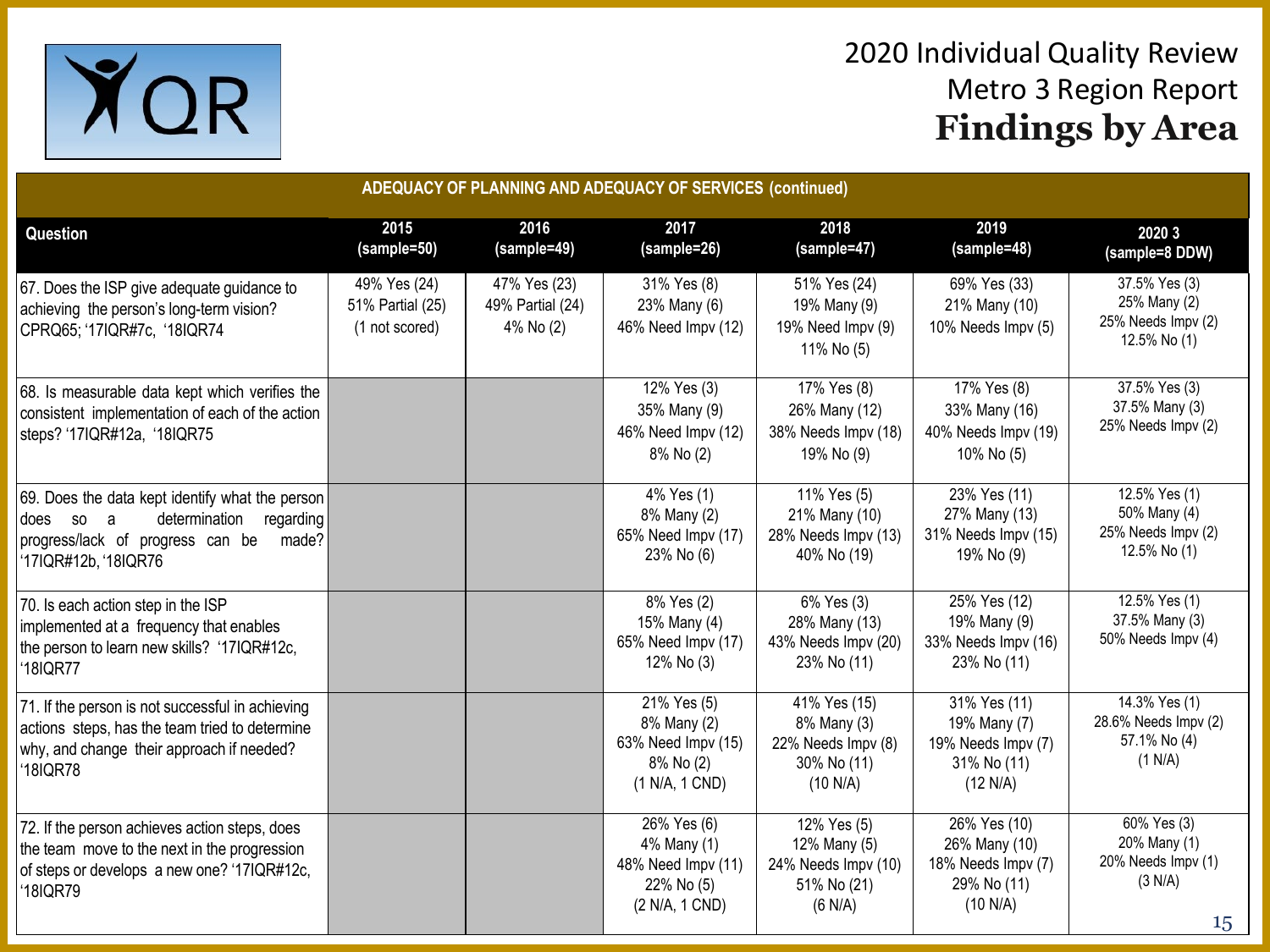

| ADEQUACY OF PLANNING AND ADEQUACY OF SERVICES (continued)                                                                                                            |                                                    |                                               |                                                                                  |                                                                              |                                                                                |                                                                                 |  |  |  |  |
|----------------------------------------------------------------------------------------------------------------------------------------------------------------------|----------------------------------------------------|-----------------------------------------------|----------------------------------------------------------------------------------|------------------------------------------------------------------------------|--------------------------------------------------------------------------------|---------------------------------------------------------------------------------|--|--|--|--|
| Question                                                                                                                                                             | 2015<br>(sample=50)                                | 2016<br>(sample=49)                           | 2017<br>(sample=26)                                                              | 2018<br>(sample=47)                                                          | 2019<br>(sample=48)                                                            | 2020 3<br>(sample=8 DDW)                                                        |  |  |  |  |
| 67. Does the ISP give adequate guidance to<br>achieving the person's long-term vision?<br>CPRQ65; '17IQR#7c, '18IQR74                                                | 49% Yes (24)<br>51% Partial (25)<br>(1 not scored) | 47% Yes (23)<br>49% Partial (24)<br>4% No (2) | 31% Yes (8)<br>23% Many (6)<br>46% Need Impv (12)                                | 51% Yes (24)<br>19% Many (9)<br>19% Need Impv (9)<br>11% No (5)              | 69% Yes (33)<br>21% Many (10)<br>10% Needs Impv (5)                            | 37.5% Yes (3)<br>25% Many (2)<br>25% Needs Impv (2)<br>12.5% No (1)             |  |  |  |  |
| 68. Is measurable data kept which verifies the<br>consistent implementation of each of the action<br>steps? '17IQR#12a, '18IQR75                                     |                                                    |                                               | 12% Yes (3)<br>35% Many (9)<br>46% Need Impv (12)<br>8% No (2)                   | 17% Yes (8)<br>26% Many (12)<br>38% Needs Impv (18)<br>19% No (9)            | 17% Yes (8)<br>33% Many (16)<br>40% Needs Impv (19)<br>10% No (5)              | 37.5% Yes (3)<br>37.5% Many (3)<br>25% Needs Impv (2)                           |  |  |  |  |
| 69. Does the data kept identify what the person<br>determination<br>does so<br>a a<br>regarding<br>progress/lack of progress can be<br>made?<br>'17IQR#12b, '18IQR76 |                                                    |                                               | 4% Yes (1)<br>8% Many (2)<br>65% Need Impv (17)<br>23% No (6)                    | 11% Yes (5)<br>21% Many (10)<br>28% Needs Impv (13)<br>40% No (19)           | 23% Yes (11)<br>27% Many (13)<br>31% Needs Impv (15)<br>19% No (9)             | 12.5% Yes (1)<br>50% Many (4)<br>25% Needs Impv (2)<br>12.5% No (1)             |  |  |  |  |
| 70. Is each action step in the ISP<br>implemented at a frequency that enables<br>the person to learn new skills? '17IQR#12c,<br>'18IQR77                             |                                                    |                                               | 8% Yes (2)<br>15% Many (4)<br>65% Need Impv (17)<br>12% No (3)                   | 6% Yes (3)<br>28% Many (13)<br>43% Needs Impv (20)<br>23% No (11)            | 25% Yes (12)<br>19% Many (9)<br>33% Needs Impv (16)<br>23% No (11)             | 12.5% Yes (1)<br>37.5% Many (3)<br>50% Needs Impv (4)                           |  |  |  |  |
| 71. If the person is not successful in achieving<br>actions steps, has the team tried to determine<br>why, and change their approach if needed?<br>18IQR78           |                                                    |                                               | 21% Yes (5)<br>8% Many (2)<br>63% Need Impv (15)<br>8% No (2)<br>(1 N/A, 1 CND)  | 41% Yes (15)<br>8% Many (3)<br>22% Needs Impv (8)<br>30% No (11)<br>(10 N/A) | 31% Yes (11)<br>19% Many (7)<br>19% Needs Impv (7)<br>31% No (11)<br>(12 N/A)  | 14.3% Yes (1)<br>28.6% Needs Impv (2)<br>57.1% No (4)<br>(1 N/A)                |  |  |  |  |
| 72. If the person achieves action steps, does<br>the team move to the next in the progression<br>of steps or develops a new one? '17IQR#12c,<br>18IQR79              |                                                    |                                               | 26% Yes (6)<br>4% Many (1)<br>48% Need Impv (11)<br>22% No (5)<br>(2 N/A, 1 CND) | 12% Yes (5)<br>12% Many (5)<br>24% Needs Impv (10)<br>51% No (21)<br>(6 N/A) | 26% Yes (10)<br>26% Many (10)<br>18% Needs Impv (7)<br>29% No (11)<br>(10 N/A) | 60% Yes (3)<br>20% Many (1)<br>20% Needs Impv (1)<br>(3 N/A)<br>15 <sub>1</sub> |  |  |  |  |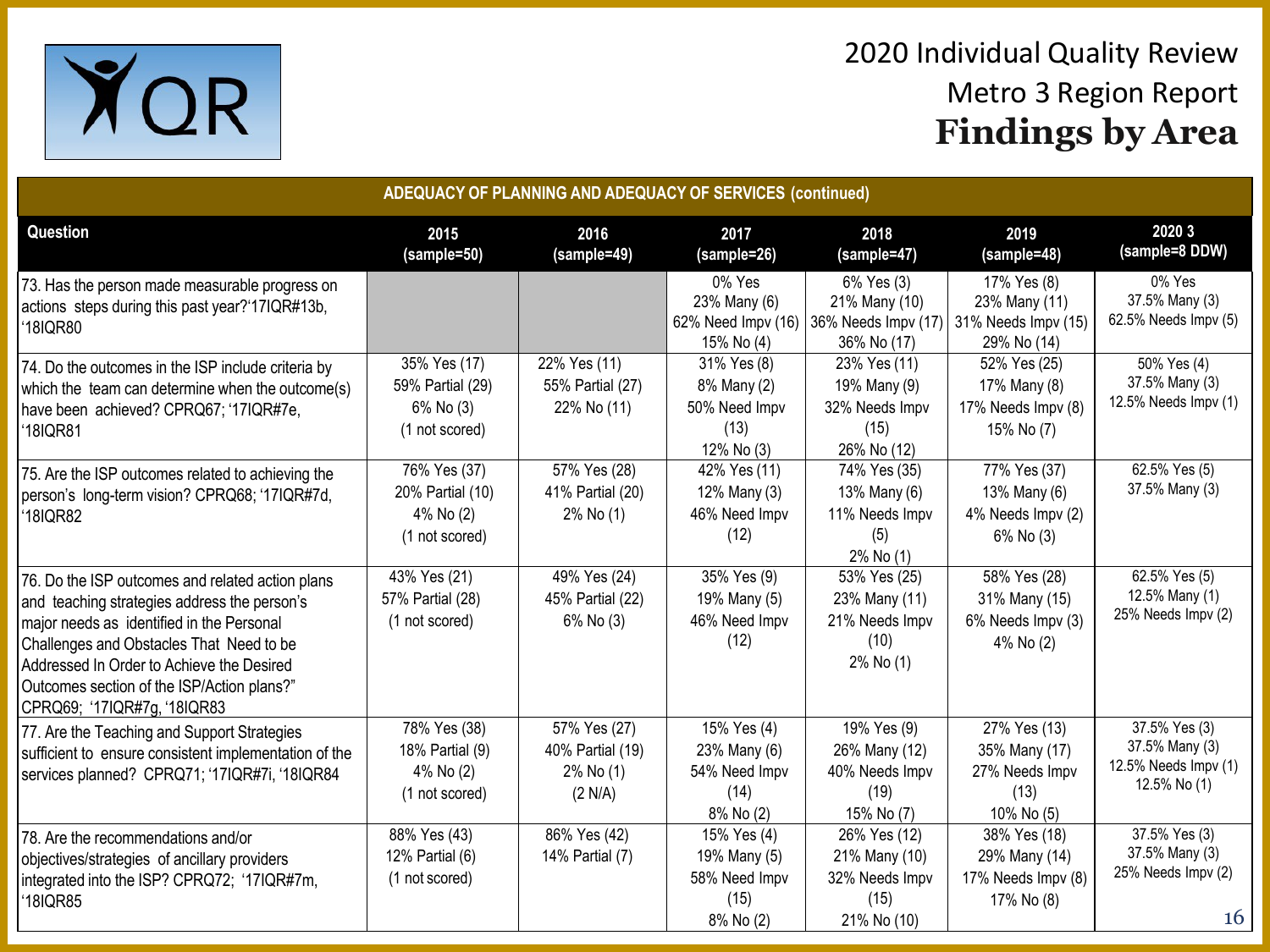

| ADEQUACY OF PLANNING AND ADEQUACY OF SERVICES (continued)                                                                                                                                                                                                                                                           |                                                                 |                                                          |                                                                   |                                                                        |                                                                       |                                                                         |  |  |
|---------------------------------------------------------------------------------------------------------------------------------------------------------------------------------------------------------------------------------------------------------------------------------------------------------------------|-----------------------------------------------------------------|----------------------------------------------------------|-------------------------------------------------------------------|------------------------------------------------------------------------|-----------------------------------------------------------------------|-------------------------------------------------------------------------|--|--|
| Question                                                                                                                                                                                                                                                                                                            | 2015<br>(sample=50)                                             | 2016<br>(sample=49)                                      | 2017<br>(sample=26)                                               | 2018<br>(sample=47)                                                    | 2019<br>(sample=48)                                                   | 2020 3<br>(sample=8 DDW)                                                |  |  |
| 73. Has the person made measurable progress on<br>actions steps during this past year?'17IQR#13b,<br>'18IQR80                                                                                                                                                                                                       |                                                                 |                                                          | 0% Yes<br>23% Many (6)<br>62% Need Impv (16)<br>15% No (4)        | 6% Yes (3)<br>21% Many (10)<br>36% Needs Impv (17)<br>36% No (17)      | 17% Yes (8)<br>23% Many (11)<br>31% Needs Impv (15)<br>29% No (14)    | 0% Yes<br>37.5% Many (3)<br>62.5% Needs Impv (5)                        |  |  |
| 74. Do the outcomes in the ISP include criteria by<br>which the team can determine when the outcome(s)<br>have been achieved? CPRQ67; '17IQR#7e,<br>'18IQR81                                                                                                                                                        | 35% Yes (17)<br>59% Partial (29)<br>6% No (3)<br>(1 not scored) | 22% Yes (11)<br>55% Partial (27)<br>22% No (11)          | 31% Yes (8)<br>8% Many (2)<br>50% Need Impv<br>(13)<br>12% No (3) | 23% Yes (11)<br>19% Many (9)<br>32% Needs Impv<br>(15)<br>26% No (12)  | 52% Yes (25)<br>17% Many (8)<br>17% Needs Impv (8)<br>15% No (7)      | 50% Yes (4)<br>37.5% Many (3)<br>12.5% Needs Impv (1)                   |  |  |
| 75. Are the ISP outcomes related to achieving the<br>person's long-term vision? CPRQ68; '17IQR#7d,<br>'18IQR82                                                                                                                                                                                                      | 76% Yes (37)<br>20% Partial (10)<br>4% No (2)<br>(1 not scored) | 57% Yes (28)<br>41% Partial (20)<br>2% No (1)            | 42% Yes (11)<br>12% Many (3)<br>46% Need Impv<br>(12)             | 74% Yes (35)<br>13% Many (6)<br>11% Needs Impv<br>(5)<br>2% No (1)     | 77% Yes (37)<br>13% Many (6)<br>4% Needs Impv (2)<br>6% No (3)        | 62.5% Yes (5)<br>37.5% Many (3)                                         |  |  |
| 76. Do the ISP outcomes and related action plans<br>and teaching strategies address the person's<br>major needs as identified in the Personal<br>Challenges and Obstacles That Need to be<br>Addressed In Order to Achieve the Desired<br>Outcomes section of the ISP/Action plans?"<br>CPRQ69; '17IQR#7g, '18IQR83 | 43% Yes (21)<br>57% Partial (28)<br>(1 not scored)              | 49% Yes (24)<br>45% Partial (22)<br>6% No (3)            | 35% Yes (9)<br>19% Many (5)<br>46% Need Impv<br>(12)              | 53% Yes (25)<br>23% Many (11)<br>21% Needs Impv<br>(10)<br>2% No (1)   | 58% Yes (28)<br>31% Many (15)<br>6% Needs Impv (3)<br>4% No (2)       | 62.5% Yes (5)<br>12.5% Many (1)<br>25% Needs Impv (2)                   |  |  |
| 77. Are the Teaching and Support Strategies<br>sufficient to ensure consistent implementation of the<br>services planned? CPRQ71; '17IQR#7i, '18IQR84                                                                                                                                                               | 78% Yes (38)<br>18% Partial (9)<br>4% No (2)<br>(1 not scored)  | 57% Yes (27)<br>40% Partial (19)<br>2% No (1)<br>(2 N/A) | 15% Yes (4)<br>23% Many (6)<br>54% Need Impv<br>(14)<br>8% No (2) | 19% Yes (9)<br>26% Many (12)<br>40% Needs Impv<br>(19)<br>15% No (7)   | 27% Yes (13)<br>35% Many (17)<br>27% Needs Impv<br>(13)<br>10% No (5) | 37.5% Yes (3)<br>37.5% Many (3)<br>12.5% Needs Impv (1)<br>12.5% No (1) |  |  |
| 78. Are the recommendations and/or<br>objectives/strategies of ancillary providers<br>integrated into the ISP? CPRQ72; '17IQR#7m,<br>'18IQR85                                                                                                                                                                       | 88% Yes (43)<br>12% Partial (6)<br>(1 not scored)               | 86% Yes (42)<br>14% Partial (7)                          | 15% Yes (4)<br>19% Many (5)<br>58% Need Impv<br>(15)<br>8% No (2) | 26% Yes (12)<br>21% Many (10)<br>32% Needs Impv<br>(15)<br>21% No (10) | 38% Yes (18)<br>29% Many (14)<br>17% Needs Impv (8)<br>17% No (8)     | 37.5% Yes (3)<br>37.5% Many (3)<br>25% Needs Impv (2)<br>16             |  |  |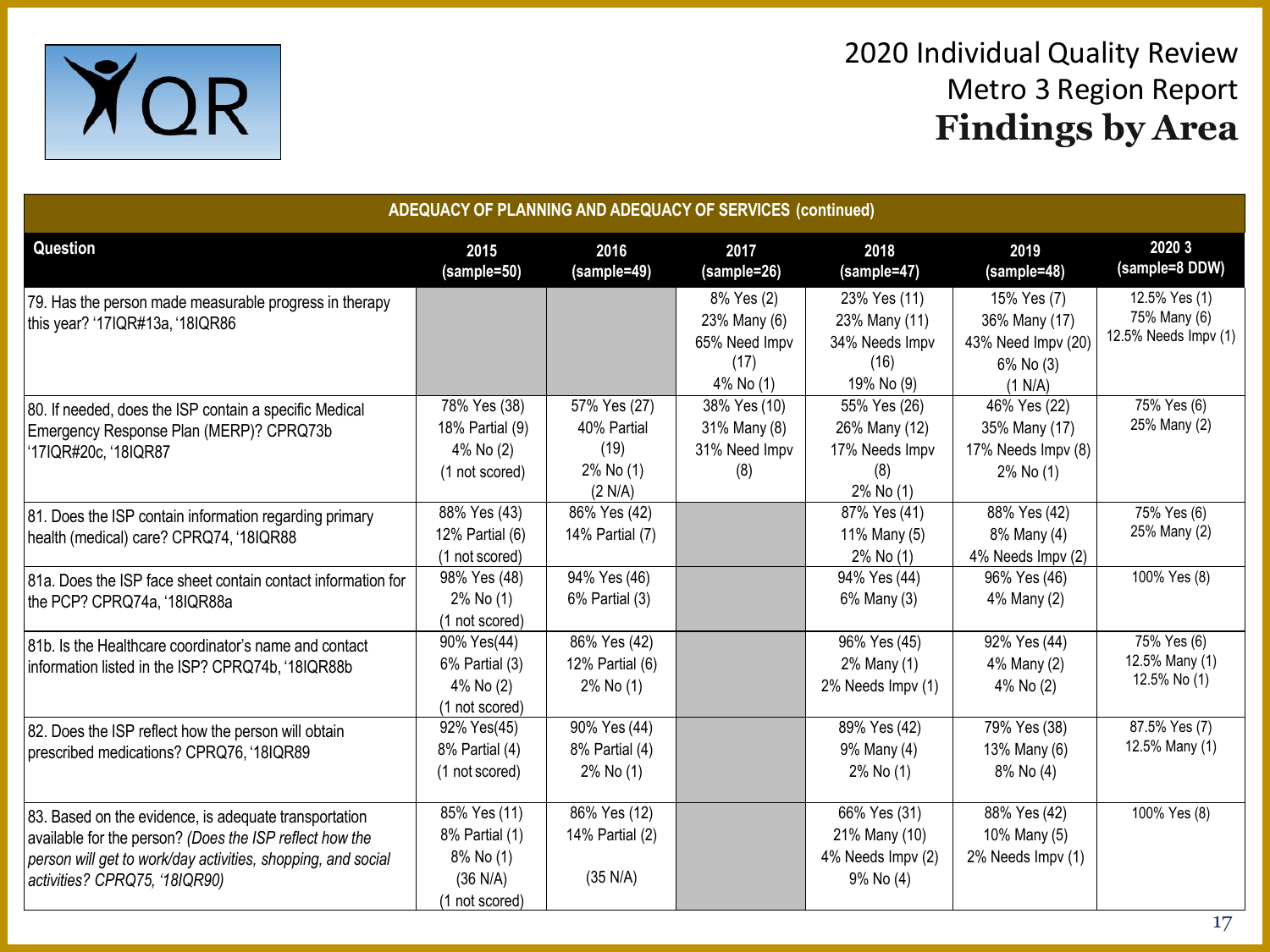

| ADEQUACY OF PLANNING AND ADEQUACY OF SERVICES (continued)                                                                                                                                                         |                                                                           |                                                             |                                                                  |                                                                       |                                                                            |                                                       |  |  |
|-------------------------------------------------------------------------------------------------------------------------------------------------------------------------------------------------------------------|---------------------------------------------------------------------------|-------------------------------------------------------------|------------------------------------------------------------------|-----------------------------------------------------------------------|----------------------------------------------------------------------------|-------------------------------------------------------|--|--|
| Question                                                                                                                                                                                                          | 2015<br>(sample=50)                                                       | 2016<br>(sample=49)                                         | 2017<br>(sample=26)                                              | 2018<br>(sample=47)                                                   | 2019<br>(sample=48)                                                        | 2020 3<br>(sample=8 DDW)                              |  |  |
| 79. Has the person made measurable progress in therapy<br>this year? '17IQR#13a, '18IQR86                                                                                                                         |                                                                           |                                                             | 8% Yes (2)<br>23% Many (6)<br>65% Need Impv<br>(17)<br>4% No (1) | 23% Yes (11)<br>23% Many (11)<br>34% Needs Impv<br>(16)<br>19% No (9) | 15% Yes (7)<br>36% Many (17)<br>43% Need Impv (20)<br>6% No (3)<br>(1 N/A) | 12.5% Yes (1)<br>75% Many (6)<br>12.5% Needs Impv (1) |  |  |
| 80. If needed, does the ISP contain a specific Medical<br>Emergency Response Plan (MERP)? CPRQ73b<br>'17IQR#20c, '18IQR87                                                                                         | 78% Yes (38)<br>18% Partial (9)<br>4% No (2)<br>(1 not scored)            | 57% Yes (27)<br>40% Partial<br>(19)<br>2% No (1)<br>(2 N/A) | 38% Yes (10)<br>31% Many (8)<br>31% Need Impv<br>(8)             | 55% Yes (26)<br>26% Many (12)<br>17% Needs Impv<br>(8)<br>2% No (1)   | 46% Yes (22)<br>35% Many (17)<br>17% Needs Impv (8)<br>2% No (1)           | 75% Yes (6)<br>25% Many (2)                           |  |  |
| 81. Does the ISP contain information regarding primary<br>health (medical) care? CPRQ74, '18IQR88                                                                                                                 | 88% Yes (43)<br>12% Partial (6)<br>(1 not scored)                         | 86% Yes (42)<br>14% Partial (7)                             |                                                                  | 87% Yes (41)<br>11% Many (5)<br>2% No (1)                             | 88% Yes (42)<br>8% Many (4)<br>4% Needs Impv (2)                           | 75% Yes (6)<br>25% Many (2)                           |  |  |
| 81a. Does the ISP face sheet contain contact information for<br>the PCP? CPRQ74a, '18IQR88a                                                                                                                       | 98% Yes (48)<br>2% No (1)<br>(1 not scored)                               | 94% Yes (46)<br>6% Partial (3)                              |                                                                  | 94% Yes (44)<br>6% Many (3)                                           | 96% Yes (46)<br>4% Many (2)                                                | $100\%$ Yes $(8)$                                     |  |  |
| 81b. Is the Healthcare coordinator's name and contact<br>information listed in the ISP? CPRQ74b, '18IQR88b                                                                                                        | 90% Yes(44)<br>6% Partial (3)<br>4% No (2)<br>(1 not scored)              | 86% Yes (42)<br>12% Partial (6)<br>2% No (1)                |                                                                  | 96% Yes (45)<br>2% Many (1)<br>2% Needs Impv (1)                      | 92% Yes (44)<br>4% Many (2)<br>4% No (2)                                   | 75% Yes (6)<br>12.5% Many (1)<br>12.5% No (1)         |  |  |
| 82. Does the ISP reflect how the person will obtain<br>prescribed medications? CPRQ76, '18IQR89                                                                                                                   | 92% Yes(45)<br>8% Partial (4)<br>(1 not scored)                           | 90% Yes (44)<br>8% Partial (4)<br>2% No (1)                 |                                                                  | 89% Yes (42)<br>9% Many (4)<br>2% No (1)                              | 79% Yes (38)<br>13% Many (6)<br>8% No (4)                                  | 87.5% Yes (7)<br>12.5% Many (1)                       |  |  |
| 83. Based on the evidence, is adequate transportation<br>available for the person? (Does the ISP reflect how the<br>person will get to work/day activities, shopping, and social<br>activities? CPRQ75, '18IQR90) | 85% Yes (11)<br>8% Partial (1)<br>8% No (1)<br>(36 N/A)<br>(1 not scored) | 86% Yes (12)<br>14% Partial (2)<br>(35 N/A)                 |                                                                  | 66% Yes (31)<br>21% Many (10)<br>4% Needs Impv (2)<br>9% No (4)       | 88% Yes (42)<br>10% Many (5)<br>2% Needs Impv (1)                          | 100% Yes (8)                                          |  |  |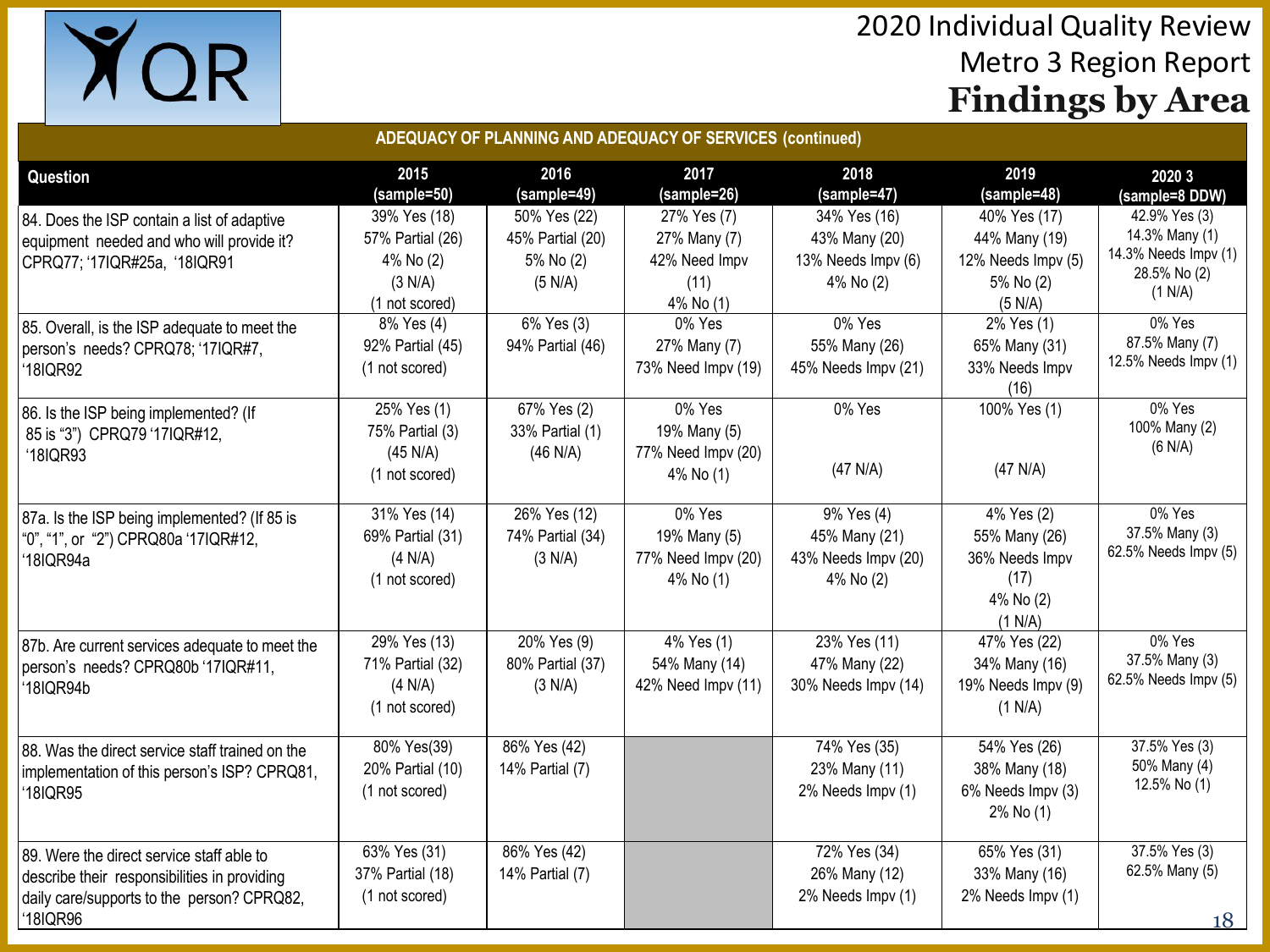

| ADEQUACY OF PLANNING AND ADEQUACY OF SERVICES (continued)                                                                                                                |                                                                                          |                                                                        |                                                                             |                                                                            |                                                                                           |                                                                                                                |  |  |
|--------------------------------------------------------------------------------------------------------------------------------------------------------------------------|------------------------------------------------------------------------------------------|------------------------------------------------------------------------|-----------------------------------------------------------------------------|----------------------------------------------------------------------------|-------------------------------------------------------------------------------------------|----------------------------------------------------------------------------------------------------------------|--|--|
| <b>Question</b>                                                                                                                                                          | 2015<br>(sample=50)                                                                      | 2016<br>(sample=49)                                                    | 2017<br>(sample=26)                                                         | 2018<br>(sample=47)                                                        | 2019<br>(sample=48)                                                                       | 2020 3<br>(sample=8 DDW)                                                                                       |  |  |
| 84. Does the ISP contain a list of adaptive<br>equipment needed and who will provide it?<br>CPRQ77; '17IQR#25a, '18IQR91<br>85. Overall, is the ISP adequate to meet the | 39% Yes (18)<br>57% Partial (26)<br>4% No (2)<br>(3 N/A)<br>(1 not scored)<br>8% Yes (4) | 50% Yes (22)<br>45% Partial (20)<br>5% No (2)<br>(5 N/A)<br>6% Yes (3) | 27% Yes (7)<br>27% Many (7)<br>42% Need Impv<br>(11)<br>4% No (1)<br>0% Yes | 34% Yes (16)<br>43% Many (20)<br>13% Needs Impv (6)<br>4% No (2)<br>0% Yes | 40% Yes (17)<br>44% Many (19)<br>12% Needs Impv (5)<br>5% No (2)<br>(5 N/A)<br>2% Yes (1) | 42.9% Yes (3)<br>14.3% Many (1)<br>14.3% Needs Impv (1)<br>28.5% No (2)<br>(1 N/A)<br>0% Yes<br>87.5% Many (7) |  |  |
| person's needs? CPRQ78; '17IQR#7,<br>18IQR92                                                                                                                             | 92% Partial (45)<br>(1 not scored)                                                       | 94% Partial (46)                                                       | 27% Many (7)<br>73% Need Impv (19)                                          | 55% Many (26)<br>45% Needs Impv (21)                                       | 65% Many (31)<br>33% Needs Impv<br>(16)                                                   | 12.5% Needs Impv (1)                                                                                           |  |  |
| 86. Is the ISP being implemented? (If<br>85 is "3") CPRQ79 '17IQR#12,<br>'18IQR93                                                                                        | 25% Yes (1)<br>75% Partial (3)<br>(45 N/A)<br>(1 not scored)                             | 67% Yes (2)<br>33% Partial (1)<br>(46 N/A)                             | 0% Yes<br>19% Many (5)<br>77% Need Impv (20)<br>4% No (1)                   | 0% Yes<br>(47 N/A)                                                         | 100% Yes (1)<br>(47 N/A)                                                                  | $0\%$ Yes<br>100% Many (2)<br>(6 N/A)                                                                          |  |  |
| 87a. Is the ISP being implemented? (If 85 is<br>"0", "1", or "2") CPRQ80a '17IQR#12,<br>18IQR94a                                                                         | 31% Yes (14)<br>69% Partial (31)<br>(4 N/A)<br>(1 not scored)                            | 26% Yes (12)<br>74% Partial (34)<br>(3 N/A)                            | 0% Yes<br>19% Many (5)<br>77% Need Impv (20)<br>4% No (1)                   | 9% Yes (4)<br>45% Many (21)<br>43% Needs Impv (20)<br>4% No (2)            | 4% Yes (2)<br>55% Many (26)<br>36% Needs Impv<br>(17)<br>4% No (2)<br>(1 N/A)             | $0\%$ Yes<br>37.5% Many (3)<br>62.5% Needs Impv (5)                                                            |  |  |
| 87b. Are current services adequate to meet the<br>person's needs? CPRQ80b '17IQR#11,<br>18IQR94b                                                                         | 29% Yes (13)<br>71% Partial (32)<br>(4 N/A)<br>(1 not scored)                            | 20% Yes (9)<br>80% Partial (37)<br>(3 N/A)                             | 4% Yes (1)<br>54% Many (14)<br>42% Need Impv (11)                           | 23% Yes (11)<br>47% Many (22)<br>30% Needs Impv (14)                       | 47% Yes (22)<br>34% Many (16)<br>19% Needs Impv (9)<br>(1 N/A)                            | $0%$ Yes<br>37.5% Many (3)<br>62.5% Needs Impv (5)                                                             |  |  |
| 88. Was the direct service staff trained on the<br>implementation of this person's ISP? CPRQ81,<br>18IQR95                                                               | 80% Yes(39)<br>20% Partial (10)<br>(1 not scored)                                        | 86% Yes (42)<br>14% Partial (7)                                        |                                                                             | 74% Yes (35)<br>23% Many (11)<br>2% Needs Impv (1)                         | 54% Yes (26)<br>38% Many (18)<br>6% Needs Impv (3)<br>2% No (1)                           | 37.5% Yes (3)<br>50% Many (4)<br>12.5% No (1)                                                                  |  |  |
| 89. Were the direct service staff able to<br>describe their responsibilities in providing<br>daily care/supports to the person? CPRQ82,<br>'18IQR96                      | 63% Yes (31)<br>37% Partial (18)<br>(1 not scored)                                       | 86% Yes (42)<br>14% Partial (7)                                        |                                                                             | 72% Yes (34)<br>26% Many (12)<br>2% Needs Impv (1)                         | 65% Yes (31)<br>33% Many (16)<br>2% Needs Impv (1)                                        | 37.5% Yes (3)<br>62.5% Many (5)<br>18                                                                          |  |  |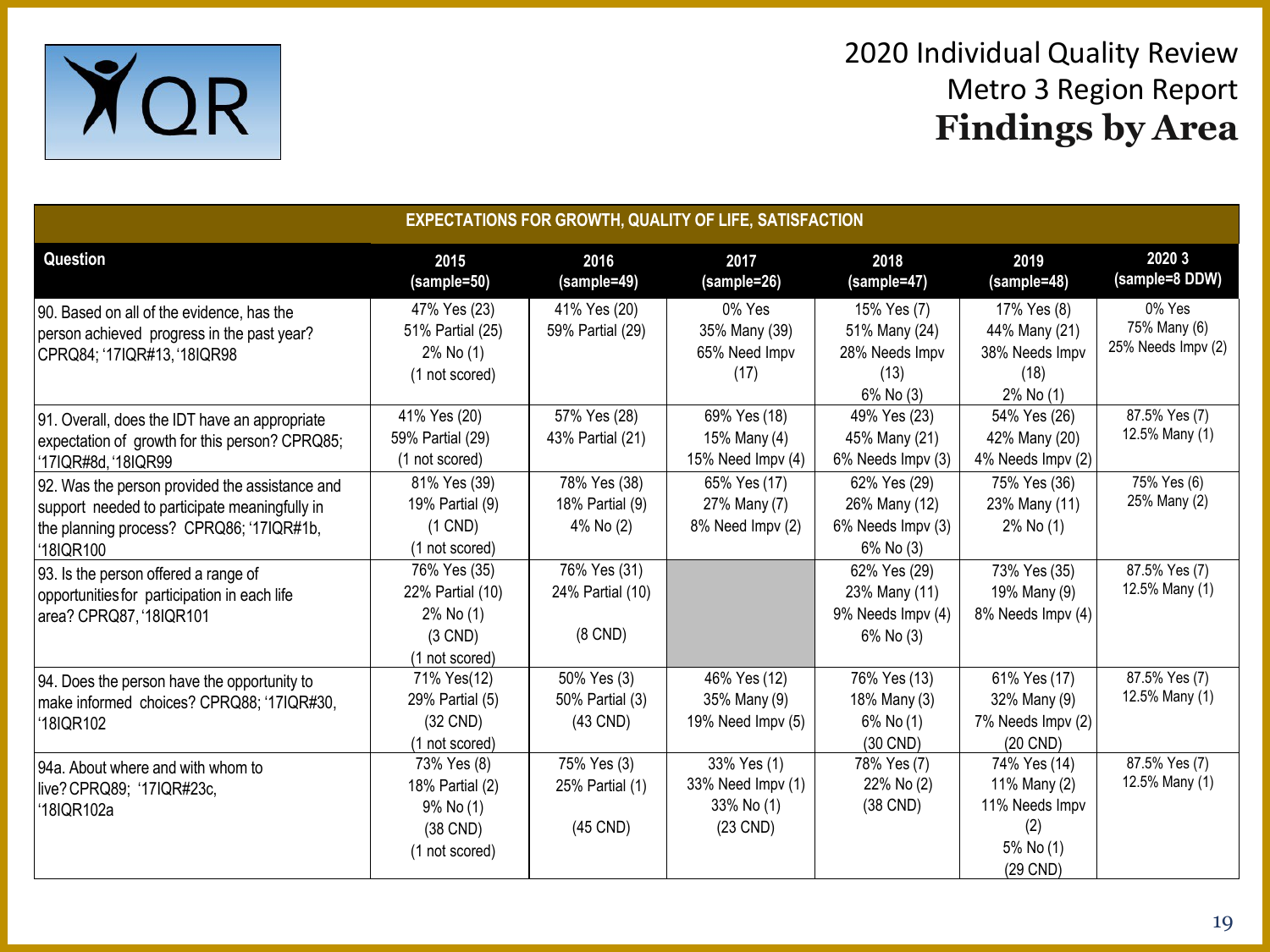

| <b>EXPECTATIONS FOR GROWTH, QUALITY OF LIFE, SATISFACTION</b>                                                                                            |                                                                              |                                                  |                                                              |                                                                          |                                                                                |                                              |  |
|----------------------------------------------------------------------------------------------------------------------------------------------------------|------------------------------------------------------------------------------|--------------------------------------------------|--------------------------------------------------------------|--------------------------------------------------------------------------|--------------------------------------------------------------------------------|----------------------------------------------|--|
| <b>Question</b>                                                                                                                                          | 2015<br>(sample=50)                                                          | 2016<br>(sample=49)                              | 2017<br>(sample=26)                                          | 2018<br>(sample=47)                                                      | 2019<br>(sample=48)                                                            | 2020 3<br>(sample=8 DDW)                     |  |
| 90. Based on all of the evidence, has the<br>person achieved progress in the past year?<br>CPRQ84; '17IQR#13, '18IQR98                                   | 47% Yes (23)<br>51% Partial (25)<br>2% No (1)<br>(1 not scored)              | 41% Yes (20)<br>59% Partial (29)                 | 0% Yes<br>35% Many (39)<br>65% Need Impv<br>(17)             | 15% Yes (7)<br>51% Many (24)<br>28% Needs Impv<br>(13)<br>$6\%$ No $(3)$ | 17% Yes (8)<br>44% Many (21)<br>38% Needs Impv<br>(18)<br>2% No (1)            | 0% Yes<br>75% Many (6)<br>25% Needs Impv (2) |  |
| 91. Overall, does the IDT have an appropriate<br>expectation of growth for this person? CPRQ85;<br>'17IQR#8d, '18IQR99                                   | 41% Yes (20)<br>59% Partial (29)<br>(1 not scored)                           | 57% Yes (28)<br>43% Partial (21)                 | 69% Yes (18)<br>15% Many (4)<br>15% Need $Impv(4)$           | 49% Yes (23)<br>45% Many (21)<br>6% Needs Impv (3)                       | 54% Yes (26)<br>42% Many (20)<br>4% Needs Impv (2)                             | 87.5% Yes (7)<br>12.5% Many (1)              |  |
| 92. Was the person provided the assistance and<br>support needed to participate meaningfully in<br>the planning process? CPRQ86; '17IQR#1b,<br>'18IQR100 | 81% Yes (39)<br>19% Partial (9)<br>$(1$ CND)<br>(1 not scored)               | 78% Yes (38)<br>18% Partial (9)<br>4% No (2)     | 65% Yes (17)<br>27% Many (7)<br>8% Need Impv (2)             | 62% Yes (29)<br>26% Many (12)<br>6% Needs Impv (3)<br>6% No (3)          | 75% Yes (36)<br>23% Many (11)<br>2% No (1)                                     | 75% Yes (6)<br>25% Many (2)                  |  |
| 93. Is the person offered a range of<br>opportunities for participation in each life<br>area? CPRQ87, '18IQR101                                          | 76% Yes (35)<br>22% Partial (10)<br>2% No (1)<br>$(3$ CND)<br>(1 not scored) | 76% Yes (31)<br>24% Partial (10)<br>$(8$ CND $)$ |                                                              | 62% Yes (29)<br>23% Many (11)<br>9% Needs Impv (4)<br>6% No (3)          | 73% Yes (35)<br>19% Many (9)<br>8% Needs Impv (4)                              | 87.5% Yes (7)<br>12.5% Many (1)              |  |
| 94. Does the person have the opportunity to<br>make informed choices? CPRQ88; '17IQR#30,<br>18IQR102                                                     | 71% Yes(12)<br>29% Partial (5)<br>$(32$ CND)<br>(1 not scored)               | 50% Yes (3)<br>50% Partial (3)<br>$(43$ CND)     | 46% Yes (12)<br>35% Many (9)<br>19% Need Impv (5)            | 76% Yes (13)<br>18% Many (3)<br>6% No (1)<br>(30 CND)                    | 61% Yes (17)<br>32% Many (9)<br>7% Needs Impv (2)<br>(20 CND)                  | 87.5% Yes (7)<br>12.5% Many (1)              |  |
| 94a. About where and with whom to<br>live? CPRQ89; '17IQR#23c,<br>'18IQR102a                                                                             | 73% Yes (8)<br>18% Partial (2)<br>$9\%$ No (1)<br>(38 CND)<br>(1 not scored) | 75% Yes (3)<br>25% Partial (1)<br>(45 CND)       | 33% Yes (1)<br>33% Need Impv (1)<br>33% No (1)<br>$(23$ CND) | 78% Yes (7)<br>22% No (2)<br>(38 CND)                                    | 74% Yes (14)<br>11% Many (2)<br>11% Needs Impv<br>(2)<br>5% No (1)<br>(29 CND) | 87.5% Yes (7)<br>12.5% Many (1)              |  |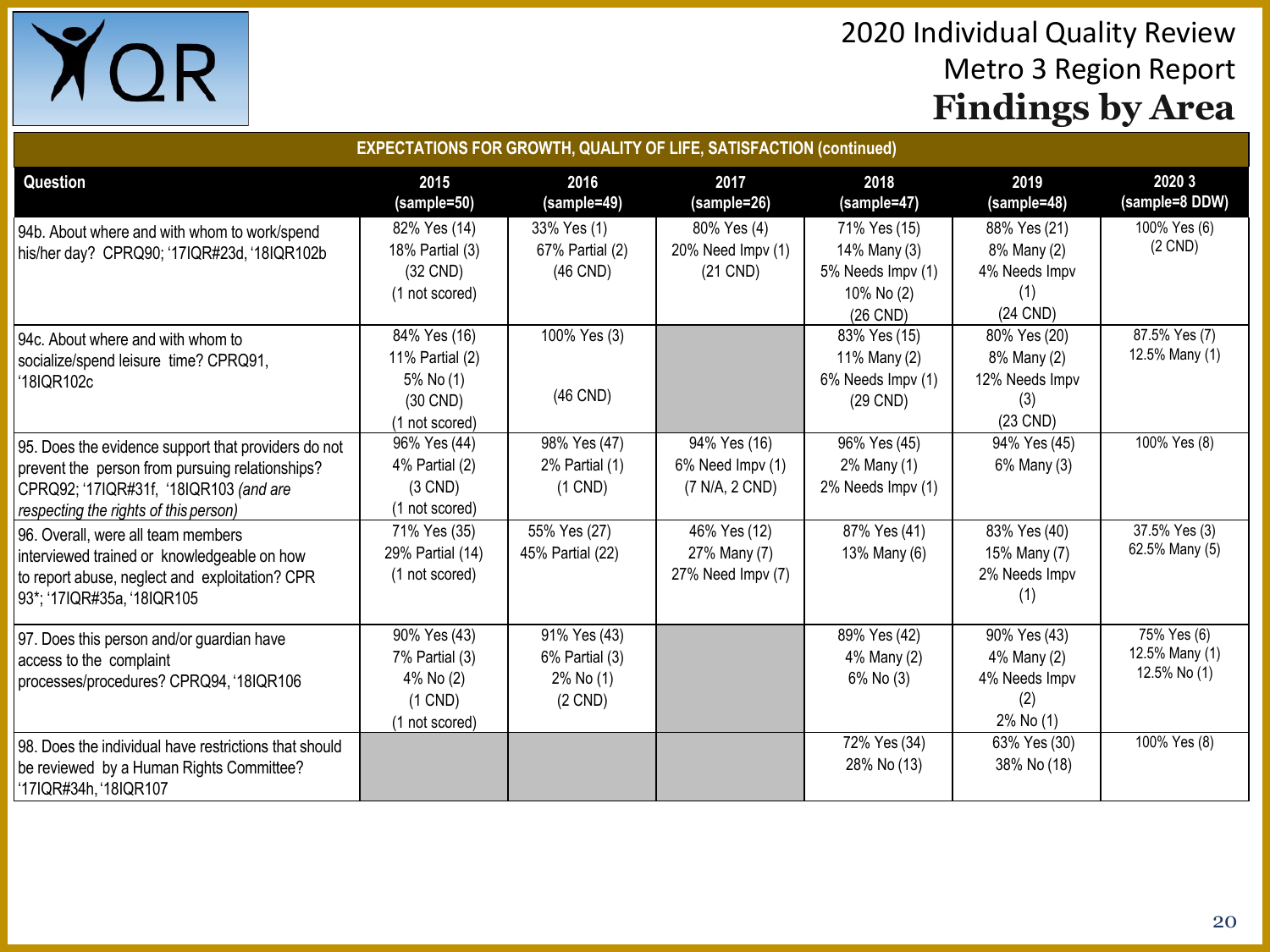

| <b>EXPECTATIONS FOR GROWTH, QUALITY OF LIFE, SATISFACTION (continued)</b>                                                                                                                 |                                                                               |                                                          |                                                    |                                                                             |                                                                    |                                               |  |  |
|-------------------------------------------------------------------------------------------------------------------------------------------------------------------------------------------|-------------------------------------------------------------------------------|----------------------------------------------------------|----------------------------------------------------|-----------------------------------------------------------------------------|--------------------------------------------------------------------|-----------------------------------------------|--|--|
| <b>Question</b>                                                                                                                                                                           | 2015<br>(sample=50)                                                           | 2016<br>(sample=49)                                      | 2017<br>(sample=26)                                | 2018<br>(sample=47)                                                         | 2019<br>(sample=48)                                                | 2020 3<br>(sample=8 DDW)                      |  |  |
| 94b. About where and with whom to work/spend<br>his/her day? CPRQ90; '17IQR#23d, '18IQR102b                                                                                               | 82% Yes (14)<br>18% Partial (3)<br>(32 CND)<br>(1 not scored)                 | 33% Yes (1)<br>67% Partial (2)<br>(46 CND)               | 80% Yes (4)<br>20% Need Impv (1)<br>$(21$ CND)     | 71% Yes (15)<br>14% Many (3)<br>5% Needs Impv (1)<br>10% No (2)<br>(26 CND) | 88% Yes (21)<br>8% Many (2)<br>4% Needs Impv<br>(1)<br>(24 CND)    | 100% Yes (6)<br>$(2$ CND $)$                  |  |  |
| 94c. About where and with whom to<br>socialize/spend leisure time? CPRQ91,<br>'18IQR102c                                                                                                  | 84% Yes (16)<br>11% Partial (2)<br>5% No (1)<br>(30 CND)<br>(1 not scored)    | 100% Yes (3)<br>(46 CND)                                 |                                                    | 83% Yes (15)<br>11% Many (2)<br>6% Needs Impv (1)<br>(29 CND)               | 80% Yes (20)<br>8% Many (2)<br>12% Needs Impv<br>(3)<br>$(23$ CND) | 87.5% Yes (7)<br>12.5% Many (1)               |  |  |
| 95. Does the evidence support that providers do not<br>prevent the person from pursuing relationships?<br>CPRQ92; '17IQR#31f, '18IQR103 (and are<br>respecting the rights of this person) | 96% Yes (44)<br>4% Partial (2)<br>$(3$ CND)<br>(1 not scored)                 | 98% Yes (47)<br>2% Partial (1)<br>$(1$ CND)              | 94% Yes (16)<br>6% Need Impv (1)<br>(7 N/A, 2 CND) | 96% Yes (45)<br>2% Many (1)<br>2% Needs Impv (1)                            | 94% Yes (45)<br>6% Many (3)                                        | 100% Yes (8)                                  |  |  |
| 96. Overall, were all team members<br>interviewed trained or knowledgeable on how<br>to report abuse, neglect and exploitation? CPR<br>93*; '17IQR#35a, '18IQR105                         | 71% Yes (35)<br>29% Partial (14)<br>(1 not scored)                            | 55% Yes (27)<br>45% Partial (22)                         | 46% Yes (12)<br>27% Many (7)<br>27% Need Impv (7)  | 87% Yes (41)<br>13% Many (6)                                                | 83% Yes (40)<br>15% Many (7)<br>2% Needs Impv<br>(1)               | 37.5% Yes (3)<br>62.5% Many (5)               |  |  |
| 97. Does this person and/or guardian have<br>access to the complaint<br>processes/procedures? CPRQ94, '18IQR106                                                                           | 90% Yes (43)<br>7% Partial (3)<br>4% No (2)<br>$(1$ CND $)$<br>(1 not scored) | 91% Yes (43)<br>6% Partial (3)<br>2% No (1)<br>$(2$ CND) |                                                    | 89% Yes (42)<br>4% Many (2)<br>$6\%$ No $(3)$                               | 90% Yes (43)<br>4% Many (2)<br>4% Needs Impv<br>(2)<br>2% No (1)   | 75% Yes (6)<br>12.5% Many (1)<br>12.5% No (1) |  |  |
| 98. Does the individual have restrictions that should<br>be reviewed by a Human Rights Committee?<br>'17IQR#34h, '18IQR107                                                                |                                                                               |                                                          |                                                    | 72% Yes (34)<br>28% No (13)                                                 | 63% Yes (30)<br>38% No (18)                                        | 100% Yes (8)                                  |  |  |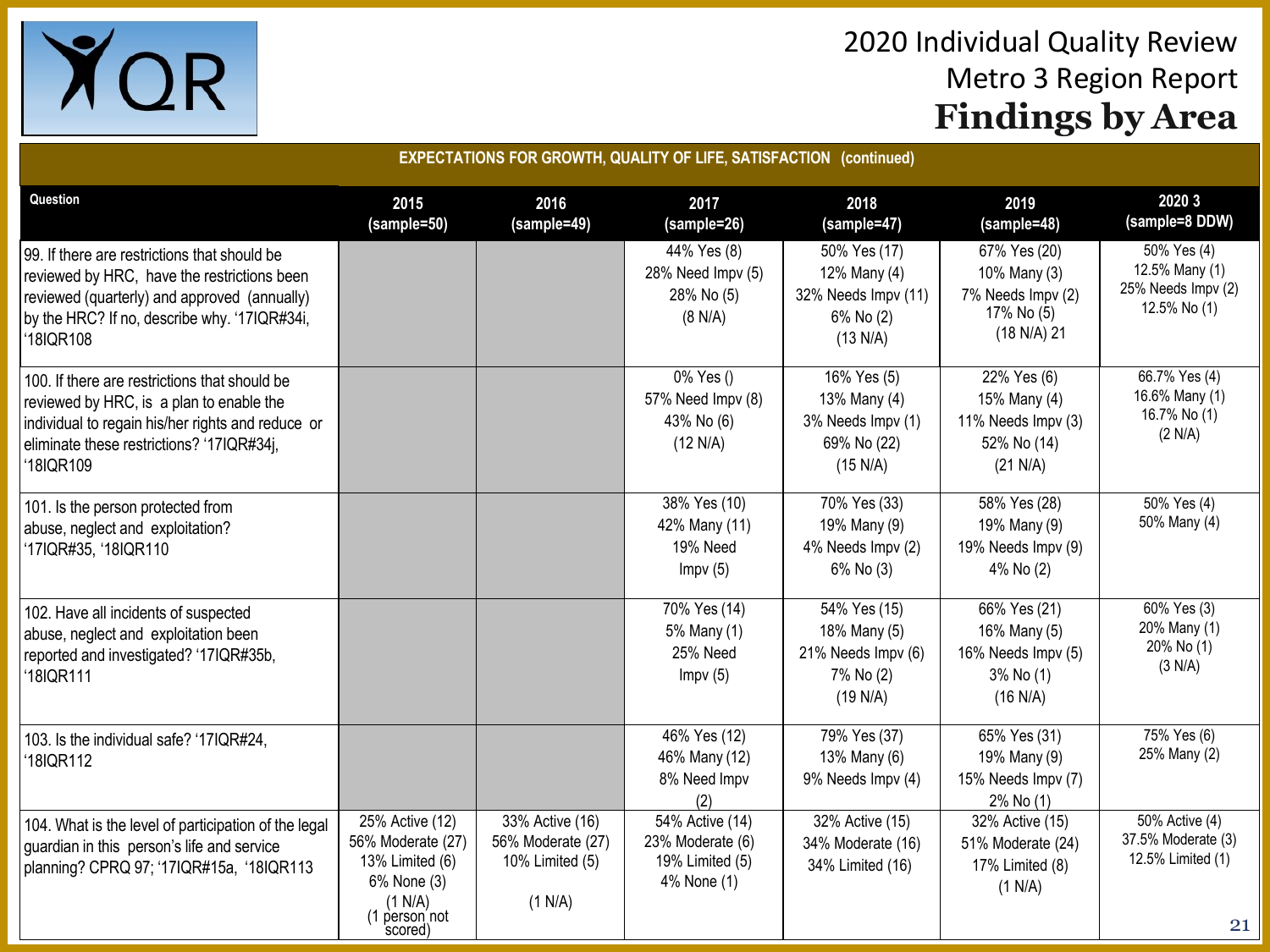

| <b>EXPECTATIONS FOR GROWTH, QUALITY OF LIFE, SATISFACTION (continued)</b>                                                                                                                                |                                                                                                               |                                                                    |                                                                       |                                                                              |                                                                                |                                                                        |  |  |
|----------------------------------------------------------------------------------------------------------------------------------------------------------------------------------------------------------|---------------------------------------------------------------------------------------------------------------|--------------------------------------------------------------------|-----------------------------------------------------------------------|------------------------------------------------------------------------------|--------------------------------------------------------------------------------|------------------------------------------------------------------------|--|--|
| Question                                                                                                                                                                                                 | 2015<br>(sample=50)                                                                                           | 2016<br>(sample=49)                                                | 2017<br>(sample=26)                                                   | 2018<br>(sample=47)                                                          | 2019<br>(sample=48)                                                            | 2020 3<br>(sample=8 DDW)                                               |  |  |
| 99. If there are restrictions that should be<br>reviewed by HRC, have the restrictions been<br>reviewed (quarterly) and approved (annually)<br>by the HRC? If no, describe why. '17IQR#34i,<br>'18IQR108 |                                                                                                               |                                                                    | 44% Yes (8)<br>28% Need Impv (5)<br>28% No (5)<br>(8 N/A)             | 50% Yes (17)<br>12% Many (4)<br>32% Needs Impv (11)<br>6% No (2)<br>(13 N/A) | 67% Yes (20)<br>10% Many (3)<br>7% Needs Impv (2)<br>17% No (5)<br>(18 N/A) 21 | $50\%$ Yes (4)<br>12.5% Many (1)<br>25% Needs Impv (2)<br>12.5% No (1) |  |  |
| 100. If there are restrictions that should be<br>reviewed by HRC, is a plan to enable the<br>individual to regain his/her rights and reduce or<br>eliminate these restrictions? '17IQR#34j,<br>'18IQR109 |                                                                                                               |                                                                    | 0% Yes ()<br>57% Need Impv (8)<br>43% No (6)<br>(12 N/A)              | 16% Yes (5)<br>13% Many (4)<br>3% Needs Impv (1)<br>69% No (22)<br>(15 N/A)  | 22% Yes (6)<br>15% Many (4)<br>11% Needs Impv (3)<br>52% No (14)<br>(21 N/A)   | $66.7\%$ Yes (4)<br>16.6% Many (1)<br>16.7% No (1)<br>(2 N/A)          |  |  |
| 101. Is the person protected from<br>abuse, neglect and exploitation?<br>'17IQR#35, '18IQR110                                                                                                            |                                                                                                               |                                                                    | 38% Yes (10)<br>42% Many (11)<br>19% Need<br>Impv(5)                  | 70% Yes (33)<br>19% Many (9)<br>4% Needs Impv (2)<br>6% No (3)               | 58% Yes (28)<br>19% Many (9)<br>19% Needs Impv (9)<br>4% No (2)                | $\sqrt{50\% \text{ Yes}}$ (4)<br>50% Many (4)                          |  |  |
| 102. Have all incidents of suspected<br>abuse, neglect and exploitation been<br>reported and investigated? '17IQR#35b,<br>'18IQR111                                                                      |                                                                                                               |                                                                    | 70% Yes (14)<br>5% Many (1)<br>25% Need<br>Impv(5)                    | 54% Yes (15)<br>18% Many (5)<br>21% Needs Impv (6)<br>7% No (2)<br>(19 N/A)  | 66% Yes (21)<br>16% Many (5)<br>16% Needs Impv (5)<br>3% No (1)<br>(16 N/A)    | 60% Yes (3)<br>20% Many (1)<br>20% No (1)<br>(3 N/A)                   |  |  |
| 103. Is the individual safe? '17IQR#24,<br>'18IQR112                                                                                                                                                     |                                                                                                               |                                                                    | 46% Yes (12)<br>46% Many (12)<br>8% Need Impv<br>(2)                  | 79% Yes (37)<br>13% Many (6)<br>9% Needs Impv (4)                            | 65% Yes (31)<br>19% Many (9)<br>15% Needs Impv (7)<br>2% No (1)                | 75% Yes (6)<br>25% Many (2)                                            |  |  |
| 104. What is the level of participation of the legal<br>guardian in this person's life and service<br>planning? CPRQ 97; '17IQR#15a, '18IQR113                                                           | 25% Active (12)<br>56% Moderate (27)<br>13% Limited (6)<br>6% None (3)<br>(1 N/A)<br>(1 person not<br>scored) | 33% Active (16)<br>56% Moderate (27)<br>10% Limited (5)<br>(1 N/A) | 54% Active (14)<br>23% Moderate (6)<br>19% Limited (5)<br>4% None (1) | 32% Active (15)<br>34% Moderate (16)<br>34% Limited (16)                     | 32% Active (15)<br>51% Moderate (24)<br>17% Limited (8)<br>(1 N/A)             | 50% Active (4)<br>37.5% Moderate (3)<br>12.5% Limited (1)<br>21        |  |  |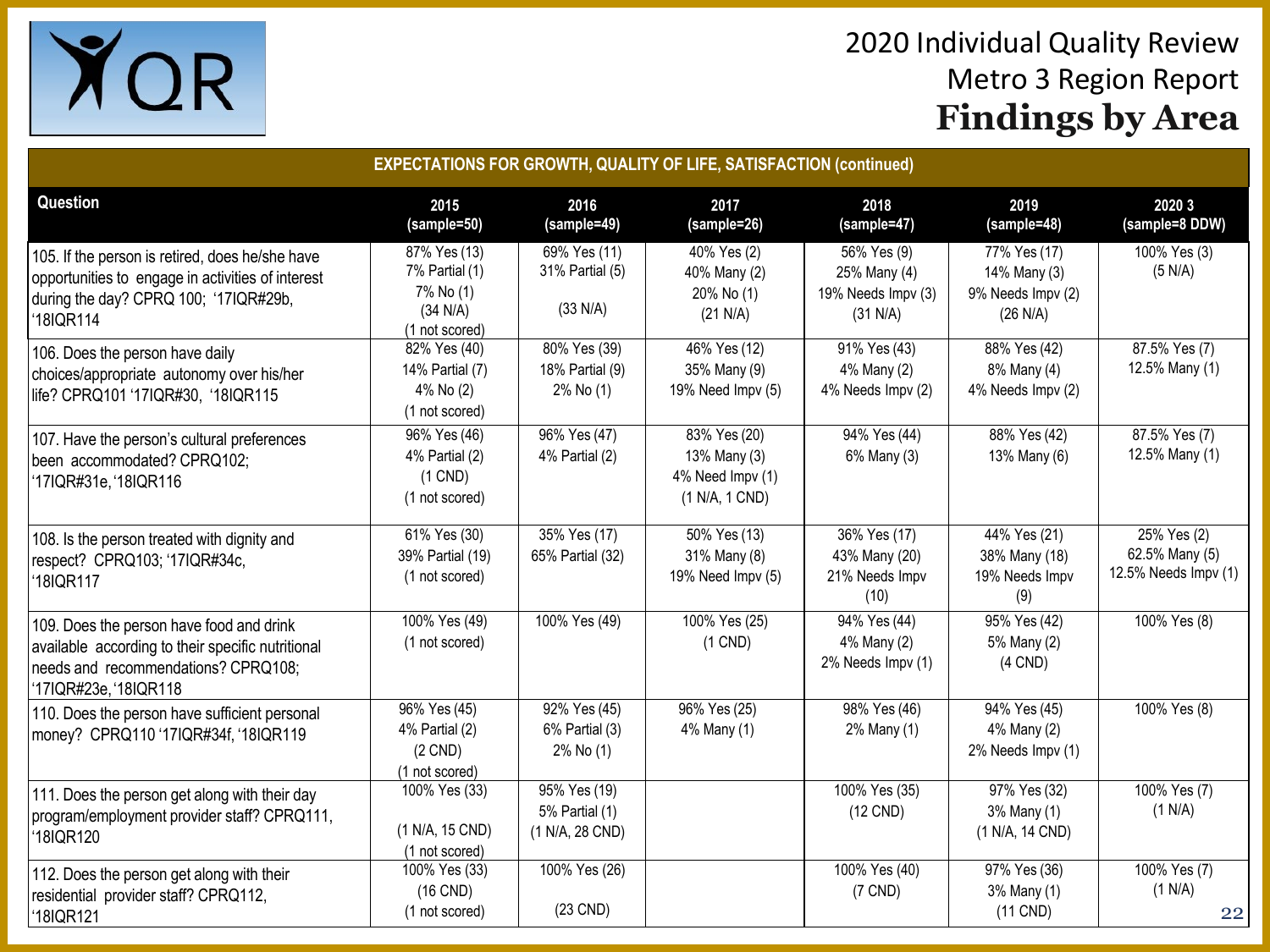

| <b>EXPECTATIONS FOR GROWTH, QUALITY OF LIFE, SATISFACTION (continued)</b>                                                                                     |                                                                           |                                                   |                                                                     |                                                               |                                                               |                                                       |  |
|---------------------------------------------------------------------------------------------------------------------------------------------------------------|---------------------------------------------------------------------------|---------------------------------------------------|---------------------------------------------------------------------|---------------------------------------------------------------|---------------------------------------------------------------|-------------------------------------------------------|--|
| Question                                                                                                                                                      | 2015<br>(sample=50)                                                       | 2016<br>(sample=49)                               | 2017<br>(sample=26)                                                 | 2018<br>(sample=47)                                           | 2019<br>(sample=48)                                           | 2020 3<br>(sample=8 DDW)                              |  |
| 105. If the person is retired, does he/she have<br>opportunities to engage in activities of interest<br>during the day? CPRQ 100; '17IQR#29b,<br>18IQR114     | 87% Yes (13)<br>7% Partial (1)<br>7% No (1)<br>(34 N/A)<br>(1 not scored) | 69% Yes (11)<br>31% Partial (5)<br>(33 N/A)       | 40% Yes (2)<br>40% Many (2)<br>20% No (1)<br>(21 N/A)               | 56% Yes (9)<br>25% Many (4)<br>19% Needs Impv (3)<br>(31 N/A) | 77% Yes (17)<br>14% Many (3)<br>9% Needs Impv (2)<br>(26 N/A) | 100% Yes (3)<br>(5 N/A)                               |  |
| 106. Does the person have daily<br>choices/appropriate autonomy over his/her<br>life? CPRQ101 '17IQR#30, '18IQR115                                            | 82% Yes (40)<br>14% Partial (7)<br>4% No (2)<br>(1 not scored)            | 80% Yes (39)<br>18% Partial (9)<br>2% No (1)      | $\sqrt{46\% \text{ Yes}}$ (12)<br>35% Many (9)<br>19% Need Impv (5) | 91% Yes (43)<br>4% Many (2)<br>4% Needs Impv (2)              | 88% Yes (42)<br>8% Many (4)<br>4% Needs Impv (2)              | 87.5% Yes (7)<br>12.5% Many (1)                       |  |
| 107. Have the person's cultural preferences<br>been accommodated? CPRQ102;<br>'17IQR#31e, '18IQR116                                                           | 96% Yes (46)<br>4% Partial (2)<br>$(1$ CND)<br>(1 not scored)             | 96% Yes (47)<br>4% Partial (2)                    | 83% Yes (20)<br>13% Many (3)<br>4% Need Impv (1)<br>(1 N/A, 1 CND)  | 94% Yes (44)<br>6% Many (3)                                   | 88% Yes (42)<br>13% Many (6)                                  | 87.5% Yes (7)<br>12.5% Many (1)                       |  |
| 108. Is the person treated with dignity and<br>respect? CPRQ103; '17IQR#34c,<br>'18IQR117                                                                     | 61% Yes (30)<br>39% Partial (19)<br>(1 not scored)                        | 35% Yes (17)<br>65% Partial (32)                  | 50% Yes (13)<br>31% Many (8)<br>19% Need Impv (5)                   | 36% Yes (17)<br>43% Many (20)<br>21% Needs Impv<br>(10)       | 44% Yes (21)<br>38% Many (18)<br>19% Needs Impv<br>(9)        | 25% Yes (2)<br>62.5% Many (5)<br>12.5% Needs Impv (1) |  |
| 109. Does the person have food and drink<br>available according to their specific nutritional<br>needs and recommendations? CPRQ108;<br>'17IQR#23e, '18IQR118 | 100% Yes (49)<br>(1 not scored)                                           | 100% Yes (49)                                     | 100% Yes (25)<br>$(1$ CND)                                          | 94% Yes (44)<br>4% Many (2)<br>2% Needs Impv (1)              | 95% Yes (42)<br>5% Many (2)<br>$(4$ CND)                      | 100% Yes (8)                                          |  |
| 110. Does the person have sufficient personal<br>money? CPRQ110 '17IQR#34f, '18IQR119                                                                         | 96% Yes (45)<br>4% Partial (2)<br>$(2$ CND)<br>(1 not scored)             | 92% Yes (45)<br>6% Partial (3)<br>2% No (1)       | 96% Yes (25)<br>4% Many (1)                                         | 98% Yes (46)<br>2% Many (1)                                   | 94% Yes (45)<br>4% Many (2)<br>2% Needs Impv (1)              | 100% Yes (8)                                          |  |
| 111. Does the person get along with their day<br>program/employment provider staff? CPRQ111,<br>'18IQR120                                                     | 100% Yes (33)<br>(1 N/A, 15 CND)<br>(1 not scored)                        | 95% Yes (19)<br>5% Partial (1)<br>(1 N/A, 28 CND) |                                                                     | 100% Yes (35)<br>(12 CND)                                     | 97% Yes (32)<br>3% Many (1)<br>(1 N/A, 14 CND)                | 100% Yes (7)<br>(1 N/A)                               |  |
| 112. Does the person get along with their<br>residential provider staff? CPRQ112,<br>18IQR121                                                                 | 100% Yes (33)<br>$(16$ CND)<br>(1 not scored)                             | 100% Yes (26)<br>(23 CND)                         |                                                                     | 100% Yes (40)<br>$(7$ CND)                                    | 97% Yes (36)<br>3% Many (1)<br>(11 CND)                       | 100% Yes (7)<br>(1 N/A)<br>22                         |  |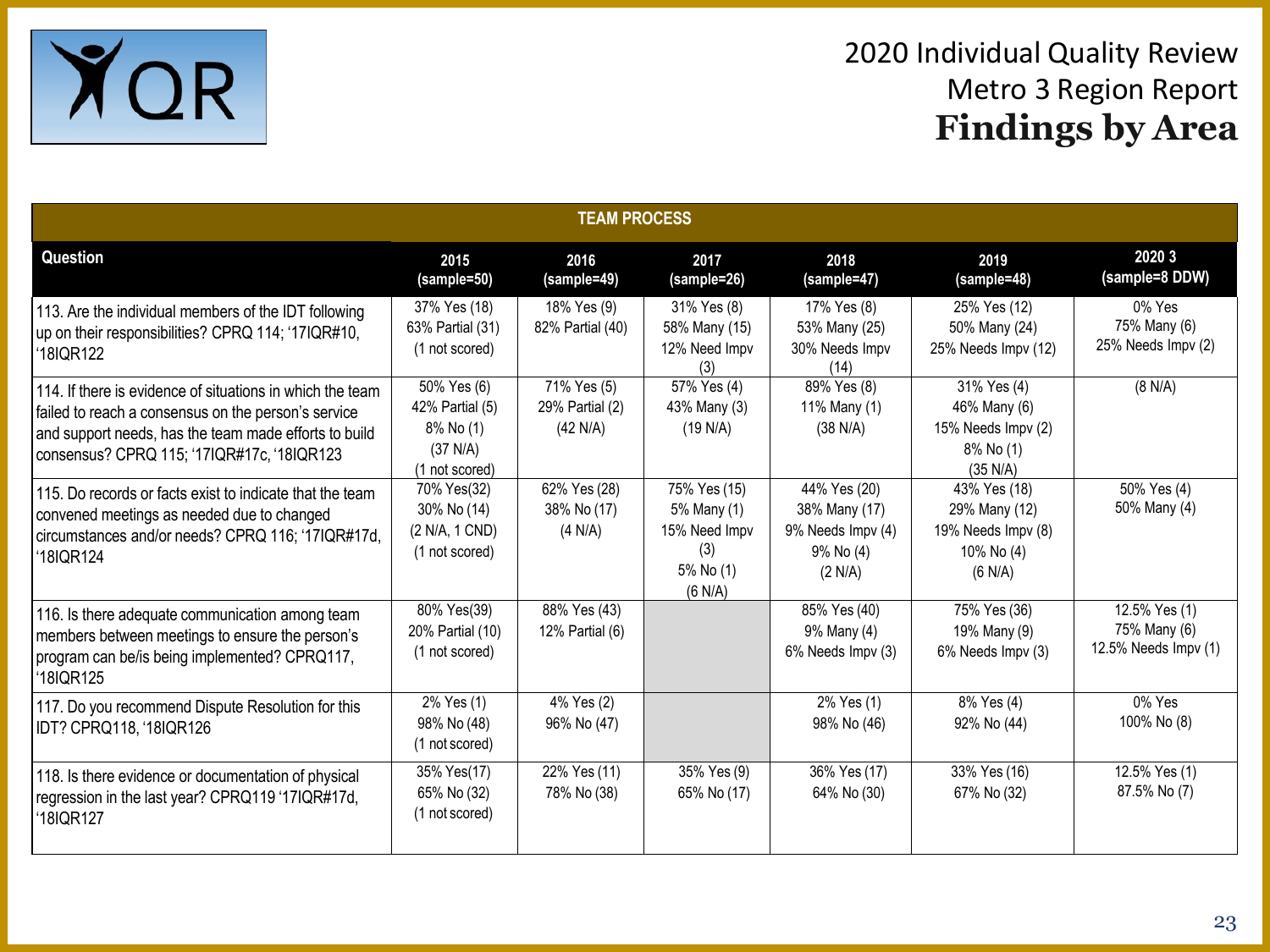

| <b>TEAM PROCESS</b>                                                                                                                                                                                                     |                                                                           |                                            |                                                                             |                                                                            |                                                                              |                                                       |  |  |
|-------------------------------------------------------------------------------------------------------------------------------------------------------------------------------------------------------------------------|---------------------------------------------------------------------------|--------------------------------------------|-----------------------------------------------------------------------------|----------------------------------------------------------------------------|------------------------------------------------------------------------------|-------------------------------------------------------|--|--|
| Question                                                                                                                                                                                                                | 2015<br>(sample=50)                                                       | 2016<br>(sample=49)                        | 2017<br>(sample=26)                                                         | 2018<br>(sample=47)                                                        | 2019<br>(sample=48)                                                          | 2020 3<br>(sample=8 DDW)                              |  |  |
| 113. Are the individual members of the IDT following<br>up on their responsibilities? CPRQ 114; '17IQR#10,<br>'18IQR122                                                                                                 | 37% Yes (18)<br>63% Partial (31)<br>(1 not scored)                        | 18% Yes (9)<br>82% Partial (40)            | 31% Yes (8)<br>58% Many (15)<br>12% Need Impv<br>(3)                        | 17% Yes (8)<br>53% Many (25)<br>30% Needs Impv<br>(14)                     | 25% Yes (12)<br>50% Many (24)<br>25% Needs Impv (12)                         | 0% Yes<br>75% Many (6)<br>25% Needs Impv (2)          |  |  |
| 114. If there is evidence of situations in which the team<br>failed to reach a consensus on the person's service<br>and support needs, has the team made efforts to build<br>consensus? CPRQ 115; '17IQR#17c, '18IQR123 | 50% Yes (6)<br>42% Partial (5)<br>8% No (1)<br>(37 N/A)<br>(1 not scored) | 71% Yes (5)<br>29% Partial (2)<br>(42 N/A) | 57% Yes (4)<br>43% Many (3)<br>(19 N/A)                                     | 89% Yes (8)<br>11% Many (1)<br>(38 N/A)                                    | 31% Yes (4)<br>46% Many (6)<br>15% Needs Impv (2)<br>8% No (1)<br>(35 N/A)   | (8 N/A)                                               |  |  |
| 115. Do records or facts exist to indicate that the team<br>convened meetings as needed due to changed<br>circumstances and/or needs? CPRQ 116; '17IQR#17d,<br>'18IQR124                                                | 70% Yes(32)<br>30% No (14)<br>(2 N/A, 1 CND)<br>(1 not scored)            | 62% Yes (28)<br>38% No (17)<br>(4 N/A)     | 75% Yes (15)<br>5% Many (1)<br>15% Need Impv<br>(3)<br>5% No (1)<br>(6 N/A) | 44% Yes (20)<br>38% Many (17)<br>9% Needs Impv (4)<br>9% No (4)<br>(2 N/A) | 43% Yes (18)<br>29% Many (12)<br>19% Needs Impv (8)<br>10% No (4)<br>(6 N/A) | 50% Yes (4)<br>50% Many (4)                           |  |  |
| 116. Is there adequate communication among team<br>members between meetings to ensure the person's<br>program can be/is being implemented? CPRQ117,<br>'18IQR125                                                        | 80% Yes(39)<br>20% Partial (10)<br>(1 not scored)                         | 88% Yes (43)<br>12% Partial (6)            |                                                                             | 85% Yes (40)<br>9% Many (4)<br>6% Needs Impv (3)                           | 75% Yes (36)<br>19% Many (9)<br>6% Needs Impv (3)                            | 12.5% Yes (1)<br>75% Many (6)<br>12.5% Needs Impv (1) |  |  |
| 117. Do you recommend Dispute Resolution for this<br>IDT? CPRQ118, '18IQR126                                                                                                                                            | 2% Yes (1)<br>98% No (48)<br>(1 not scored)                               | $\sqrt{4\%}$ Yes (2)<br>96% No (47)        |                                                                             | 2% Yes (1)<br>98% No (46)                                                  | 8% Yes (4)<br>92% No (44)                                                    | 0% Yes<br>100% No (8)                                 |  |  |
| 118. Is there evidence or documentation of physical<br>regression in the last year? CPRQ119 '17IQR#17d,<br>'18IQR127                                                                                                    | 35% Yes(17)<br>65% No (32)<br>(1 not scored)                              | 22% Yes (11)<br>78% No (38)                | 35% Yes (9)<br>65% No (17)                                                  | 36% Yes (17)<br>64% No (30)                                                | 33% Yes (16)<br>67% No (32)                                                  | 12.5% Yes (1)<br>87.5% No (7)                         |  |  |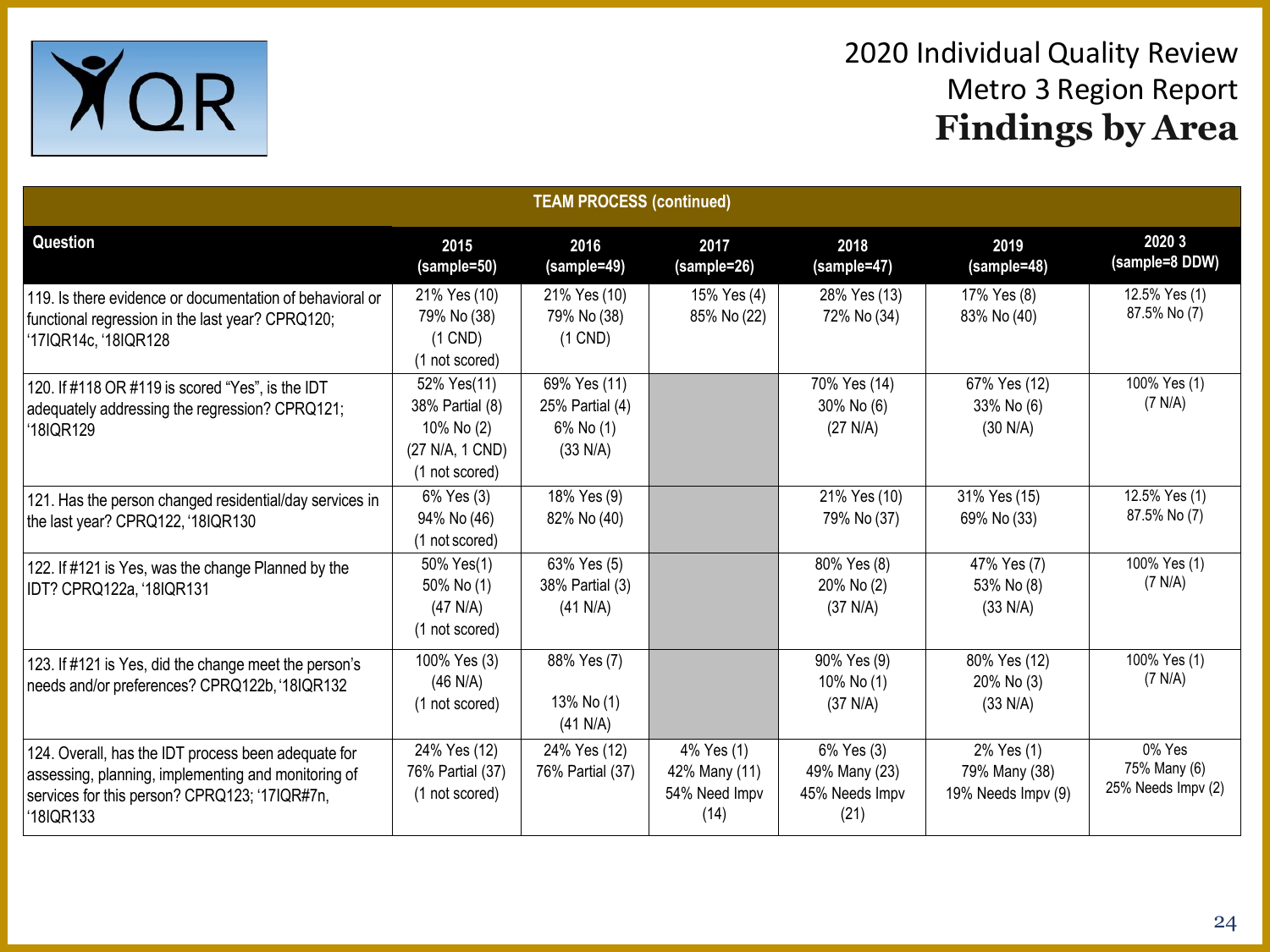

| <b>TEAM PROCESS (continued)</b>                                                                                                                                          |                                                                                   |                                                          |                                                      |                                                       |                                                   |                                              |  |
|--------------------------------------------------------------------------------------------------------------------------------------------------------------------------|-----------------------------------------------------------------------------------|----------------------------------------------------------|------------------------------------------------------|-------------------------------------------------------|---------------------------------------------------|----------------------------------------------|--|
| Question                                                                                                                                                                 | 2015<br>(sample=50)                                                               | 2016<br>(sample=49)                                      | 2017<br>(sample=26)                                  | 2018<br>(sample=47)                                   | 2019<br>(sample=48)                               | 2020 3<br>(sample=8 DDW)                     |  |
| 119. Is there evidence or documentation of behavioral or<br>functional regression in the last year? CPRQ120;<br>'17IQR14c, '18IQR128                                     | 21% Yes (10)<br>79% No (38)<br>$(1$ CND)<br>(1 not scored)                        | 21% Yes (10)<br>79% No (38)<br>$(1$ CND)                 | 15% Yes (4)<br>85% No (22)                           | 28% Yes (13)<br>72% No (34)                           | 17% Yes (8)<br>83% No (40)                        | 12.5% Yes (1)<br>87.5% No (7)                |  |
| 120. If #118 OR #119 is scored "Yes", is the IDT<br>adequately addressing the regression? CPRQ121;<br>'18IQR129                                                          | 52% Yes(11)<br>38% Partial (8)<br>10% No (2)<br>(27 N/A, 1 CND)<br>(1 not scored) | 69% Yes (11)<br>25% Partial (4)<br>6% No (1)<br>(33 N/A) |                                                      | 70% Yes (14)<br>30% No (6)<br>(27 N/A)                | 67% Yes (12)<br>33% No (6)<br>(30 N/A)            | 100% Yes (1)<br>(7 N/A)                      |  |
| 121. Has the person changed residential/day services in<br>the last year? CPRQ122, '18IQR130                                                                             | 6% Yes (3)<br>94% No (46)<br>(1 not scored)                                       | 18% Yes (9)<br>82% No (40)                               |                                                      | 21% Yes (10)<br>79% No (37)                           | 31% Yes (15)<br>69% No (33)                       | 12.5% Yes (1)<br>87.5% No (7)                |  |
| 122. If #121 is Yes, was the change Planned by the<br>IDT? CPRQ122a, '18IQR131                                                                                           | 50% Yes(1)<br>50% No (1)<br>$(47$ N/A)<br>(1 not scored)                          | 63% Yes (5)<br>38% Partial (3)<br>(41 N/A)               |                                                      | 80% Yes (8)<br>20% No (2)<br>(37 N/A)                 | 47% Yes (7)<br>53% No (8)<br>(33 N/A)             | 100% Yes (1)<br>(7 N/A)                      |  |
| 123. If #121 is Yes, did the change meet the person's<br>needs and/or preferences? CPRQ122b, '18IQR132                                                                   | 100% Yes (3)<br>$(46$ N/A)<br>(1 not scored)                                      | 88% Yes (7)<br>13% No (1)<br>(41 N/A)                    |                                                      | 90% Yes (9)<br>10% No (1)<br>(37 N/A)                 | 80% Yes (12)<br>20% No (3)<br>(33 N/A)            | 100% Yes (1)<br>(7 N/A)                      |  |
| 124. Overall, has the IDT process been adequate for<br>assessing, planning, implementing and monitoring of<br>services for this person? CPRQ123; '17IQR#7n,<br>'18IQR133 | 24% Yes (12)<br>76% Partial (37)<br>(1 not scored)                                | 24% Yes (12)<br>76% Partial (37)                         | 4% Yes (1)<br>42% Many (11)<br>54% Need Impv<br>(14) | 6% Yes (3)<br>49% Many (23)<br>45% Needs Impv<br>(21) | 2% Yes (1)<br>79% Many (38)<br>19% Needs Impv (9) | 0% Yes<br>75% Many (6)<br>25% Needs Impv (2) |  |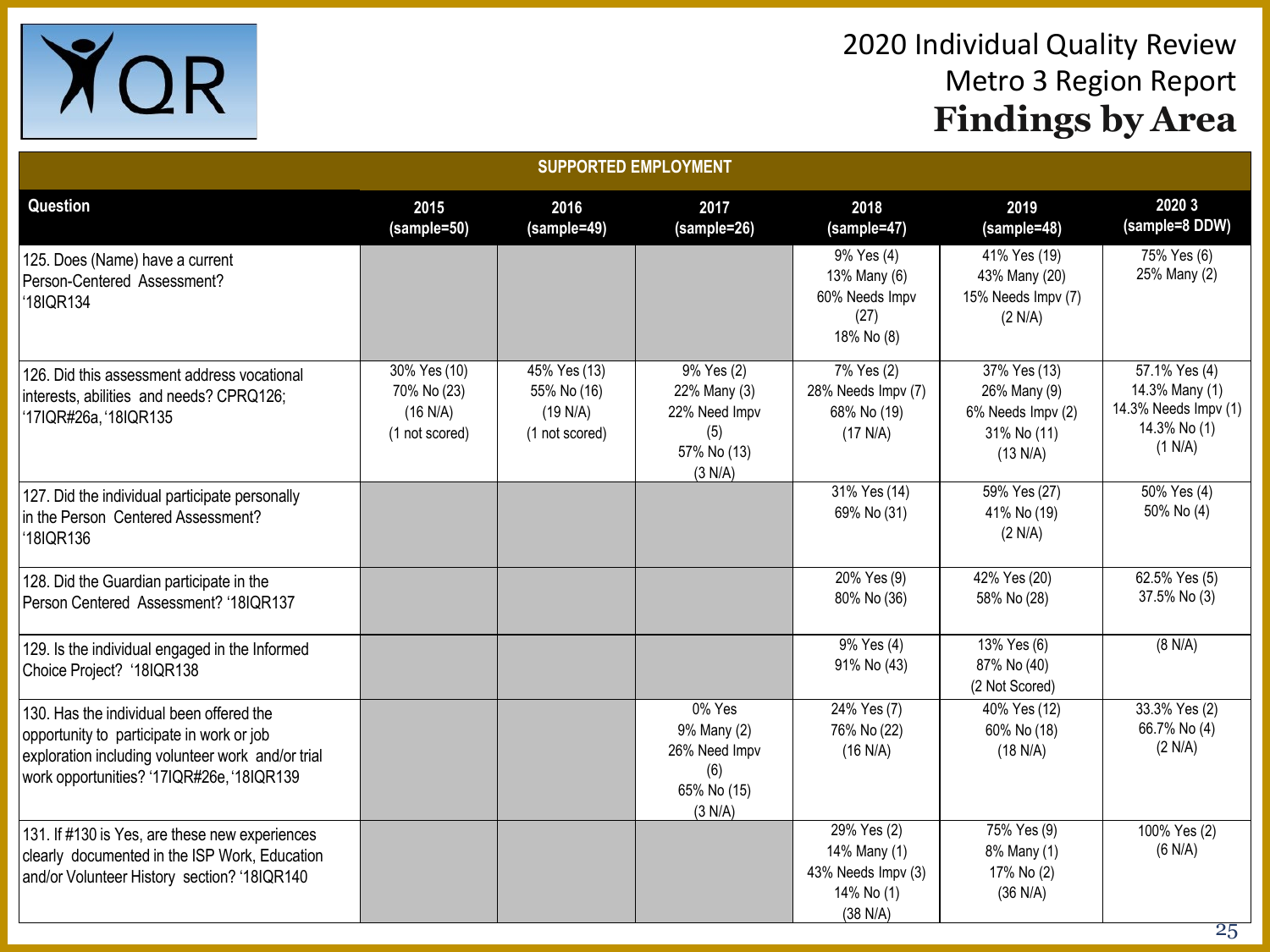

| <b>SUPPORTED EMPLOYMENT</b>                                                                                                                                                             |                                                           |                                                           |                                                                              |                                                                               |                                                                                           |                                                                                    |  |
|-----------------------------------------------------------------------------------------------------------------------------------------------------------------------------------------|-----------------------------------------------------------|-----------------------------------------------------------|------------------------------------------------------------------------------|-------------------------------------------------------------------------------|-------------------------------------------------------------------------------------------|------------------------------------------------------------------------------------|--|
| <b>Question</b>                                                                                                                                                                         | 2015<br>(sample=50)                                       | 2016<br>(sample=49)                                       | 2017<br>(sample=26)                                                          | 2018<br>(sample=47)                                                           | 2019<br>(sample=48)                                                                       | 2020 3<br>(sample=8 DDW)                                                           |  |
| 125. Does (Name) have a current<br>Person-Centered Assessment?<br>18IQR134                                                                                                              |                                                           |                                                           |                                                                              | 9% Yes (4)<br>13% Many (6)<br>60% Needs Impv<br>(27)<br>18% No (8)            | 41% Yes (19)<br>43% Many (20)<br>15% Needs Impv (7)<br>(2 N/A)                            | 75% Yes (6)<br>25% Many (2)                                                        |  |
| 126. Did this assessment address vocational<br>interests, abilities and needs? CPRQ126;<br>'17IQR#26a, '18IQR135                                                                        | 30% Yes (10)<br>70% No (23)<br>(16 N/A)<br>(1 not scored) | 45% Yes (13)<br>55% No (16)<br>(19 N/A)<br>(1 not scored) | 9% Yes (2)<br>22% Many (3)<br>22% Need Impv<br>(5)<br>57% No (13)<br>(3 N/A) | 7% Yes (2)<br>28% Needs Impv (7)<br>68% No (19)<br>(17 N/A)                   | $\frac{1}{37\%}$ Yes (13)<br>26% Many (9)<br>6% Needs Impv (2)<br>31% No (11)<br>(13 N/A) | 57.1% Yes (4)<br>14.3% Many (1)<br>14.3% Needs Impv (1)<br>14.3% No (1)<br>(1 N/A) |  |
| 127. Did the individual participate personally<br>in the Person Centered Assessment?<br>18IQR136                                                                                        |                                                           |                                                           |                                                                              | 31% Yes (14)<br>69% No (31)                                                   | 59% Yes (27)<br>41% No (19)<br>(2 N/A)                                                    | 50% Yes (4)<br>50% No (4)                                                          |  |
| 128. Did the Guardian participate in the<br>Person Centered Assessment? '18IQR137                                                                                                       |                                                           |                                                           |                                                                              | 20% Yes (9)<br>80% No (36)                                                    | 42% Yes (20)<br>58% No (28)                                                               | 62.5% Yes (5)<br>37.5% No (3)                                                      |  |
| 129. Is the individual engaged in the Informed<br>Choice Project? '18IQR138                                                                                                             |                                                           |                                                           |                                                                              | $\sqrt{9\%}$ Yes (4)<br>91% No (43)                                           | $13%$ Yes (6)<br>87% No (40)<br>(2 Not Scored)                                            | (8 N/A)                                                                            |  |
| 130. Has the individual been offered the<br>opportunity to participate in work or job<br>exploration including volunteer work and/or trial<br>work opportunities? '17IQR#26e, '18IQR139 |                                                           |                                                           | 0% Yes<br>9% Many (2)<br>26% Need Impv<br>(6)<br>65% No (15)<br>(3 N/A)      | 24% Yes (7)<br>76% No (22)<br>(16 N/A)                                        | 40% Yes (12)<br>60% No (18)<br>(18 N/A)                                                   | 33.3% Yes (2)<br>66.7% No (4)<br>(2 N/A)                                           |  |
| 131. If #130 is Yes, are these new experiences<br>clearly documented in the ISP Work, Education<br>and/or Volunteer History section? '18IQR140                                          |                                                           |                                                           |                                                                              | $29%$ Yes (2)<br>14% Many (1)<br>43% Needs Impv (3)<br>14% No (1)<br>(38 N/A) | 75% Yes (9)<br>8% Many (1)<br>17% No (2)<br>(36 N/A)                                      | 100% Yes (2)<br>(6 N/A)                                                            |  |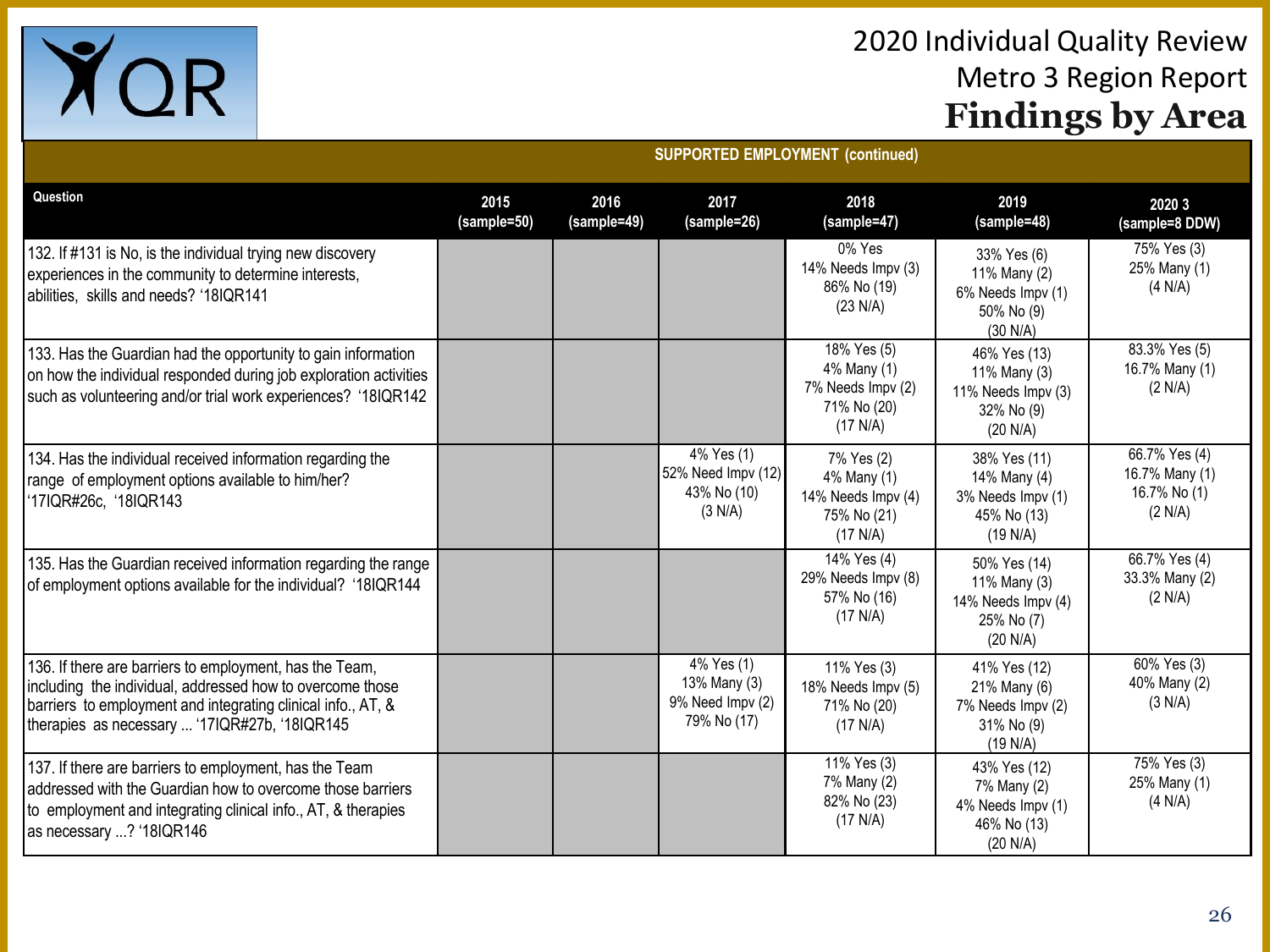

|                                                                                                                                                                                                                                       | <b>SUPPURTED EMPLUTMENT (COMMITMED)</b> |                     |                                                                                 |                                                                            |                                                                              |                                                            |  |  |
|---------------------------------------------------------------------------------------------------------------------------------------------------------------------------------------------------------------------------------------|-----------------------------------------|---------------------|---------------------------------------------------------------------------------|----------------------------------------------------------------------------|------------------------------------------------------------------------------|------------------------------------------------------------|--|--|
| Question                                                                                                                                                                                                                              | 2015<br>(sample=50)                     | 2016<br>(sample=49) | 2017<br>(sample=26)                                                             | 2018<br>(sample=47)                                                        | 2019<br>(sample=48)                                                          | 2020 3<br>(sample=8 DDW)                                   |  |  |
| 132. If #131 is No, is the individual trying new discovery<br>experiences in the community to determine interests,<br>abilities, skills and needs? '18IQR141                                                                          |                                         |                     |                                                                                 | 0% Yes<br>14% Needs Impv (3)<br>86% No (19)<br>(23 N/A)                    | 33% Yes (6)<br>11% Many (2)<br>6% Needs Impv (1)<br>50% No (9)<br>(30 N/A)   | 75% Yes (3)<br>25% Many (1)<br>(4 N/A)                     |  |  |
| 133. Has the Guardian had the opportunity to gain information<br>on how the individual responded during job exploration activities<br>such as volunteering and/or trial work experiences? '18IQR142                                   |                                         |                     |                                                                                 | 18% Yes (5)<br>4% Many (1)<br>7% Needs Impv (2)<br>71% No (20)<br>(17 N/A) | 46% Yes (13)<br>11% Many (3)<br>11% Needs Impv (3)<br>32% No (9)<br>(20 N/A) | 83.3% Yes (5)<br>16.7% Many (1)<br>(2 N/A)                 |  |  |
| 134. Has the individual received information regarding the<br>range of employment options available to him/her?<br>'17IQR#26c, '18IQR143                                                                                              |                                         |                     | 4% Yes (1)<br>52% Need Impv (12)<br>43% No (10)<br>(3 N/A)                      | 7% Yes (2)<br>4% Many (1)<br>14% Needs Impv (4)<br>75% No (21)<br>(17 N/A) | 38% Yes (11)<br>14% Many (4)<br>3% Needs Impv (1)<br>45% No (13)<br>(19 N/A) | 66.7% Yes (4)<br>16.7% Many (1)<br>16.7% No (1)<br>(2 N/A) |  |  |
| 135. Has the Guardian received information regarding the range<br>of employment options available for the individual? '18IQR144                                                                                                       |                                         |                     |                                                                                 | 14% Yes (4)<br>29% Needs Impv (8)<br>57% No (16)<br>(17 N/A)               | 50% Yes (14)<br>11% Many (3)<br>14% Needs Impv (4)<br>25% No (7)<br>(20 N/A) | 66.7% Yes (4)<br>33.3% Many (2)<br>(2 N/A)                 |  |  |
| 136. If there are barriers to employment, has the Team,<br>including the individual, addressed how to overcome those<br>barriers to employment and integrating clinical info., AT, &<br>therapies as necessary  '17IQR#27b, '18IQR145 |                                         |                     | $\sqrt{4\% \text{ Yes}}$ (1)<br>13% Many (3)<br>9% Need Impv (2)<br>79% No (17) | 11% Yes (3)<br>18% Needs Impv (5)<br>71% No (20)<br>(17 N/A)               | 41% Yes (12)<br>21% Many (6)<br>7% Needs Impv (2)<br>31% No (9)<br>(19 N/A)  | 60% Yes (3)<br>40% Many (2)<br>(3 N/A)                     |  |  |
| 137. If there are barriers to employment, has the Team<br>addressed with the Guardian how to overcome those barriers<br>to employment and integrating clinical info., AT, & therapies<br>as necessary ? '18IQR146                     |                                         |                     |                                                                                 | 11% Yes (3)<br>7% Many (2)<br>82% No (23)<br>(17 N/A)                      | 43% Yes (12)<br>7% Many (2)<br>4% Needs Impv (1)<br>46% No (13)<br>(20 N/A)  | 75% Yes (3)<br>25% Many (1)<br>(4 N/A)                     |  |  |

**SUPPORTED EMPLOYMENT (continued)**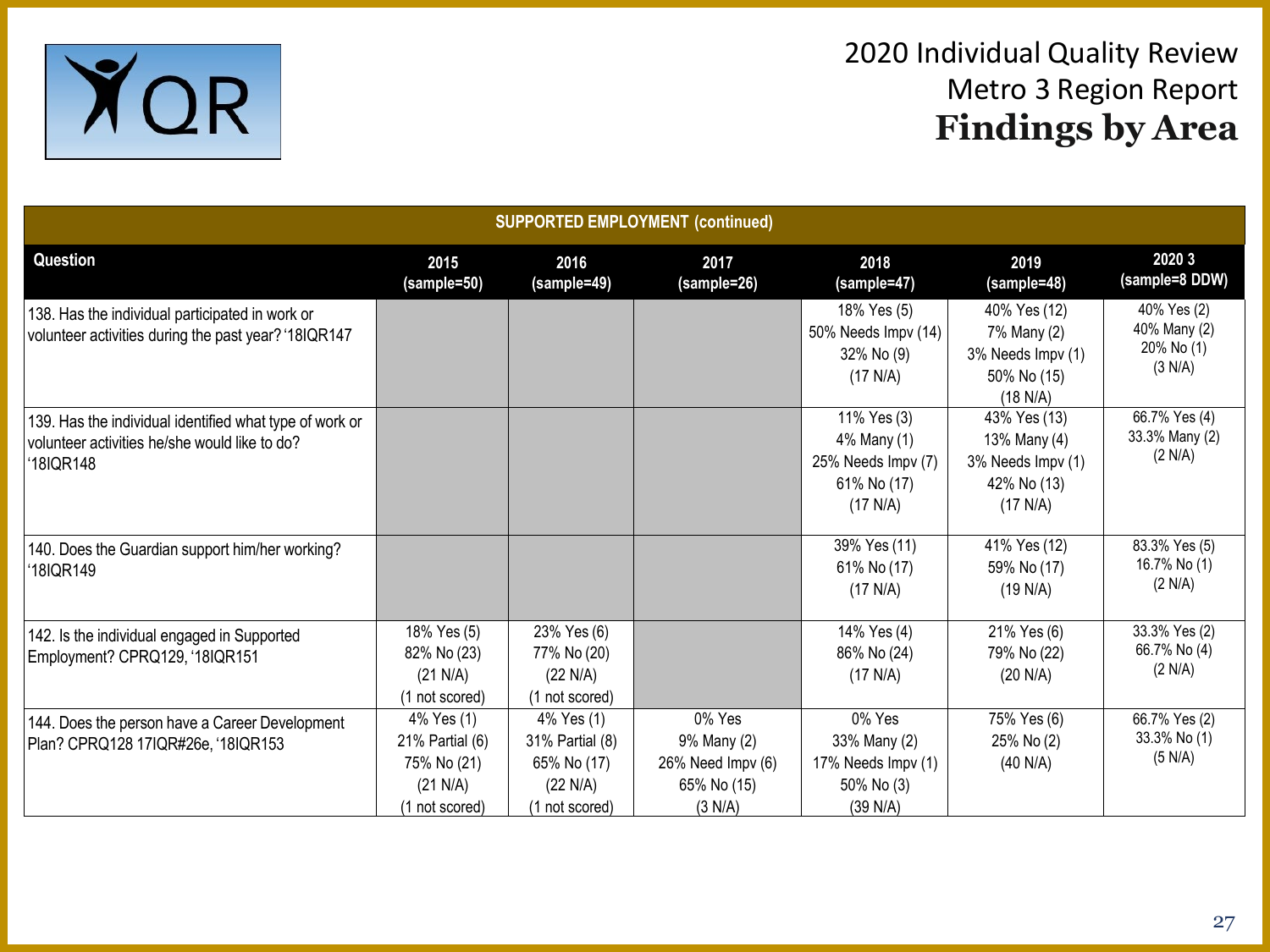

| <b>SUPPORTED EMPLOYMENT (continued)</b>                                                                                           |                                                                            |                                                                            |                                                                      |                                                                             |                                                                              |                                                      |  |
|-----------------------------------------------------------------------------------------------------------------------------------|----------------------------------------------------------------------------|----------------------------------------------------------------------------|----------------------------------------------------------------------|-----------------------------------------------------------------------------|------------------------------------------------------------------------------|------------------------------------------------------|--|
| Question                                                                                                                          | 2015<br>(sample=50)                                                        | 2016<br>(sample=49)                                                        | 2017<br>(sample=26)                                                  | 2018<br>(sample=47)                                                         | 2019<br>(sample=48)                                                          | 2020 3<br>(sample=8 DDW)                             |  |
| 138. Has the individual participated in work or<br>volunteer activities during the past year? '18IQR147                           |                                                                            |                                                                            |                                                                      | 18% Yes (5)<br>50% Needs Impv (14)<br>32% No (9)<br>(17 N/A)                | 40% Yes (12)<br>7% Many (2)<br>3% Needs Impv (1)<br>50% No (15)<br>(18 N/A)  | 40% Yes (2)<br>40% Many (2)<br>20% No (1)<br>(3 N/A) |  |
| 139. Has the individual identified what type of work or<br>volunteer activities he/she would like to do?<br>18IQR148 <sup>.</sup> |                                                                            |                                                                            |                                                                      | 11% Yes (3)<br>4% Many (1)<br>25% Needs Impv (7)<br>61% No (17)<br>(17 N/A) | 43% Yes (13)<br>13% Many (4)<br>3% Needs Impv (1)<br>42% No (13)<br>(17 N/A) | 66.7% Yes (4)<br>33.3% Many (2)<br>(2 N/A)           |  |
| 140. Does the Guardian support him/her working?<br>18IQR149                                                                       |                                                                            |                                                                            |                                                                      | 39% Yes (11)<br>61% No (17)<br>(17 N/A)                                     | 41% Yes (12)<br>59% No (17)<br>(19 N/A)                                      | 83.3% Yes (5)<br>16.7% No (1)<br>(2 N/A)             |  |
| 142. Is the individual engaged in Supported<br>Employment? CPRQ129, '18IQR151                                                     | 18% Yes (5)<br>82% No (23)<br>(21 N/A)<br>(1 not scored)                   | 23% Yes (6)<br>77% No (20)<br>(22 N/A)<br>(1 not scored)                   |                                                                      | 14% Yes (4)<br>86% No (24)<br>(17 N/A)                                      | 21% Yes (6)<br>79% No (22)<br>(20 N/A)                                       | 33.3% Yes (2)<br>66.7% No (4)<br>(2 N/A)             |  |
| 144. Does the person have a Career Development<br>Plan? CPRQ128 17IQR#26e, '18IQR153                                              | 4% Yes (1)<br>21% Partial (6)<br>75% No (21)<br>(21 N/A)<br>(1 not scored) | 4% Yes (1)<br>31% Partial (8)<br>65% No (17)<br>(22 N/A)<br>(1 not scored) | 0% Yes<br>9% Many (2)<br>26% Need Impv (6)<br>65% No (15)<br>(3 N/A) | 0% Yes<br>33% Many (2)<br>17% Needs Impv (1)<br>50% No (3)<br>(39 N/A)      | 75% Yes (6)<br>25% No (2)<br>(40 N/A)                                        | 66.7% Yes (2)<br>33.3% No (1)<br>(5 N/A)             |  |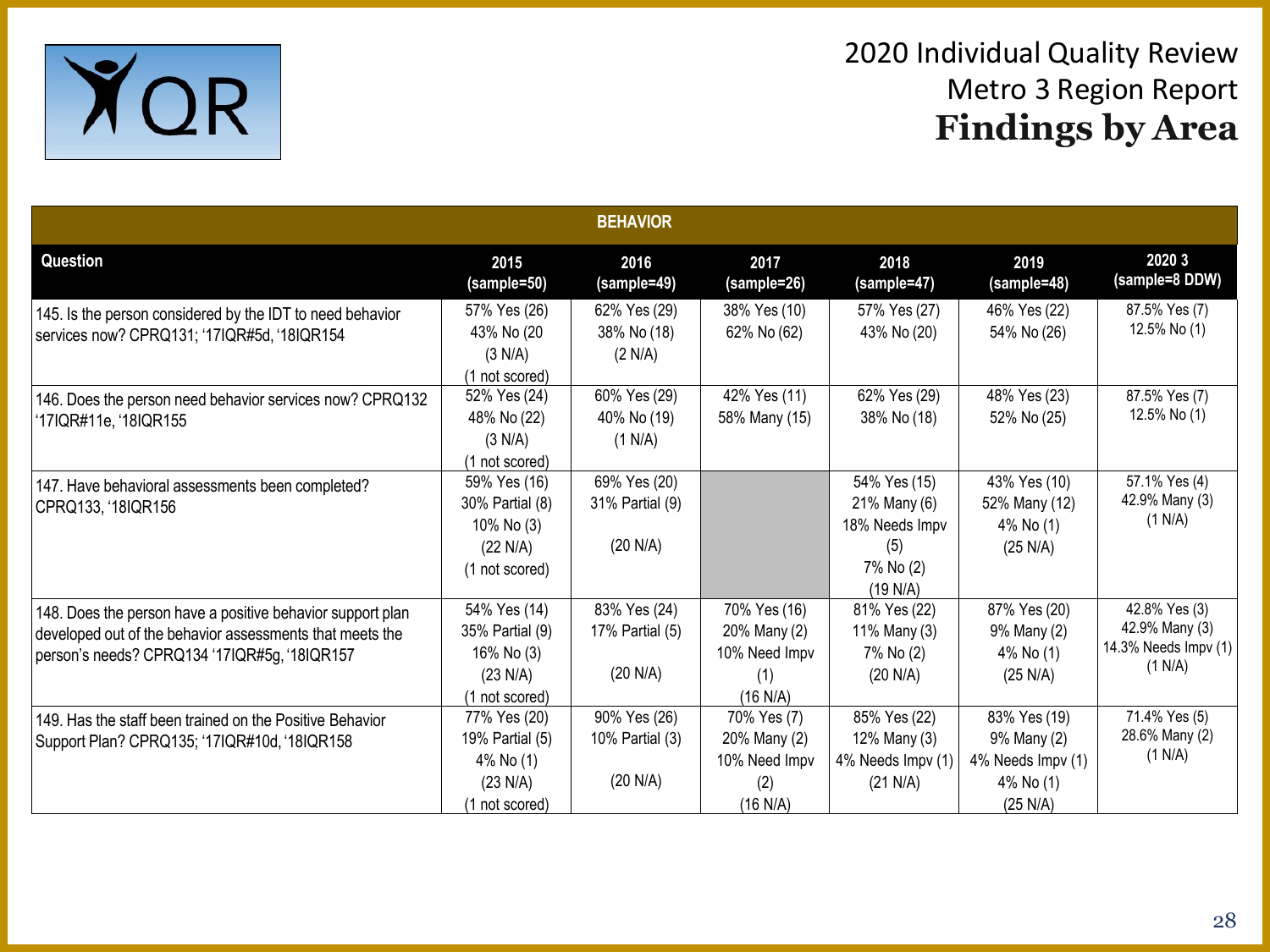

|                                                                                                                                                                        |                                                                             | <b>BEHAVIOR</b>                             |                                                                  |                                                                                |                                                                           |                                                                    |
|------------------------------------------------------------------------------------------------------------------------------------------------------------------------|-----------------------------------------------------------------------------|---------------------------------------------|------------------------------------------------------------------|--------------------------------------------------------------------------------|---------------------------------------------------------------------------|--------------------------------------------------------------------|
| Question                                                                                                                                                               | 2015<br>(sample=50)                                                         | 2016<br>(sample=49)                         | 2017<br>(sample=26)                                              | 2018<br>(sample=47)                                                            | 2019<br>(sample=48)                                                       | 2020 3<br>(sample=8 DDW)                                           |
| 145. Is the person considered by the IDT to need behavior<br>services now? CPRQ131; '17IQR#5d, '18IQR154                                                               | 57% Yes (26)<br>43% No (20<br>(3 N/A)<br>(1 not scored)                     | 62% Yes (29)<br>38% No (18)<br>(2 N/A)      | 38% Yes (10)<br>62% No (62)                                      | 57% Yes (27)<br>43% No (20)                                                    | 46% Yes (22)<br>54% No (26)                                               | 87.5% Yes (7)<br>12.5% No (1)                                      |
| 146. Does the person need behavior services now? CPRQ132<br>'17IQR#11e, '18IQR155                                                                                      | 52% Yes (24)<br>48% No (22)<br>(3 N/A)<br>(1 not scored)                    | 60% Yes (29)<br>40% No (19)<br>(1 N/A)      | 42% Yes (11)<br>58% Many (15)                                    | 62% Yes (29)<br>38% No (18)                                                    | 48% Yes (23)<br>52% No (25)                                               | 87.5% Yes (7)<br>12.5% No (1)                                      |
| 147. Have behavioral assessments been completed?<br>CPRQ133, '18IQR156                                                                                                 | 59% Yes (16)<br>30% Partial (8)<br>10% No (3)<br>(22 N/A)<br>(1 not scored) | 69% Yes (20)<br>31% Partial (9)<br>(20 N/A) |                                                                  | 54% Yes (15)<br>21% Many (6)<br>18% Needs Impv<br>(5)<br>7% No (2)<br>(19 N/A) | 43% Yes (10)<br>52% Many (12)<br>4% No (1)<br>(25 N/A)                    | 57.1% Yes (4)<br>42.9% Many (3)<br>(1 N/A)                         |
| 148. Does the person have a positive behavior support plan<br>developed out of the behavior assessments that meets the<br>person's needs? CPRQ134 '17IQR#5g, '18IQR157 | 54% Yes (14)<br>35% Partial (9)<br>16% No (3)<br>(23 N/A)<br>(1 not scored) | 83% Yes (24)<br>17% Partial (5)<br>(20 N/A) | 70% Yes (16)<br>20% Many (2)<br>10% Need Impv<br>(1)<br>(16 N/A) | 81% Yes (22)<br>11% Many (3)<br>7% No (2)<br>(20 N/A)                          | 87% Yes (20)<br>9% Many (2)<br>4% No (1)<br>(25 N/A)                      | 42.8% Yes (3)<br>42.9% Many (3)<br>14.3% Needs Impv (1)<br>(1 N/A) |
| 149. Has the staff been trained on the Positive Behavior<br>Support Plan? CPRQ135; '17IQR#10d, '18IQR158                                                               | 77% Yes (20)<br>19% Partial (5)<br>4% No (1)<br>(23 N/A)<br>(1 not scored)  | 90% Yes (26)<br>10% Partial (3)<br>(20 N/A) | 70% Yes (7)<br>20% Many (2)<br>10% Need Impv<br>(2)<br>(16 N/A)  | 85% Yes (22)<br>12% Many (3)<br>4% Needs Impv (1)<br>(21 N/A)                  | 83% Yes (19)<br>9% Many (2)<br>4% Needs Impv (1)<br>4% No (1)<br>(25 N/A) | 71.4% Yes (5)<br>28.6% Many (2)<br>(1 N/A)                         |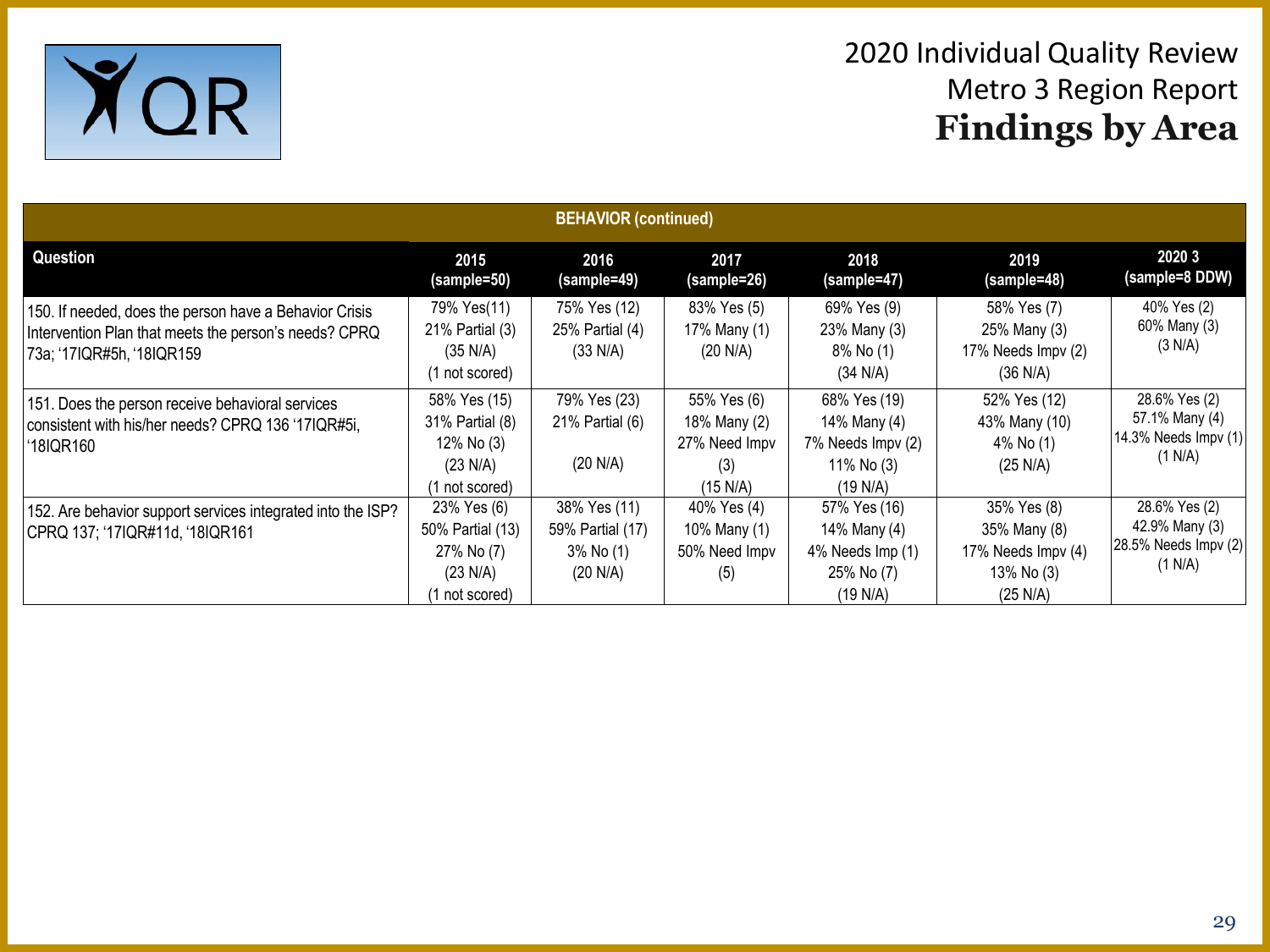

| <b>BEHAVIOR</b> (continued)                                                                                                                  |                                                                                      |                                                           |                                                                 |                                                                             |                                                                             |                                                                    |  |
|----------------------------------------------------------------------------------------------------------------------------------------------|--------------------------------------------------------------------------------------|-----------------------------------------------------------|-----------------------------------------------------------------|-----------------------------------------------------------------------------|-----------------------------------------------------------------------------|--------------------------------------------------------------------|--|
| Question                                                                                                                                     | 2015<br>(sample=50)                                                                  | 2016<br>(sample=49)                                       | 2017<br>(sample=26)                                             | 2018<br>(sample=47)                                                         | 2019<br>(sample=48)                                                         | 2020 3<br>(sample=8 DDW)                                           |  |
| 150. If needed, does the person have a Behavior Crisis<br>Intervention Plan that meets the person's needs? CPRQ<br>73a; '17IQR#5h, '18IQR159 | 79% Yes(11)<br>21% Partial (3)<br>(35 N/A)<br>(1 not scored)                         | 75% Yes (12)<br>25% Partial (4)<br>$(33 \text{ N/A})$     | 83% Yes (5)<br>17% Many (1)<br>(20 N/A)                         | 69% Yes (9)<br>23% Many (3)<br>8% No (1)<br>(34 N/A)                        | 58% Yes (7)<br>25% Many (3)<br>17% Needs Impv (2)<br>(36 N/A)               | 40% Yes (2)<br>60% Many (3)<br>(3 N/A)                             |  |
| 151. Does the person receive behavioral services<br>consistent with his/her needs? CPRQ 136 '17IQR#5i,<br>'18IQR160                          | 58% Yes (15)<br>31% Partial (8)<br>12% No (3)<br>$(23 \text{ N/A})$<br>1 not scored) | 79% Yes (23)<br>21% Partial (6)<br>(20 N/A)               | 55% Yes (6)<br>18% Many (2)<br>27% Need Impv<br>(3)<br>(15 N/A) | 68% Yes (19)<br>14% Many (4)<br>7% Needs Impv (2)<br>11% No (3)<br>(19 N/A) | 52% Yes (12)<br>43% Many (10)<br>4% No (1)<br>$(25 \text{ N/A})$            | 28.6% Yes (2)<br>57.1% Many (4)<br>14.3% Needs Impv (1)<br>(1 N/A) |  |
| 152. Are behavior support services integrated into the ISP?<br>CPRQ 137; '17IQR#11d, '18IQR161                                               | 23% Yes (6)<br>50% Partial (13)<br>27% No (7)<br>(23 N/A)<br>1 not scored)           | 38% Yes (11)<br>59% Partial (17)<br>3% No (1)<br>(20 N/A) | 40% Yes (4)<br>10% Many (1)<br>50% Need Impy<br>(5)             | 57% Yes (16)<br>14% Many (4)<br>4% Needs Imp (1)<br>25% No (7)<br>(19 N/A)  | 35% Yes (8)<br>35% Many (8)<br>17% Needs Impv (4)<br>13% No (3)<br>(25 N/A) | 28.6% Yes (2)<br>42.9% Many (3)<br>28.5% Needs Impv (2)<br>(1 N/A) |  |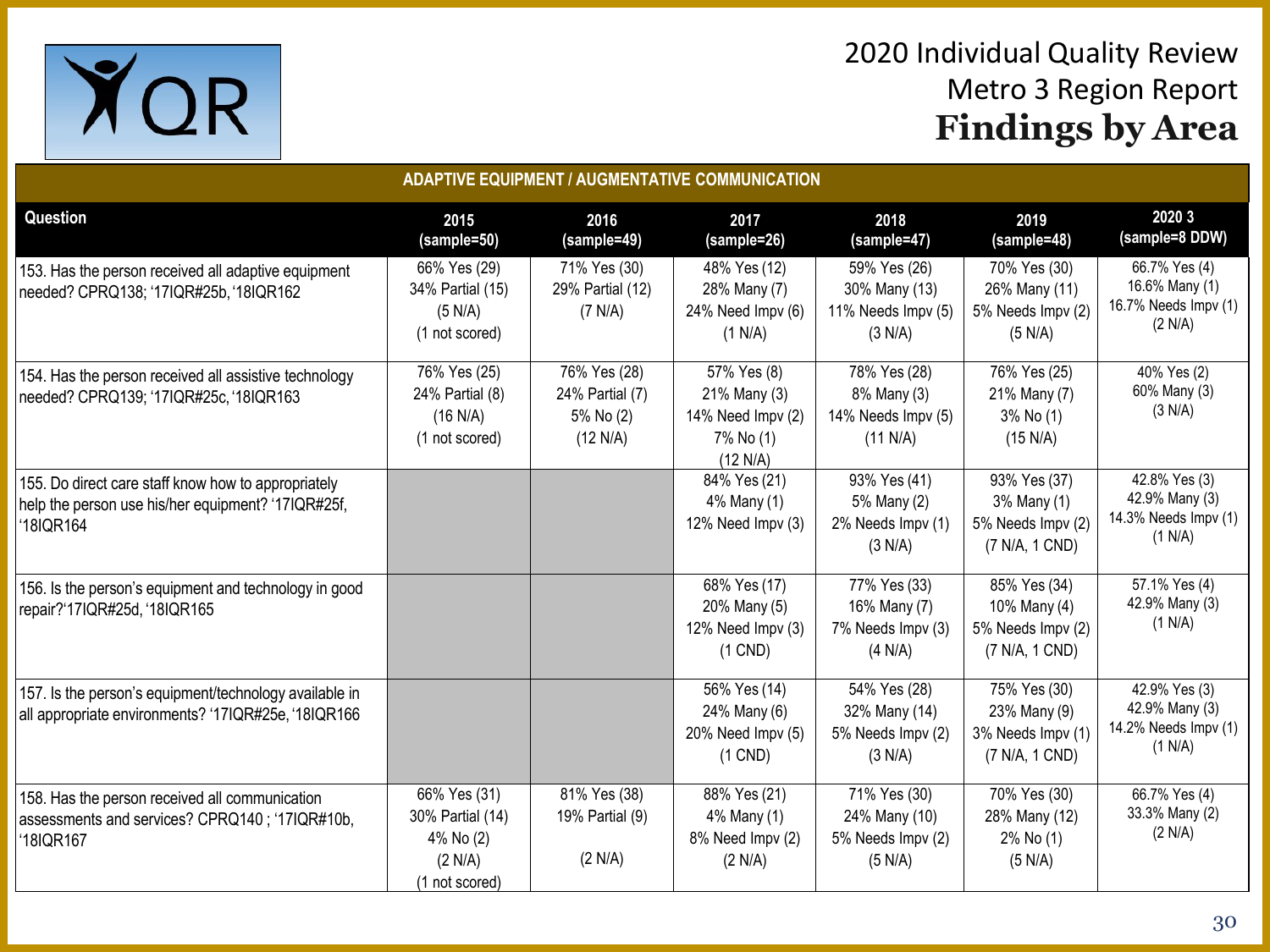

| <b>ADAPTIVE EQUIPMENT / AUGMENTATIVE COMMUNICATION</b>                                                                |                                                                            |                                                          |                                                                           |                                                                |                                                                     |                                                                    |  |
|-----------------------------------------------------------------------------------------------------------------------|----------------------------------------------------------------------------|----------------------------------------------------------|---------------------------------------------------------------------------|----------------------------------------------------------------|---------------------------------------------------------------------|--------------------------------------------------------------------|--|
| <b>Question</b>                                                                                                       | 2015<br>(sample=50)                                                        | 2016<br>(sample=49)                                      | 2017<br>(sample=26)                                                       | 2018<br>(sample=47)                                            | 2019<br>(sample=48)                                                 | 2020 3<br>(sample=8 DDW)                                           |  |
| 153. Has the person received all adaptive equipment<br>needed? CPRQ138; '17IQR#25b, '18IQR162                         | 66% Yes (29)<br>34% Partial (15)<br>(5 N/A)<br>(1 not scored)              | 71% Yes (30)<br>29% Partial (12)<br>(7 N/A)              | 48% Yes (12)<br>28% Many (7)<br>24% Need Impv (6)<br>(1 N/A)              | 59% Yes (26)<br>30% Many (13)<br>11% Needs Impv (5)<br>(3 N/A) | 70% Yes (30)<br>26% Many (11)<br>5% Needs Impv (2)<br>(5 N/A)       | 66.7% Yes (4)<br>16.6% Many (1)<br>16.7% Needs Impv (1)<br>(2 N/A) |  |
| 154. Has the person received all assistive technology<br>needed? CPRQ139; '17IQR#25c, '18IQR163                       | 76% Yes (25)<br>24% Partial (8)<br>(16 N/A)<br>(1 not scored)              | 76% Yes (28)<br>24% Partial (7)<br>5% No (2)<br>(12 N/A) | 57% Yes (8)<br>21% Many (3)<br>14% Need Impv (2)<br>7% No (1)<br>(12 N/A) | 78% Yes (28)<br>8% Many (3)<br>14% Needs Impv (5)<br>(11 N/A)  | 76% Yes (25)<br>21% Many (7)<br>3% No (1)<br>(15 N/A)               | 40% Yes (2)<br>60% Many (3)<br>(3 N/A)                             |  |
| 155. Do direct care staff know how to appropriately<br>help the person use his/her equipment? '17IQR#25f,<br>18IQR164 |                                                                            |                                                          | 84% Yes (21)<br>4% Many (1)<br>12% Need Impv (3)                          | 93% Yes (41)<br>5% Many (2)<br>2% Needs Impv (1)<br>(3 N/A)    | 93% Yes (37)<br>3% Many (1)<br>5% Needs Impv (2)<br>(7 N/A, 1 CND)  | 42.8% Yes (3)<br>42.9% Many (3)<br>14.3% Needs Impv (1)<br>(1 N/A) |  |
| 156. Is the person's equipment and technology in good<br>repair?'17IQR#25d, '18IQR165                                 |                                                                            |                                                          | 68% Yes (17)<br>20% Many (5)<br>12% Need Impv (3)<br>$(1$ CND)            | 77% Yes (33)<br>16% Many (7)<br>7% Needs Impv (3)<br>(4 N/A)   | 85% Yes (34)<br>10% Many (4)<br>5% Needs Impv (2)<br>(7 N/A, 1 CND) | 57.1% Yes (4)<br>42.9% Many (3)<br>(1 N/A)                         |  |
| 157. Is the person's equipment/technology available in<br>all appropriate environments? '17IQR#25e, '18IQR166         |                                                                            |                                                          | 56% Yes (14)<br>24% Many (6)<br>20% Need Impv (5)<br>$(1$ CND)            | 54% Yes (28)<br>32% Many (14)<br>5% Needs Impv (2)<br>(3 N/A)  | 75% Yes (30)<br>23% Many (9)<br>3% Needs Impv (1)<br>(7 N/A, 1 CND) | 42.9% Yes (3)<br>42.9% Many (3)<br>14.2% Needs Impv (1)<br>(1 N/A) |  |
| 158. Has the person received all communication<br>assessments and services? CPRQ140; '17IQR#10b,<br>18IQR167          | 66% Yes (31)<br>30% Partial (14)<br>4% No (2)<br>(2 N/A)<br>(1 not scored) | 81% Yes (38)<br>19% Partial (9)<br>(2 N/A)               | 88% Yes (21)<br>4% Many (1)<br>8% Need Impv (2)<br>(2 N/A)                | 71% Yes (30)<br>24% Many (10)<br>5% Needs Impv (2)<br>(5 N/A)  | 70% Yes (30)<br>28% Many (12)<br>2% No (1)<br>(5 N/A)               | 66.7% Yes (4)<br>33.3% Many (2)<br>(2 N/A)                         |  |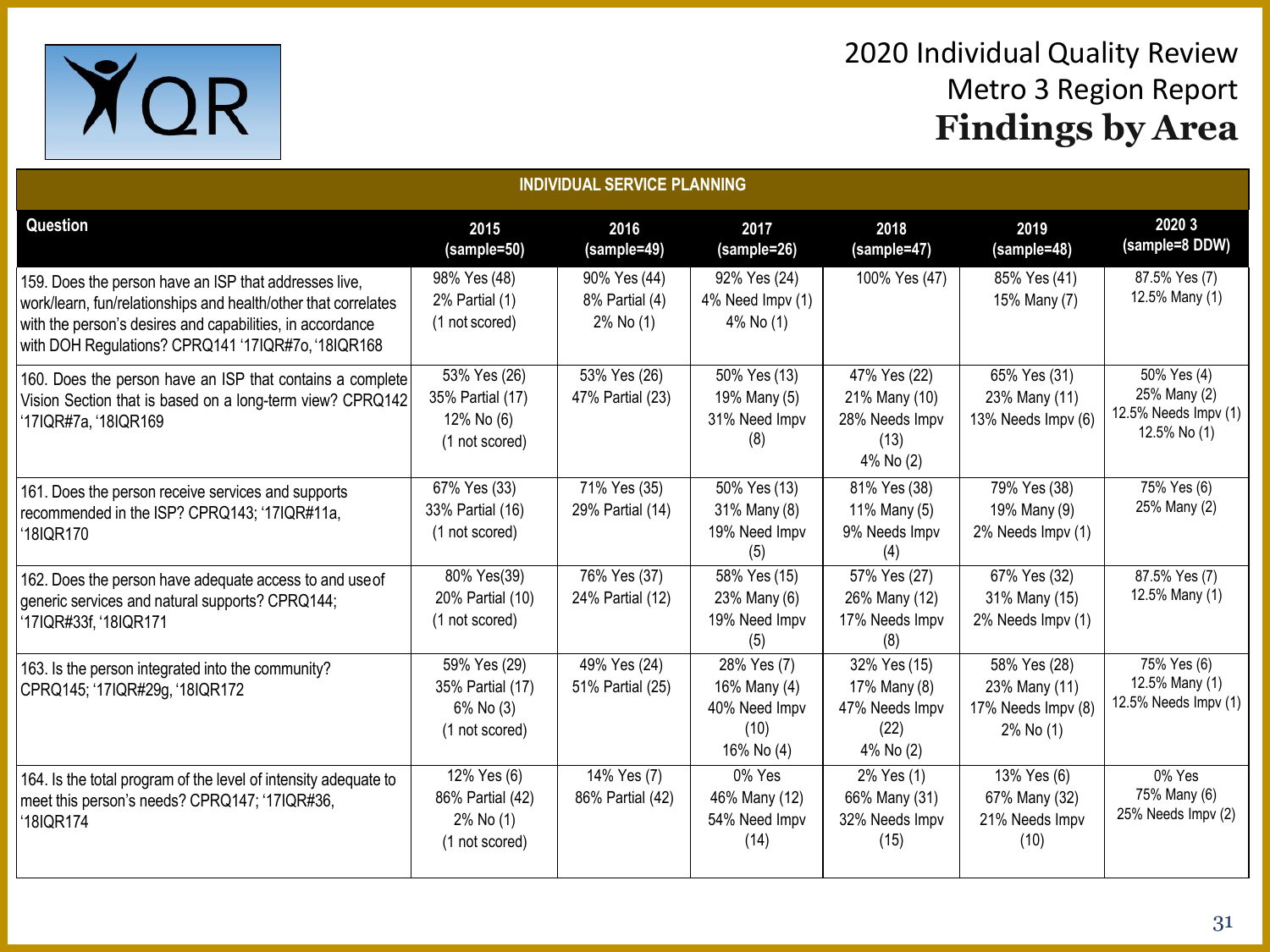

| <b>INDIVIDUAL SERVICE PLANNING</b>                                                                                                                                                                                                         |                                                                  |                                             |                                                                    |                                                                      |                                                                  |                                                                     |  |
|--------------------------------------------------------------------------------------------------------------------------------------------------------------------------------------------------------------------------------------------|------------------------------------------------------------------|---------------------------------------------|--------------------------------------------------------------------|----------------------------------------------------------------------|------------------------------------------------------------------|---------------------------------------------------------------------|--|
| Question                                                                                                                                                                                                                                   | 2015<br>(sample=50)                                              | 2016<br>(sample=49)                         | 2017<br>(sample=26)                                                | 2018<br>(sample=47)                                                  | 2019<br>(sample=48)                                              | 2020 3<br>(sample=8 DDW)                                            |  |
| 159. Does the person have an ISP that addresses live,<br>work/learn, fun/relationships and health/other that correlates<br>with the person's desires and capabilities, in accordance<br>with DOH Regulations? CPRQ141 '17IQR#7o, '18IQR168 | 98% Yes (48)<br>2% Partial (1)<br>(1 not scored)                 | 90% Yes (44)<br>8% Partial (4)<br>2% No (1) | 92% Yes (24)<br>4% Need Impv (1)<br>4% No (1)                      | 100% Yes (47)                                                        | 85% Yes (41)<br>15% Many (7)                                     | 87.5% Yes (7)<br>12.5% Many (1)                                     |  |
| 160. Does the person have an ISP that contains a complete<br>Vision Section that is based on a long-term view? CPRQ142<br>'17IQR#7a, '18IQR169                                                                                             | 53% Yes (26)<br>35% Partial (17)<br>12% No (6)<br>(1 not scored) | 53% Yes (26)<br>47% Partial (23)            | 50% Yes (13)<br>19% Many (5)<br>31% Need Impv<br>(8)               | 47% Yes (22)<br>21% Many (10)<br>28% Needs Impv<br>(13)<br>4% No (2) | 65% Yes (31)<br>23% Many (11)<br>13% Needs Impv (6)              | 50% Yes (4)<br>25% Many (2)<br>12.5% Needs Impv (1)<br>12.5% No (1) |  |
| 161. Does the person receive services and supports<br>recommended in the ISP? CPRQ143; '17IQR#11a,<br>18IQR170                                                                                                                             | 67% Yes (33)<br>33% Partial (16)<br>(1 not scored)               | 71% Yes (35)<br>29% Partial (14)            | 50% Yes (13)<br>31% Many (8)<br>19% Need Impv<br>(5)               | 81% Yes (38)<br>11% Many (5)<br>9% Needs Impv<br>(4)                 | 79% Yes (38)<br>19% Many (9)<br>2% Needs Impv (1)                | 75% Yes (6)<br>25% Many (2)                                         |  |
| 162. Does the person have adequate access to and use of<br>generic services and natural supports? CPRQ144;<br>'17IQR#33f, '18IQR171                                                                                                        | 80% Yes(39)<br>20% Partial (10)<br>(1 not scored)                | 76% Yes (37)<br>24% Partial (12)            | 58% Yes (15)<br>23% Many (6)<br>19% Need Impv<br>(5)               | 57% Yes (27)<br>26% Many (12)<br>17% Needs Impv<br>(8)               | 67% Yes (32)<br>31% Many (15)<br>2% Needs Impv (1)               | 87.5% Yes (7)<br>12.5% Many (1)                                     |  |
| 163. Is the person integrated into the community?<br>CPRQ145; '17IQR#29g, '18IQR172                                                                                                                                                        | 59% Yes (29)<br>35% Partial (17)<br>6% No (3)<br>(1 not scored)  | 49% Yes (24)<br>51% Partial (25)            | 28% Yes (7)<br>16% Many (4)<br>40% Need Impv<br>(10)<br>16% No (4) | 32% Yes (15)<br>17% Many (8)<br>47% Needs Impv<br>(22)<br>4% No (2)  | 58% Yes (28)<br>23% Many (11)<br>17% Needs Impv (8)<br>2% No (1) | 75% Yes (6)<br>12.5% Many (1)<br>12.5% Needs Impv (1)               |  |
| 164. Is the total program of the level of intensity adequate to<br>meet this person's needs? CPRQ147; '17IQR#36,<br>18IQR174                                                                                                               | 12% Yes (6)<br>86% Partial (42)<br>2% No (1)<br>(1 not scored)   | 14% Yes (7)<br>86% Partial (42)             | 0% Yes<br>46% Many (12)<br>54% Need Impv<br>(14)                   | 2% Yes (1)<br>66% Many (31)<br>32% Needs Impv<br>(15)                | 13% Yes (6)<br>67% Many (32)<br>21% Needs Impv<br>(10)           | 0% Yes<br>75% Many (6)<br>25% Needs Impv (2)                        |  |